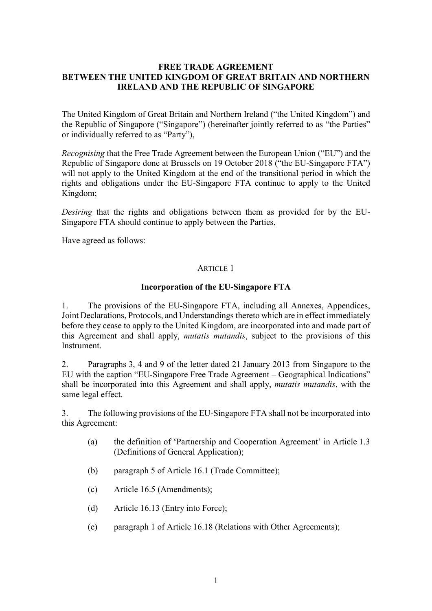#### **FREE TRADE AGREEMENT BETWEEN THE UNITED KINGDOM OF GREAT BRITAIN AND NORTHERN IRELAND AND THE REPUBLIC OF SINGAPORE**

The United Kingdom of Great Britain and Northern Ireland ("the United Kingdom") and the Republic of Singapore ("Singapore") (hereinafter jointly referred to as "the Parties" or individually referred to as "Party"),

*Recognising* that the Free Trade Agreement between the European Union ("EU") and the Republic of Singapore done at Brussels on 19 October 2018 ("the EU-Singapore FTA") will not apply to the United Kingdom at the end of the transitional period in which the rights and obligations under the EU-Singapore FTA continue to apply to the United Kingdom;

*Desiring* that the rights and obligations between them as provided for by the EU-Singapore FTA should continue to apply between the Parties,

Have agreed as follows:

## ARTICLE 1

## **Incorporation of the EU-Singapore FTA**

1. The provisions of the EU-Singapore FTA, including all Annexes, Appendices, Joint Declarations, Protocols, and Understandings thereto which are in effect immediately before they cease to apply to the United Kingdom, are incorporated into and made part of this Agreement and shall apply, *mutatis mutandis*, subject to the provisions of this Instrument.

2. Paragraphs 3, 4 and 9 of the letter dated 21 January 2013 from Singapore to the EU with the caption "EU-Singapore Free Trade Agreement – Geographical Indications" shall be incorporated into this Agreement and shall apply, *mutatis mutandis*, with the same legal effect.

3. The following provisions of the EU-Singapore FTA shall not be incorporated into this Agreement:

- (a) the definition of 'Partnership and Cooperation Agreement' in Article 1.3 (Definitions of General Application);
- (b) paragraph 5 of Article 16.1 (Trade Committee);
- (c) Article 16.5 (Amendments);
- (d) Article 16.13 (Entry into Force);
- (e) paragraph 1 of Article 16.18 (Relations with Other Agreements);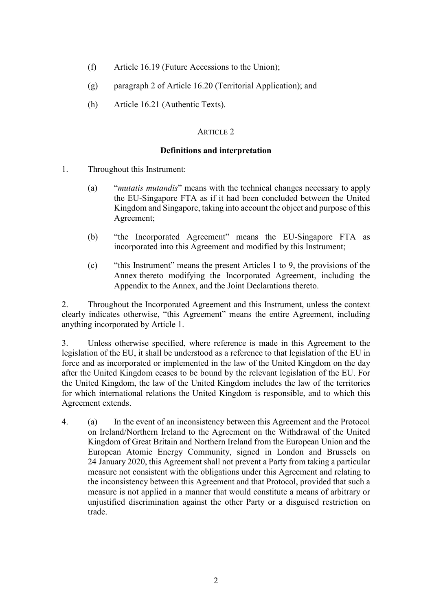- (f) Article 16.19 (Future Accessions to the Union);
- (g) paragraph 2 of Article 16.20 (Territorial Application); and
- (h) Article 16.21 (Authentic Texts).

## ARTICLE 2

#### **Definitions and interpretation**

- 1. Throughout this Instrument:
	- (a) "*mutatis mutandis*" means with the technical changes necessary to apply the EU-Singapore FTA as if it had been concluded between the United Kingdom and Singapore, taking into account the object and purpose of this Agreement;
	- (b) "the Incorporated Agreement" means the EU-Singapore FTA as incorporated into this Agreement and modified by this Instrument;
	- (c) "this Instrument" means the present Articles 1 to 9, the provisions of the Annex thereto modifying the Incorporated Agreement, including the Appendix to the Annex, and the Joint Declarations thereto.

2. Throughout the Incorporated Agreement and this Instrument, unless the context clearly indicates otherwise, "this Agreement" means the entire Agreement, including anything incorporated by Article 1.

3. Unless otherwise specified, where reference is made in this Agreement to the legislation of the EU, it shall be understood as a reference to that legislation of the EU in force and as incorporated or implemented in the law of the United Kingdom on the day after the United Kingdom ceases to be bound by the relevant legislation of the EU. For the United Kingdom, the law of the United Kingdom includes the law of the territories for which international relations the United Kingdom is responsible, and to which this Agreement extends.

4. (a) In the event of an inconsistency between this Agreement and the Protocol on Ireland/Northern Ireland to the Agreement on the Withdrawal of the United Kingdom of Great Britain and Northern Ireland from the European Union and the European Atomic Energy Community, signed in London and Brussels on 24 January 2020, this Agreement shall not prevent a Party from taking a particular measure not consistent with the obligations under this Agreement and relating to the inconsistency between this Agreement and that Protocol, provided that such a measure is not applied in a manner that would constitute a means of arbitrary or unjustified discrimination against the other Party or a disguised restriction on trade.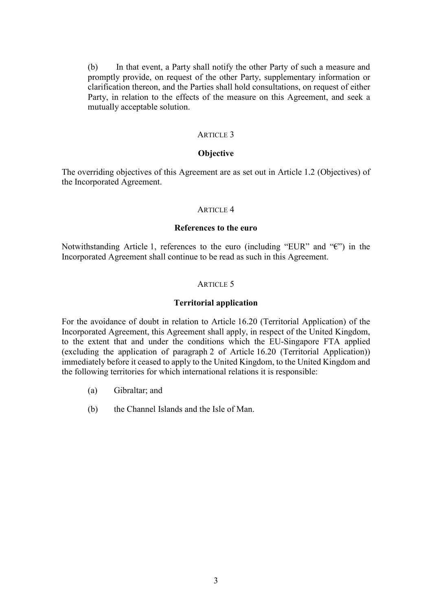(b) In that event, a Party shall notify the other Party of such a measure and promptly provide, on request of the other Party, supplementary information or clarification thereon, and the Parties shall hold consultations, on request of either Party, in relation to the effects of the measure on this Agreement, and seek a mutually acceptable solution.

#### ARTICLE 3

#### **Objective**

The overriding objectives of this Agreement are as set out in Article 1.2 (Objectives) of the Incorporated Agreement.

#### ARTICLE 4

#### **References to the euro**

Notwithstanding Article 1, references to the euro (including "EUR" and "€") in the Incorporated Agreement shall continue to be read as such in this Agreement.

#### ARTICLE 5

#### **Territorial application**

For the avoidance of doubt in relation to Article 16.20 (Territorial Application) of the Incorporated Agreement, this Agreement shall apply, in respect of the United Kingdom, to the extent that and under the conditions which the EU-Singapore FTA applied (excluding the application of paragraph 2 of Article 16.20 (Territorial Application)) immediately before it ceased to apply to the United Kingdom, to the United Kingdom and the following territories for which international relations it is responsible:

- (a) Gibraltar; and
- (b) the Channel Islands and the Isle of Man.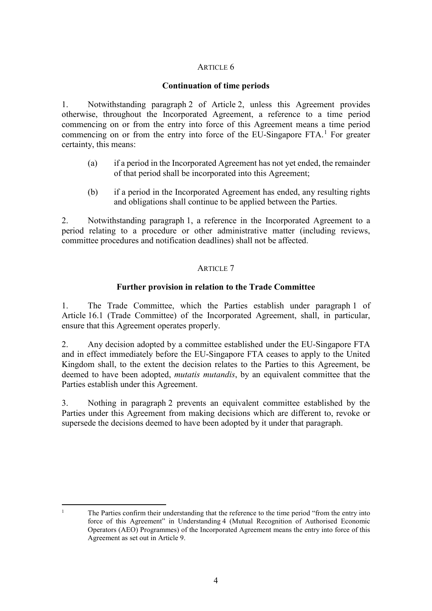### ARTICLE 6

## **Continuation of time periods**

1. Notwithstanding paragraph 2 of Article 2, unless this Agreement provides otherwise, throughout the Incorporated Agreement, a reference to a time period commencing on or from the entry into force of this Agreement means a time period commencing on or from the entry into force of the EU-Singapore FTA.<sup>[1](#page-3-0)</sup> For greater certainty, this means:

- (a) if a period in the Incorporated Agreement has not yet ended, the remainder of that period shall be incorporated into this Agreement;
- (b) if a period in the Incorporated Agreement has ended, any resulting rights and obligations shall continue to be applied between the Parties.

2. Notwithstanding paragraph 1, a reference in the Incorporated Agreement to a period relating to a procedure or other administrative matter (including reviews, committee procedures and notification deadlines) shall not be affected.

## ARTICLE 7

# **Further provision in relation to the Trade Committee**

1. The Trade Committee, which the Parties establish under paragraph 1 of Article 16.1 (Trade Committee) of the Incorporated Agreement, shall, in particular, ensure that this Agreement operates properly.

2. Any decision adopted by a committee established under the EU-Singapore FTA and in effect immediately before the EU-Singapore FTA ceases to apply to the United Kingdom shall, to the extent the decision relates to the Parties to this Agreement, be deemed to have been adopted, *mutatis mutandis*, by an equivalent committee that the Parties establish under this Agreement.

3. Nothing in paragraph 2 prevents an equivalent committee established by the Parties under this Agreement from making decisions which are different to, revoke or supersede the decisions deemed to have been adopted by it under that paragraph.

<span id="page-3-0"></span> $\overline{\phantom{a}}$ <sup>1</sup> The Parties confirm their understanding that the reference to the time period "from the entry into force of this Agreement" in Understanding 4 (Mutual Recognition of Authorised Economic Operators (AEO) Programmes) of the Incorporated Agreement means the entry into force of this Agreement as set out in Article 9.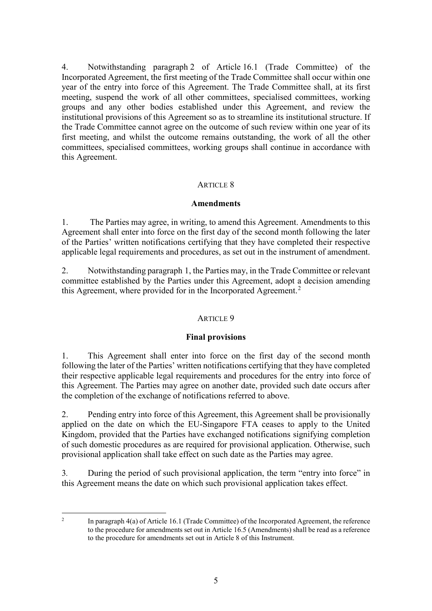4. Notwithstanding paragraph 2 of Article 16.1 (Trade Committee) of the Incorporated Agreement, the first meeting of the Trade Committee shall occur within one year of the entry into force of this Agreement. The Trade Committee shall, at its first meeting, suspend the work of all other committees, specialised committees, working groups and any other bodies established under this Agreement, and review the institutional provisions of this Agreement so as to streamline its institutional structure. If the Trade Committee cannot agree on the outcome of such review within one year of its first meeting, and whilst the outcome remains outstanding, the work of all the other committees, specialised committees, working groups shall continue in accordance with this Agreement.

## ARTICLE 8

#### **Amendments**

1. The Parties may agree, in writing, to amend this Agreement. Amendments to this Agreement shall enter into force on the first day of the second month following the later of the Parties' written notifications certifying that they have completed their respective applicable legal requirements and procedures, as set out in the instrument of amendment.

2. Notwithstanding paragraph 1, the Parties may, in the Trade Committee or relevant committee established by the Parties under this Agreement, adopt a decision amending this Agreement, where provided for in the Incorporated Agreement.<sup>[2](#page-4-0)</sup>

## ARTICLE 9

## **Final provisions**

1. This Agreement shall enter into force on the first day of the second month following the later of the Parties' written notifications certifying that they have completed their respective applicable legal requirements and procedures for the entry into force of this Agreement. The Parties may agree on another date, provided such date occurs after the completion of the exchange of notifications referred to above.

2. Pending entry into force of this Agreement, this Agreement shall be provisionally applied on the date on which the EU-Singapore FTA ceases to apply to the United Kingdom, provided that the Parties have exchanged notifications signifying completion of such domestic procedures as are required for provisional application. Otherwise, such provisional application shall take effect on such date as the Parties may agree.

3*.* During the period of such provisional application, the term "entry into force" in this Agreement means the date on which such provisional application takes effect.

<span id="page-4-0"></span> $\overline{2}$ 

<sup>2</sup> In paragraph 4(a) of Article 16.1 (Trade Committee) of the Incorporated Agreement, the reference to the procedure for amendments set out in Article 16.5 (Amendments) shall be read as a reference to the procedure for amendments set out in Article 8 of this Instrument.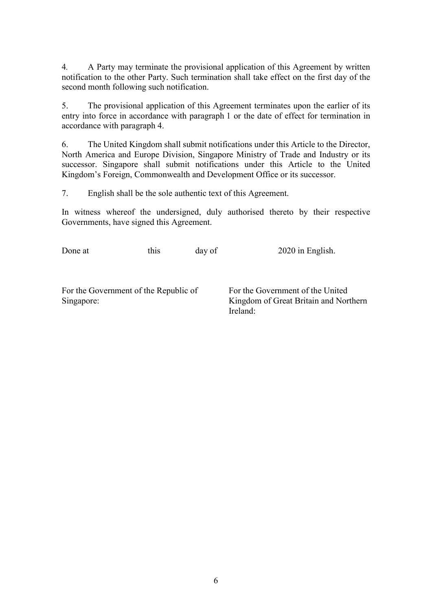4*.* A Party may terminate the provisional application of this Agreement by written notification to the other Party. Such termination shall take effect on the first day of the second month following such notification.

5. The provisional application of this Agreement terminates upon the earlier of its entry into force in accordance with paragraph 1 or the date of effect for termination in accordance with paragraph 4.

6. The United Kingdom shall submit notifications under this Article to the Director, North America and Europe Division, Singapore Ministry of Trade and Industry or its successor. Singapore shall submit notifications under this Article to the United Kingdom's Foreign, Commonwealth and Development Office or its successor.

7. English shall be the sole authentic text of this Agreement.

In witness whereof the undersigned, duly authorised thereto by their respective Governments, have signed this Agreement.

| Done at                                             | this | day of | 2020 in English.                                                          |
|-----------------------------------------------------|------|--------|---------------------------------------------------------------------------|
|                                                     |      |        |                                                                           |
| For the Government of the Republic of<br>Singapore: |      |        | For the Government of the United<br>Kingdom of Great Britain and Northern |
|                                                     |      |        | Ireland:                                                                  |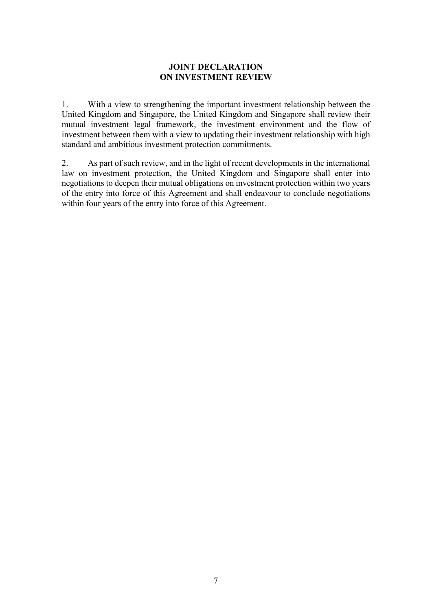# **JOINT DECLARATION ON INVESTMENT REVIEW**

1. With a view to strengthening the important investment relationship between the United Kingdom and Singapore, the United Kingdom and Singapore shall review their mutual investment legal framework, the investment environment and the flow of investment between them with a view to updating their investment relationship with high standard and ambitious investment protection commitments.

2. As part of such review, and in the light of recent developments in the international law on investment protection, the United Kingdom and Singapore shall enter into negotiations to deepen their mutual obligations on investment protection within two years of the entry into force of this Agreement and shall endeavour to conclude negotiations within four years of the entry into force of this Agreement.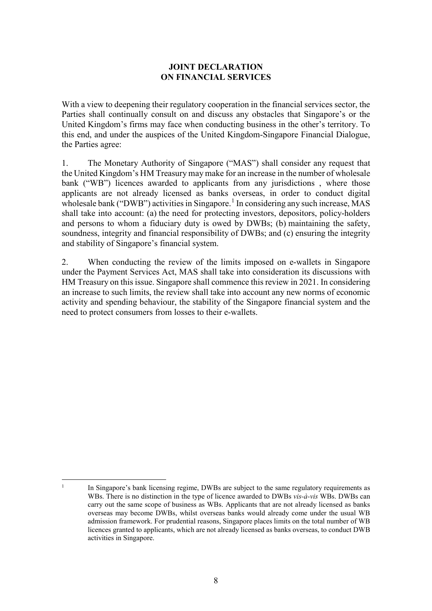# **JOINT DECLARATION ON FINANCIAL SERVICES**

With a view to deepening their regulatory cooperation in the financial services sector, the Parties shall continually consult on and discuss any obstacles that Singapore's or the United Kingdom's firms may face when conducting business in the other's territory. To this end, and under the auspices of the United Kingdom-Singapore Financial Dialogue, the Parties agree:

1. The Monetary Authority of Singapore ("MAS") shall consider any request that the United Kingdom's HM Treasury may make for an increase in the number of wholesale bank ("WB") licences awarded to applicants from any jurisdictions , where those applicants are not already licensed as banks overseas, in order to conduct digital wholesale bank ("DWB") activities in Singapore.<sup>[1](#page-7-0)</sup> In considering any such increase, MAS shall take into account: (a) the need for protecting investors, depositors, policy-holders and persons to whom a fiduciary duty is owed by DWBs; (b) maintaining the safety, soundness, integrity and financial responsibility of DWBs; and (c) ensuring the integrity and stability of Singapore's financial system.

2. When conducting the review of the limits imposed on e-wallets in Singapore under the Payment Services Act, MAS shall take into consideration its discussions with HM Treasury on this issue. Singapore shall commence this review in 2021. In considering an increase to such limits, the review shall take into account any new norms of economic activity and spending behaviour, the stability of the Singapore financial system and the need to protect consumers from losses to their e-wallets.

<span id="page-7-0"></span>**<sup>.</sup>**  $1$  In Singapore's bank licensing regime, DWBs are subject to the same regulatory requirements as WBs. There is no distinction in the type of licence awarded to DWBs *vis-à-vis* WBs. DWBs can carry out the same scope of business as WBs. Applicants that are not already licensed as banks overseas may become DWBs, whilst overseas banks would already come under the usual WB admission framework. For prudential reasons, Singapore places limits on the total number of WB licences granted to applicants, which are not already licensed as banks overseas, to conduct DWB activities in Singapore.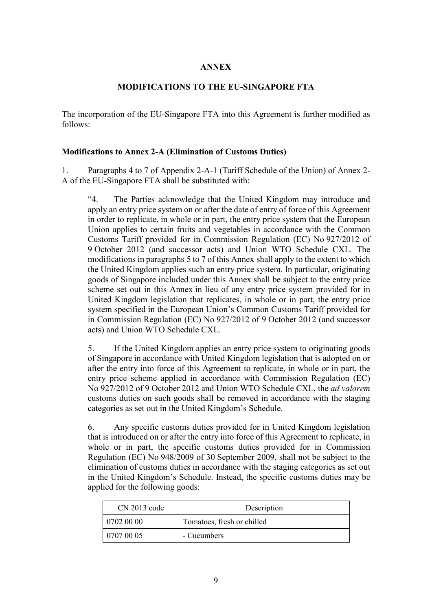# **ANNEX**

# **MODIFICATIONS TO THE EU-SINGAPORE FTA**

The incorporation of the EU-Singapore FTA into this Agreement is further modified as follows:

## **Modifications to Annex 2-A (Elimination of Customs Duties)**

1. Paragraphs 4 to 7 of Appendix 2-A-1 (Tariff Schedule of the Union) of Annex 2- A of the EU-Singapore FTA shall be substituted with:

"4. The Parties acknowledge that the United Kingdom may introduce and apply an entry price system on or after the date of entry of force of this Agreement in order to replicate, in whole or in part, the entry price system that the European Union applies to certain fruits and vegetables in accordance with the Common Customs Tariff provided for in Commission Regulation (EC) No 927/2012 of 9 October 2012 (and successor acts) and Union WTO Schedule CXL. The modifications in paragraphs 5 to 7 of this Annex shall apply to the extent to which the United Kingdom applies such an entry price system. In particular, originating goods of Singapore included under this Annex shall be subject to the entry price scheme set out in this Annex in lieu of any entry price system provided for in United Kingdom legislation that replicates, in whole or in part, the entry price system specified in the European Union's Common Customs Tariff provided for in Commission Regulation (EC) No 927/2012 of 9 October 2012 (and successor acts) and Union WTO Schedule CXL.

5. If the United Kingdom applies an entry price system to originating goods of Singapore in accordance with United Kingdom legislation that is adopted on or after the entry into force of this Agreement to replicate, in whole or in part, the entry price scheme applied in accordance with Commission Regulation (EC) No 927/2012 of 9 October 2012 and Union WTO Schedule CXL, the *ad valorem* customs duties on such goods shall be removed in accordance with the staging categories as set out in the United Kingdom's Schedule.

6. Any specific customs duties provided for in United Kingdom legislation that is introduced on or after the entry into force of this Agreement to replicate, in whole or in part, the specific customs duties provided for in Commission Regulation (EC) No 948/2009 of 30 September 2009, shall not be subject to the elimination of customs duties in accordance with the staging categories as set out in the United Kingdom's Schedule. Instead, the specific customs duties may be applied for the following goods:

| $CN$ 2013 code | Description                |
|----------------|----------------------------|
| 0702 00 00     | Tomatoes, fresh or chilled |
| 0707 00 05     | - Cucumbers                |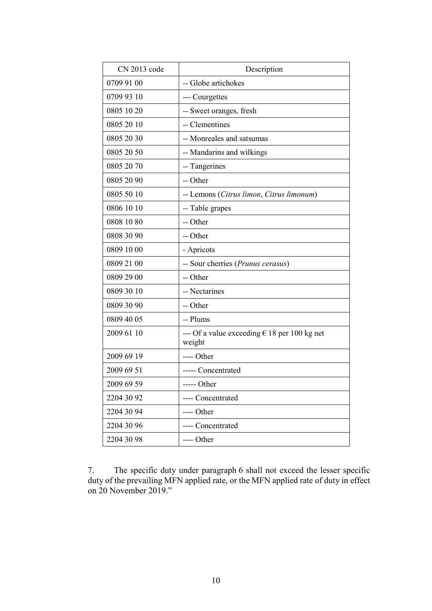| CN 2013 code | Description                                                     |
|--------------|-----------------------------------------------------------------|
| 0709 91 00   | -- Globe artichokes                                             |
| 0709 93 10   | --- Courgettes                                                  |
| 0805 10 20   | -- Sweet oranges, fresh                                         |
| 0805 20 10   | -- Clementines                                                  |
| 0805 20 30   | -- Monreales and satsumas                                       |
| 0805 20 50   | -- Mandarins and wilkings                                       |
| 0805 20 70   | -- Tangerines                                                   |
| 0805 20 90   | -- Other                                                        |
| 0805 50 10   | -- Lemons (Citrus limon, Citrus limonum)                        |
| 0806 10 10   | -- Table grapes                                                 |
| 0808 10 80   | -- Other                                                        |
| 0808 30 90   | -- Other                                                        |
| 0809 10 00   | - Apricots                                                      |
| 0809 21 00   | -- Sour cherries (Prunus cerasus)                               |
| 0809 29 00   | -- Other                                                        |
| 0809 30 10   | -- Nectarines                                                   |
| 0809 30 90   | -- Other                                                        |
| 0809 40 05   | -- Plums                                                        |
| 2009 61 10   | --- Of a value exceeding $\epsilon$ 18 per 100 kg net<br>weight |
| 2009 69 19   | ---- Other                                                      |
| 2009 69 51   | ----- Concentrated                                              |
| 2009 69 59   | ----- Other                                                     |
| 2204 30 92   | ---- Concentrated                                               |
| 2204 30 94   | ---- Other                                                      |
| 2204 30 96   | ---- Concentrated                                               |
| 2204 30 98   | ---- Other                                                      |
|              |                                                                 |

<sup>7.</sup> The specific duty under paragraph 6 shall not exceed the lesser specific duty of the prevailing MFN applied rate, or the MFN applied rate of duty in effect on 20 November 2019."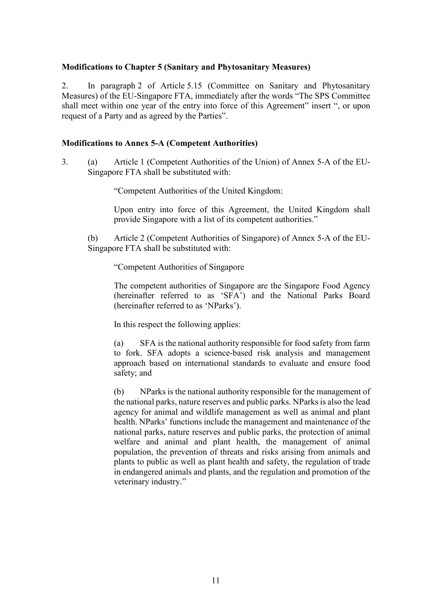### **Modifications to Chapter 5 (Sanitary and Phytosanitary Measures)**

2. In paragraph 2 of Article 5.15 (Committee on Sanitary and Phytosanitary Measures) of the EU-Singapore FTA, immediately after the words "The SPS Committee shall meet within one year of the entry into force of this Agreement" insert ", or upon request of a Party and as agreed by the Parties".

### **Modifications to Annex 5-A (Competent Authorities)**

3. (a) Article 1 (Competent Authorities of the Union) of Annex 5-A of the EU-Singapore FTA shall be substituted with:

"Competent Authorities of the United Kingdom:

Upon entry into force of this Agreement, the United Kingdom shall provide Singapore with a list of its competent authorities."

(b) Article 2 (Competent Authorities of Singapore) of Annex 5-A of the EU-Singapore FTA shall be substituted with:

"Competent Authorities of Singapore

The competent authorities of Singapore are the Singapore Food Agency (hereinafter referred to as 'SFA') and the National Parks Board (hereinafter referred to as 'NParks').

In this respect the following applies:

(a) SFA is the national authority responsible for food safety from farm to fork. SFA adopts a science-based risk analysis and management approach based on international standards to evaluate and ensure food safety; and

(b) NParks is the national authority responsible for the management of the national parks, nature reserves and public parks. NParks is also the lead agency for animal and wildlife management as well as animal and plant health. NParks' functions include the management and maintenance of the national parks, nature reserves and public parks, the protection of animal welfare and animal and plant health, the management of animal population, the prevention of threats and risks arising from animals and plants to public as well as plant health and safety, the regulation of trade in endangered animals and plants, and the regulation and promotion of the veterinary industry."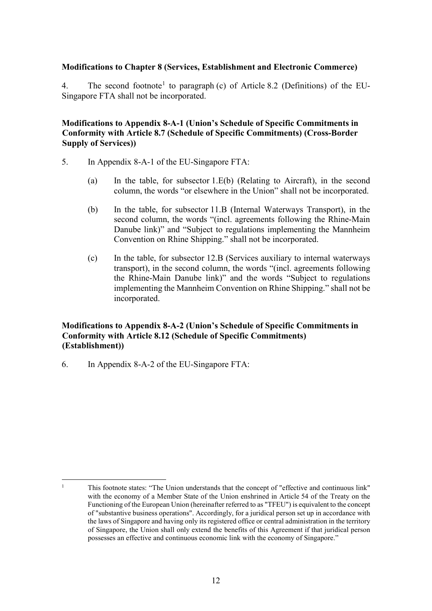## **Modifications to Chapter 8 (Services, Establishment and Electronic Commerce)**

4. The second footnote<sup>[1](#page-11-0)</sup> to paragraph (c) of Article 8.2 (Definitions) of the EU-Singapore FTA shall not be incorporated.

## **Modifications to Appendix 8-A-1 (Union's Schedule of Specific Commitments in Conformity with Article 8.7 (Schedule of Specific Commitments) (Cross-Border Supply of Services))**

- 5. In Appendix 8-A-1 of the EU-Singapore FTA:
	- (a) In the table, for subsector 1.E(b) (Relating to Aircraft), in the second column, the words "or elsewhere in the Union" shall not be incorporated.
	- (b) In the table, for subsector 11.B (Internal Waterways Transport), in the second column, the words "(incl. agreements following the Rhine-Main Danube link)" and "Subject to regulations implementing the Mannheim Convention on Rhine Shipping." shall not be incorporated.
	- (c) In the table, for subsector 12.B (Services auxiliary to internal waterways transport), in the second column, the words "(incl. agreements following the Rhine-Main Danube link)" and the words "Subject to regulations implementing the Mannheim Convention on Rhine Shipping." shall not be incorporated.

## **Modifications to Appendix 8-A-2 (Union's Schedule of Specific Commitments in Conformity with Article 8.12 (Schedule of Specific Commitments) (Establishment))**

6. In Appendix 8-A-2 of the EU-Singapore FTA:

**.** 

<span id="page-11-0"></span><sup>&</sup>lt;sup>1</sup> This footnote states: "The Union understands that the concept of "effective and continuous link" with the economy of a Member State of the Union enshrined in Article 54 of the Treaty on the Functioning of the European Union (hereinafter referred to as "TFEU") is equivalent to the concept of "substantive business operations". Accordingly, for a juridical person set up in accordance with the laws of Singapore and having only its registered office or central administration in the territory of Singapore, the Union shall only extend the benefits of this Agreement if that juridical person possesses an effective and continuous economic link with the economy of Singapore."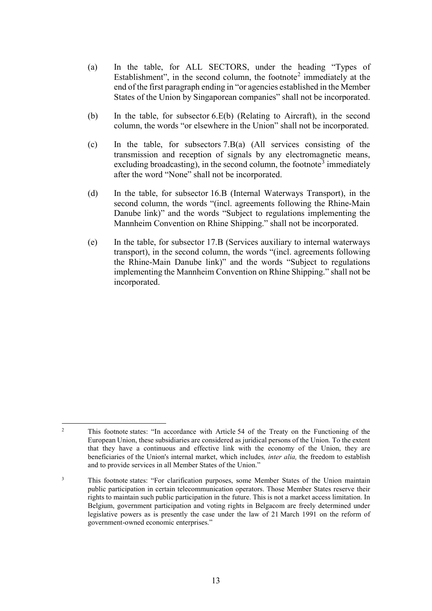- (a) In the table, for ALL SECTORS, under the heading "Types of Establishment", in the second column, the footnote<sup>[2](#page-12-0)</sup> immediately at the end of the first paragraph ending in "or agencies established in the Member States of the Union by Singaporean companies" shall not be incorporated.
- (b) In the table, for subsector 6.E(b) (Relating to Aircraft), in the second column, the words "or elsewhere in the Union" shall not be incorporated.
- (c) In the table, for subsectors 7.B(a) (All services consisting of the transmission and reception of signals by any electromagnetic means, excluding broadcasting), in the second column, the footnote<sup>[3](#page-12-1)</sup> immediately after the word "None" shall not be incorporated.
- (d) In the table, for subsector 16.B (Internal Waterways Transport), in the second column, the words "(incl. agreements following the Rhine-Main Danube link)" and the words "Subject to regulations implementing the Mannheim Convention on Rhine Shipping." shall not be incorporated.
- (e) In the table, for subsector 17.B (Services auxiliary to internal waterways transport), in the second column, the words "(incl. agreements following the Rhine-Main Danube link)" and the words "Subject to regulations implementing the Mannheim Convention on Rhine Shipping." shall not be incorporated.

<span id="page-12-0"></span>**<sup>.</sup>** <sup>2</sup> This footnote states: "In accordance with Article 54 of the Treaty on the Functioning of the European Union, these subsidiaries are considered as juridical persons of the Union. To the extent that they have a continuous and effective link with the economy of the Union, they are beneficiaries of the Union's internal market, which includes*, inter alia,* the freedom to establish and to provide services in all Member States of the Union."

<span id="page-12-1"></span><sup>&</sup>lt;sup>3</sup> This footnote states: "For clarification purposes, some Member States of the Union maintain public participation in certain telecommunication operators. Those Member States reserve their rights to maintain such public participation in the future. This is not a market access limitation. In Belgium, government participation and voting rights in Belgacom are freely determined under legislative powers as is presently the case under the law of 21 March 1991 on the reform of government-owned economic enterprises."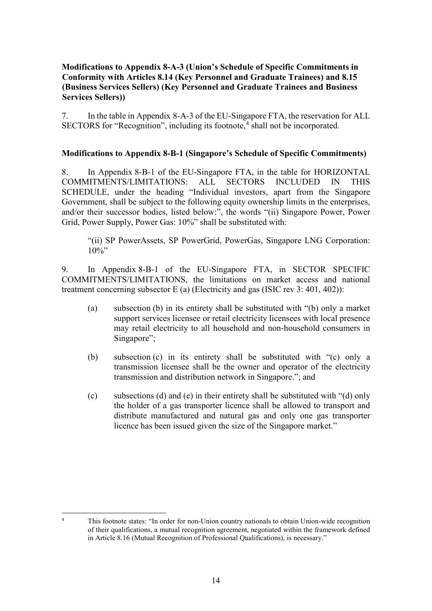## **Modifications to Appendix 8-A-3 (Union's Schedule of Specific Commitments in Conformity with Articles 8.14 (Key Personnel and Graduate Trainees) and 8.15 (Business Services Sellers) (Key Personnel and Graduate Trainees and Business Services Sellers))**

7. In the table in Appendix 8-A-3 of the EU-Singapore FTA, the reservation for ALL SECTORS for "Recognition", including its footnote, [4](#page-13-0) shall not be incorporated.

## **Modifications to Appendix 8-B-1 (Singapore's Schedule of Specific Commitments)**

8. In Appendix 8-B-1 of the EU-Singapore FTA, in the table for HORIZONTAL COMMITMENTS/LIMITATIONS: ALL SECTORS INCLUDED IN THIS SCHEDULE, under the heading "Individual investors, apart from the Singapore Government, shall be subject to the following equity ownership limits in the enterprises, and/or their successor bodies, listed below:", the words "(ii) Singapore Power, Power Grid, Power Supply, Power Gas: 10%" shall be substituted with:

"(ii) SP PowerAssets, SP PowerGrid, PowerGas, Singapore LNG Corporation:  $10\%$ "

9. In Appendix 8-B-1 of the EU-Singapore FTA, in SECTOR SPECIFIC COMMITMENTS/LIMITATIONS, the limitations on market access and national treatment concerning subsector E (a) (Electricity and gas (ISIC rev 3: 401, 402)):

- (a) subsection (b) in its entirety shall be substituted with "(b) only a market support services licensee or retail electricity licensees with local presence may retail electricity to all household and non-household consumers in Singapore";
- (b) subsection (c) in its entirety shall be substituted with "(c) only a transmission licensee shall be the owner and operator of the electricity transmission and distribution network in Singapore."; and
- (c) subsections (d) and (e) in their entirety shall be substituted with "(d) only the holder of a gas transporter licence shall be allowed to transport and distribute manufactured and natural gas and only one gas transporter licence has been issued given the size of the Singapore market."

<span id="page-13-0"></span> $\overline{A}$ <sup>4</sup> This footnote states: "In order for non-Union country nationals to obtain Union-wide recognition of their qualifications, a mutual recognition agreement, negotiated within the framework defined in Article 8.16 (Mutual Recognition of Professional Qualifications), is necessary."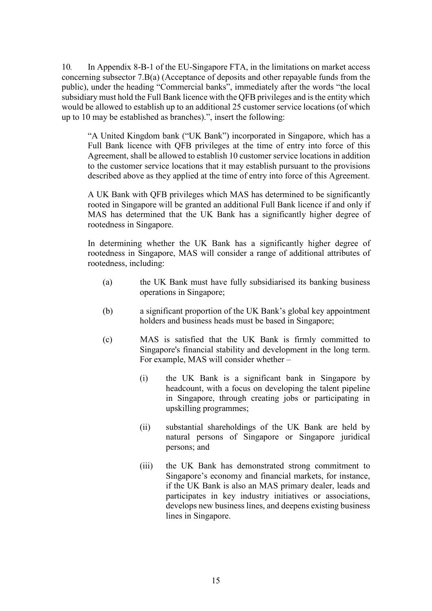10*.* In Appendix 8-B-1 of the EU-Singapore FTA, in the limitations on market access concerning subsector 7.B(a) (Acceptance of deposits and other repayable funds from the public), under the heading "Commercial banks", immediately after the words "the local subsidiary must hold the Full Bank licence with the QFB privileges and is the entity which would be allowed to establish up to an additional 25 customer service locations (of which up to 10 may be established as branches).", insert the following:

"A United Kingdom bank ("UK Bank") incorporated in Singapore, which has a Full Bank licence with QFB privileges at the time of entry into force of this Agreement, shall be allowed to establish 10 customer service locations in addition to the customer service locations that it may establish pursuant to the provisions described above as they applied at the time of entry into force of this Agreement.

A UK Bank with QFB privileges which MAS has determined to be significantly rooted in Singapore will be granted an additional Full Bank licence if and only if MAS has determined that the UK Bank has a significantly higher degree of rootedness in Singapore.

In determining whether the UK Bank has a significantly higher degree of rootedness in Singapore, MAS will consider a range of additional attributes of rootedness, including:

- (a) the UK Bank must have fully subsidiarised its banking business operations in Singapore;
- (b) a significant proportion of the UK Bank's global key appointment holders and business heads must be based in Singapore;
- (c) MAS is satisfied that the UK Bank is firmly committed to Singapore's financial stability and development in the long term. For example, MAS will consider whether –
	- (i) the UK Bank is a significant bank in Singapore by headcount, with a focus on developing the talent pipeline in Singapore, through creating jobs or participating in upskilling programmes;
	- (ii) substantial shareholdings of the UK Bank are held by natural persons of Singapore or Singapore juridical persons; and
	- (iii) the UK Bank has demonstrated strong commitment to Singapore's economy and financial markets, for instance, if the UK Bank is also an MAS primary dealer, leads and participates in key industry initiatives or associations, develops new business lines, and deepens existing business lines in Singapore.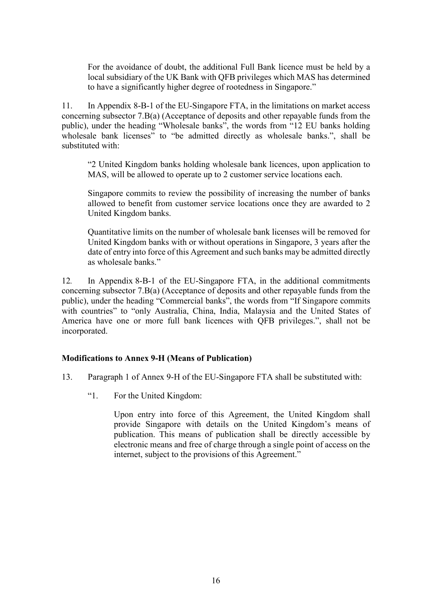For the avoidance of doubt, the additional Full Bank licence must be held by a local subsidiary of the UK Bank with QFB privileges which MAS has determined to have a significantly higher degree of rootedness in Singapore."

11. In Appendix 8-B-1 of the EU-Singapore FTA, in the limitations on market access concerning subsector 7.B(a) (Acceptance of deposits and other repayable funds from the public), under the heading "Wholesale banks", the words from "12 EU banks holding wholesale bank licenses<sup>7</sup> to "be admitted directly as wholesale banks.", shall be substituted with:

"2 United Kingdom banks holding wholesale bank licences, upon application to MAS, will be allowed to operate up to 2 customer service locations each.

Singapore commits to review the possibility of increasing the number of banks allowed to benefit from customer service locations once they are awarded to 2 United Kingdom banks.

Quantitative limits on the number of wholesale bank licenses will be removed for United Kingdom banks with or without operations in Singapore, 3 years after the date of entry into force of this Agreement and such banks may be admitted directly as wholesale banks."

12*.* In Appendix 8-B-1 of the EU-Singapore FTA, in the additional commitments concerning subsector 7.B(a) (Acceptance of deposits and other repayable funds from the public), under the heading "Commercial banks", the words from "If Singapore commits with countries" to "only Australia, China, India, Malaysia and the United States of America have one or more full bank licences with QFB privileges.", shall not be incorporated.

#### **Modifications to Annex 9-H (Means of Publication)**

- 13. Paragraph 1 of Annex 9-H of the EU-Singapore FTA shall be substituted with:
	- "1. For the United Kingdom:

Upon entry into force of this Agreement, the United Kingdom shall provide Singapore with details on the United Kingdom's means of publication. This means of publication shall be directly accessible by electronic means and free of charge through a single point of access on the internet, subject to the provisions of this Agreement."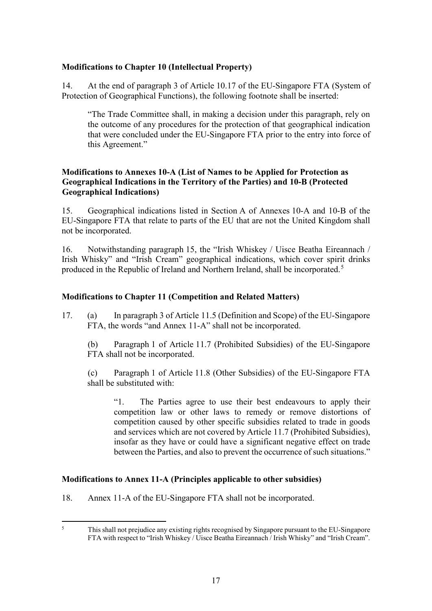# **Modifications to Chapter 10 (Intellectual Property)**

14. At the end of paragraph 3 of Article 10.17 of the EU-Singapore FTA (System of Protection of Geographical Functions), the following footnote shall be inserted:

"The Trade Committee shall, in making a decision under this paragraph, rely on the outcome of any procedures for the protection of that geographical indication that were concluded under the EU-Singapore FTA prior to the entry into force of this Agreement."

# **Modifications to Annexes 10-A (List of Names to be Applied for Protection as Geographical Indications in the Territory of the Parties) and 10-B (Protected Geographical Indications)**

15. Geographical indications listed in Section A of Annexes 10-A and 10-B of the EU-Singapore FTA that relate to parts of the EU that are not the United Kingdom shall not be incorporated.

16. Notwithstanding paragraph 15, the "Irish Whiskey / Uisce Beatha Eireannach / Irish Whisky" and "Irish Cream" geographical indications, which cover spirit drinks produced in the Republic of Ireland and Northern Ireland, shall be incorporated.<sup>[5](#page-16-0)</sup>

# **Modifications to Chapter 11 (Competition and Related Matters)**

17. (a) In paragraph 3 of Article 11.5 (Definition and Scope) of the EU-Singapore FTA, the words "and Annex 11-A" shall not be incorporated.

(b) Paragraph 1 of Article 11.7 (Prohibited Subsidies) of the EU-Singapore FTA shall not be incorporated.

(c) Paragraph 1 of Article 11.8 (Other Subsidies) of the EU-Singapore FTA shall be substituted with:

"1. The Parties agree to use their best endeavours to apply their competition law or other laws to remedy or remove distortions of competition caused by other specific subsidies related to trade in goods and services which are not covered by Article 11.7 (Prohibited Subsidies), insofar as they have or could have a significant negative effect on trade between the Parties, and also to prevent the occurrence of such situations."

## **Modifications to Annex 11-A (Principles applicable to other subsidies)**

18. Annex 11-A of the EU-Singapore FTA shall not be incorporated.

<span id="page-16-0"></span> $\overline{\mathbf{5}}$ <sup>5</sup> This shall not prejudice any existing rights recognised by Singapore pursuant to the EU-Singapore FTA with respect to "Irish Whiskey / Uisce Beatha Eireannach / Irish Whisky" and "Irish Cream".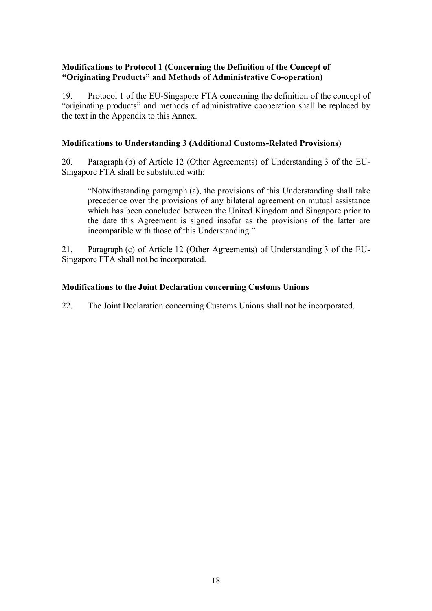# **Modifications to Protocol 1 (Concerning the Definition of the Concept of "Originating Products" and Methods of Administrative Co-operation)**

19. Protocol 1 of the EU-Singapore FTA concerning the definition of the concept of "originating products" and methods of administrative cooperation shall be replaced by the text in the Appendix to this Annex.

# **Modifications to Understanding 3 (Additional Customs-Related Provisions)**

20. Paragraph (b) of Article 12 (Other Agreements) of Understanding 3 of the EU-Singapore FTA shall be substituted with:

"Notwithstanding paragraph (a), the provisions of this Understanding shall take precedence over the provisions of any bilateral agreement on mutual assistance which has been concluded between the United Kingdom and Singapore prior to the date this Agreement is signed insofar as the provisions of the latter are incompatible with those of this Understanding."

21. Paragraph (c) of Article 12 (Other Agreements) of Understanding 3 of the EU-Singapore FTA shall not be incorporated.

# **Modifications to the Joint Declaration concerning Customs Unions**

22. The Joint Declaration concerning Customs Unions shall not be incorporated.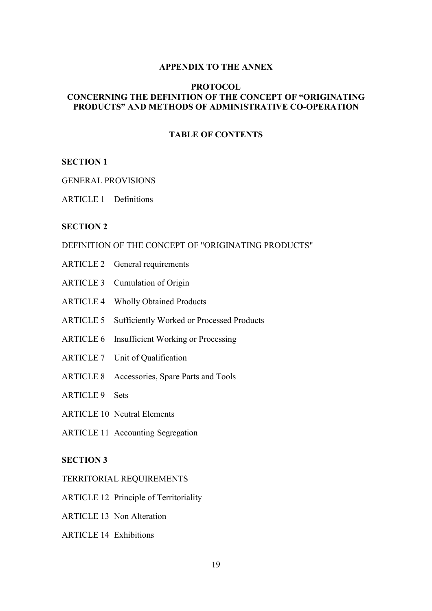#### **APPENDIX TO THE ANNEX**

#### **PROTOCOL CONCERNING THE DEFINITION OF THE CONCEPT OF "ORIGINATING PRODUCTS" AND METHODS OF ADMINISTRATIVE CO-OPERATION**

## **TABLE OF CONTENTS**

#### **SECTION 1**

#### GENERAL PROVISIONS

ARTICLE 1 Definitions

#### **SECTION 2**

#### DEFINITION OF THE CONCEPT OF "ORIGINATING PRODUCTS"

- ARTICLE 2 General requirements
- ARTICLE 3 Cumulation of Origin
- ARTICLE 4 Wholly Obtained Products
- ARTICLE 5 Sufficiently Worked or Processed Products
- ARTICLE 6 Insufficient Working or Processing
- ARTICLE 7 Unit of Qualification
- ARTICLE 8 Accessories, Spare Parts and Tools
- ARTICLE 9 Sets
- ARTICLE 10 Neutral Elements
- ARTICLE 11 Accounting Segregation

## **SECTION 3**

- TERRITORIAL REQUIREMENTS
- ARTICLE 12 Principle of Territoriality
- ARTICLE 13 Non Alteration
- ARTICLE 14 Exhibitions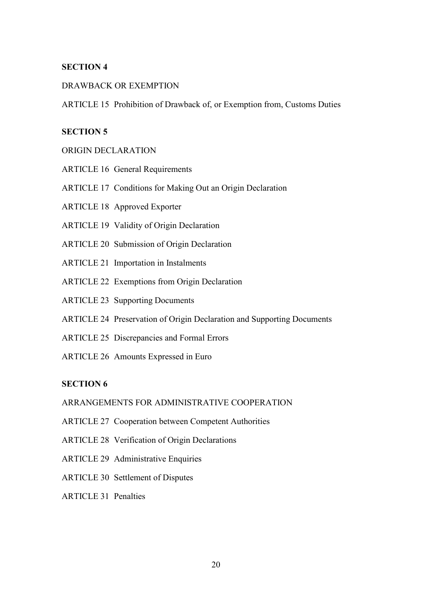### **SECTION 4**

#### DRAWBACK OR EXEMPTION

ARTICLE 15 Prohibition of Drawback of, or Exemption from, Customs Duties

# **SECTION 5**

#### ORIGIN DECLARATION

- ARTICLE 16 General Requirements
- ARTICLE 17 Conditions for Making Out an Origin Declaration
- ARTICLE 18 Approved Exporter
- ARTICLE 19 Validity of Origin Declaration
- ARTICLE 20 Submission of Origin Declaration
- ARTICLE 21 Importation in Instalments
- ARTICLE 22 Exemptions from Origin Declaration
- ARTICLE 23 Supporting Documents
- ARTICLE 24 Preservation of Origin Declaration and Supporting Documents
- ARTICLE 25 Discrepancies and Formal Errors
- ARTICLE 26 Amounts Expressed in Euro

## **SECTION 6**

## ARRANGEMENTS FOR ADMINISTRATIVE COOPERATION

- ARTICLE 27 Cooperation between Competent Authorities
- ARTICLE 28 Verification of Origin Declarations
- ARTICLE 29 Administrative Enquiries
- ARTICLE 30 Settlement of Disputes
- ARTICLE 31 Penalties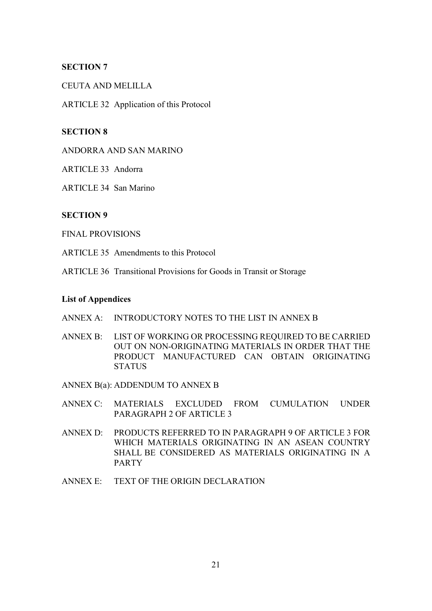## **SECTION 7**

### CEUTA AND MELILLA

ARTICLE 32 Application of this Protocol

## **SECTION 8**

ANDORRA AND SAN MARINO

ARTICLE 33 Andorra

ARTICLE 34 San Marino

#### **SECTION 9**

FINAL PROVISIONS

ARTICLE 35 Amendments to this Protocol

ARTICLE 36 Transitional Provisions for Goods in Transit or Storage

#### **List of Appendices**

- ANNEX A: INTRODUCTORY NOTES TO THE LIST IN ANNEX B
- ANNEX B: LIST OF WORKING OR PROCESSING REQUIRED TO BE CARRIED OUT ON NON-ORIGINATING MATERIALS IN ORDER THAT THE PRODUCT MANUFACTURED CAN OBTAIN ORIGINATING **STATUS**

ANNEX B(a): ADDENDUM TO ANNEX B

- ANNEX C: MATERIALS EXCLUDED FROM CUMULATION UNDER PARAGRAPH 2 OF ARTICLE 3
- ANNEX D: PRODUCTS REFERRED TO IN PARAGRAPH 9 OF ARTICLE 3 FOR WHICH MATERIALS ORIGINATING IN AN ASEAN COUNTRY SHALL BE CONSIDERED AS MATERIALS ORIGINATING IN A PARTY
- ANNEX E: TEXT OF THE ORIGIN DECLARATION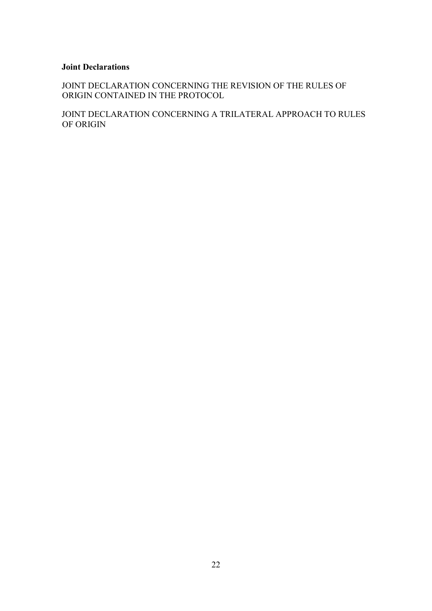## **Joint Declarations**

JOINT DECLARATION CONCERNING THE REVISION OF THE RULES OF ORIGIN CONTAINED IN THE PROTOCOL

JOINT DECLARATION CONCERNING A TRILATERAL APPROACH TO RULES OF ORIGIN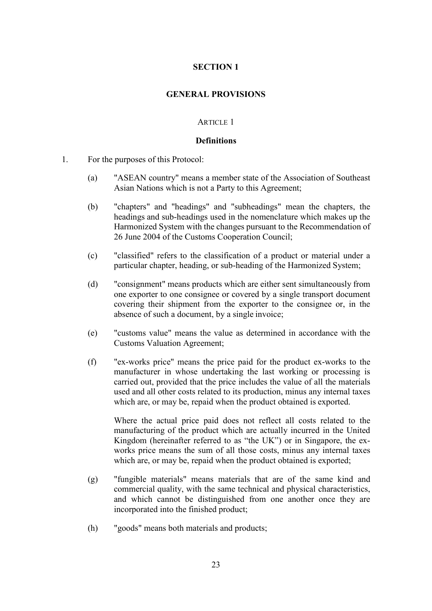## **SECTION 1**

#### **GENERAL PROVISIONS**

#### ARTICLE 1

#### **Definitions**

- 1. For the purposes of this Protocol:
	- (a) "ASEAN country" means a member state of the Association of Southeast Asian Nations which is not a Party to this Agreement;
	- (b) "chapters" and "headings" and "subheadings" mean the chapters, the headings and sub-headings used in the nomenclature which makes up the Harmonized System with the changes pursuant to the Recommendation of 26 June 2004 of the Customs Cooperation Council;
	- (c) "classified" refers to the classification of a product or material under a particular chapter, heading, or sub-heading of the Harmonized System;
	- (d) "consignment" means products which are either sent simultaneously from one exporter to one consignee or covered by a single transport document covering their shipment from the exporter to the consignee or, in the absence of such a document, by a single invoice;
	- (e) "customs value" means the value as determined in accordance with the Customs Valuation Agreement;
	- (f) "ex-works price" means the price paid for the product ex-works to the manufacturer in whose undertaking the last working or processing is carried out, provided that the price includes the value of all the materials used and all other costs related to its production, minus any internal taxes which are, or may be, repaid when the product obtained is exported.

Where the actual price paid does not reflect all costs related to the manufacturing of the product which are actually incurred in the United Kingdom (hereinafter referred to as "the UK") or in Singapore, the exworks price means the sum of all those costs, minus any internal taxes which are, or may be, repaid when the product obtained is exported;

- (g) "fungible materials" means materials that are of the same kind and commercial quality, with the same technical and physical characteristics, and which cannot be distinguished from one another once they are incorporated into the finished product;
- (h) "goods" means both materials and products;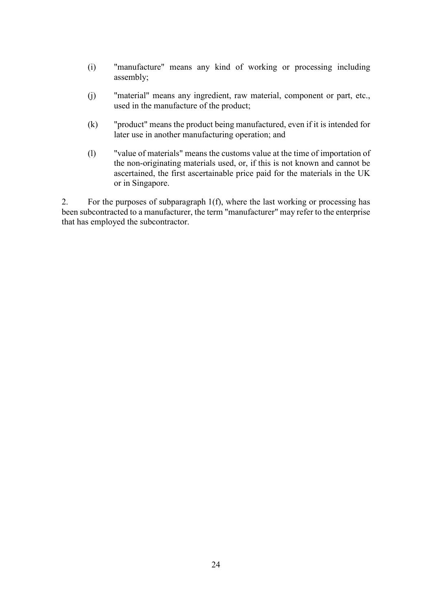- (i) "manufacture" means any kind of working or processing including assembly;
- (j) "material" means any ingredient, raw material, component or part, etc., used in the manufacture of the product;
- (k) "product" means the product being manufactured, even if it is intended for later use in another manufacturing operation; and
- (l) "value of materials" means the customs value at the time of importation of the non-originating materials used, or, if this is not known and cannot be ascertained, the first ascertainable price paid for the materials in the UK or in Singapore.

2. For the purposes of subparagraph 1(f), where the last working or processing has been subcontracted to a manufacturer, the term "manufacturer" may refer to the enterprise that has employed the subcontractor.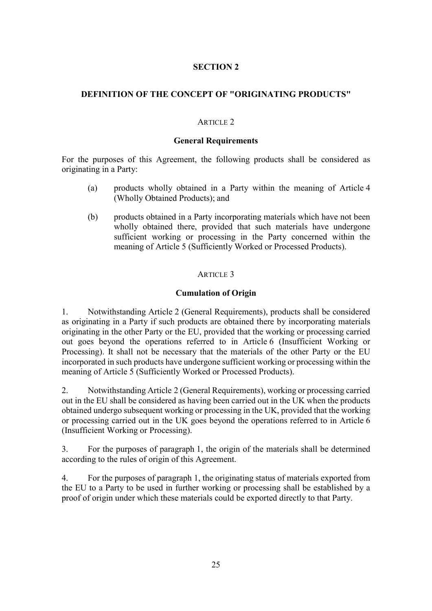# **SECTION 2**

# **DEFINITION OF THE CONCEPT OF "ORIGINATING PRODUCTS"**

### ARTICLE 2

### **General Requirements**

For the purposes of this Agreement, the following products shall be considered as originating in a Party:

- (a) products wholly obtained in a Party within the meaning of Article 4 (Wholly Obtained Products); and
- (b) products obtained in a Party incorporating materials which have not been wholly obtained there, provided that such materials have undergone sufficient working or processing in the Party concerned within the meaning of Article 5 (Sufficiently Worked or Processed Products).

## ARTICLE 3

## **Cumulation of Origin**

1. Notwithstanding Article 2 (General Requirements), products shall be considered as originating in a Party if such products are obtained there by incorporating materials originating in the other Party or the EU, provided that the working or processing carried out goes beyond the operations referred to in Article 6 (Insufficient Working or Processing). It shall not be necessary that the materials of the other Party or the EU incorporated in such products have undergone sufficient working or processing within the meaning of Article 5 (Sufficiently Worked or Processed Products).

2. Notwithstanding Article 2 (General Requirements), working or processing carried out in the EU shall be considered as having been carried out in the UK when the products obtained undergo subsequent working or processing in the UK, provided that the working or processing carried out in the UK goes beyond the operations referred to in Article 6 (Insufficient Working or Processing).

3. For the purposes of paragraph 1, the origin of the materials shall be determined according to the rules of origin of this Agreement.

4. For the purposes of paragraph 1, the originating status of materials exported from the EU to a Party to be used in further working or processing shall be established by a proof of origin under which these materials could be exported directly to that Party.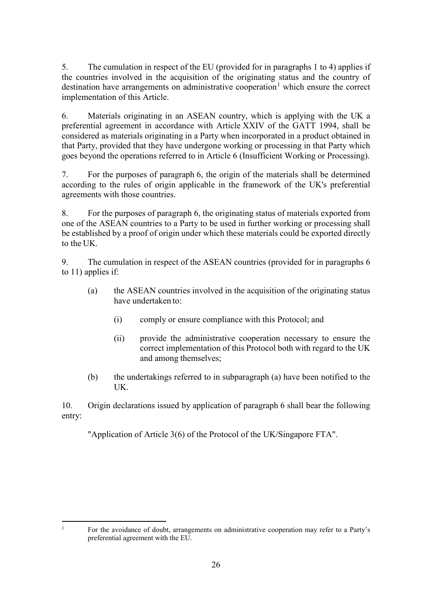5. The cumulation in respect of the EU (provided for in paragraphs 1 to 4) applies if the countries involved in the acquisition of the originating status and the country of destination have arrangements on administrative cooperation<sup>[1](#page-25-0)</sup> which ensure the correct implementation of this Article.

6. Materials originating in an ASEAN country, which is applying with the UK a preferential agreement in accordance with Article XXIV of the GATT 1994, shall be considered as materials originating in a Party when incorporated in a product obtained in that Party, provided that they have undergone working or processing in that Party which goes beyond the operations referred to in Article 6 (Insufficient Working or Processing).

7. For the purposes of paragraph 6, the origin of the materials shall be determined according to the rules of origin applicable in the framework of the UK's preferential agreements with those countries.

8. For the purposes of paragraph 6, the originating status of materials exported from one of the ASEAN countries to a Party to be used in further working or processing shall be established by a proof of origin under which these materials could be exported directly to the UK.

9. The cumulation in respect of the ASEAN countries (provided for in paragraphs 6 to 11) applies if:

- (a) the ASEAN countries involved in the acquisition of the originating status have undertaken to:
	- (i) comply or ensure compliance with this Protocol; and
	- (ii) provide the administrative cooperation necessary to ensure the correct implementation of this Protocol both with regard to the UK and among themselves;
- (b) the undertakings referred to in subparagraph (a) have been notified to the UK.

10. Origin declarations issued by application of paragraph 6 shall bear the following entry:

"Application of Article 3(6) of the Protocol of the UK/Singapore FTA".

<sup>1</sup> For the avoidance of doubt, arrangements on administrative cooperation may refer to a Party's preferential agreement with the EU.

<span id="page-25-0"></span> $\overline{1}$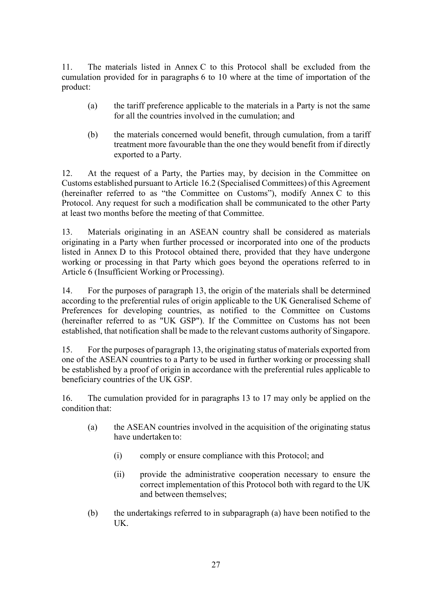11. The materials listed in Annex C to this Protocol shall be excluded from the cumulation provided for in paragraphs 6 to 10 where at the time of importation of the product:

- (a) the tariff preference applicable to the materials in a Party is not the same for all the countries involved in the cumulation; and
- (b) the materials concerned would benefit, through cumulation, from a tariff treatment more favourable than the one they would benefit from if directly exported to a Party.

12. At the request of a Party, the Parties may, by decision in the Committee on Customs established pursuant to Article 16.2 (Specialised Committees) of this Agreement (hereinafter referred to as "the Committee on Customs"), modify Annex C to this Protocol. Any request for such a modification shall be communicated to the other Party at least two months before the meeting of that Committee.

13. Materials originating in an ASEAN country shall be considered as materials originating in a Party when further processed or incorporated into one of the products listed in Annex D to this Protocol obtained there, provided that they have undergone working or processing in that Party which goes beyond the operations referred to in Article 6 (Insufficient Working or Processing).

14. For the purposes of paragraph 13, the origin of the materials shall be determined according to the preferential rules of origin applicable to the UK Generalised Scheme of Preferences for developing countries, as notified to the Committee on Customs (hereinafter referred to as "UK GSP"). If the Committee on Customs has not been established, that notification shall be made to the relevant customs authority of Singapore.

15. For the purposes of paragraph 13, the originating status of materials exported from one of the ASEAN countries to a Party to be used in further working or processing shall be established by a proof of origin in accordance with the preferential rules applicable to beneficiary countries of the UK GSP.

16. The cumulation provided for in paragraphs 13 to 17 may only be applied on the condition that:

- (a) the ASEAN countries involved in the acquisition of the originating status have undertaken to:
	- (i) comply or ensure compliance with this Protocol; and
	- (ii) provide the administrative cooperation necessary to ensure the correct implementation of this Protocol both with regard to the UK and between themselves;
- (b) the undertakings referred to in subparagraph (a) have been notified to the UK.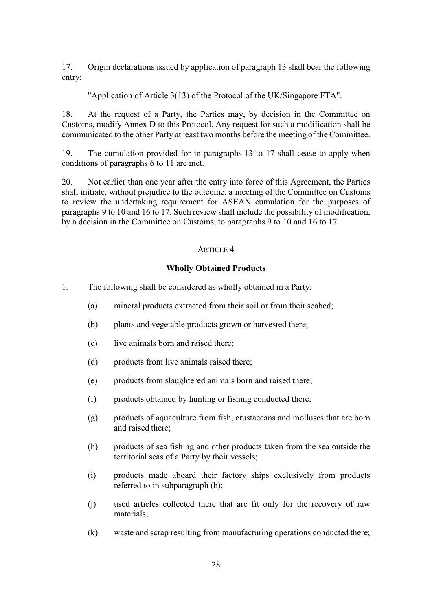17. Origin declarations issued by application of paragraph 13 shall bear the following entry:

"Application of Article 3(13) of the Protocol of the UK/Singapore FTA".

18. At the request of a Party, the Parties may, by decision in the Committee on Customs, modify Annex D to this Protocol. Any request for such a modification shall be communicated to the other Party at least two months before the meeting of the Committee.

19. The cumulation provided for in paragraphs 13 to 17 shall cease to apply when conditions of paragraphs 6 to 11 are met.

20. Not earlier than one year after the entry into force of this Agreement, the Parties shall initiate, without prejudice to the outcome, a meeting of the Committee on Customs to review the undertaking requirement for ASEAN cumulation for the purposes of paragraphs 9 to 10 and 16 to 17. Such review shall include the possibility of modification, by a decision in the Committee on Customs, to paragraphs 9 to 10 and 16 to 17.

## ARTICLE 4

## **Wholly Obtained Products**

- 1. The following shall be considered as wholly obtained in a Party:
	- (a) mineral products extracted from their soil or from their seabed;
	- (b) plants and vegetable products grown or harvested there;
	- (c) live animals born and raised there;
	- (d) products from live animals raised there;
	- (e) products from slaughtered animals born and raised there;
	- (f) products obtained by hunting or fishing conducted there;
	- (g) products of aquaculture from fish, crustaceans and molluscs that are born and raised there;
	- (h) products of sea fishing and other products taken from the sea outside the territorial seas of a Party by their vessels;
	- (i) products made aboard their factory ships exclusively from products referred to in subparagraph (h);
	- (j) used articles collected there that are fit only for the recovery of raw materials;
	- (k) waste and scrap resulting from manufacturing operations conducted there;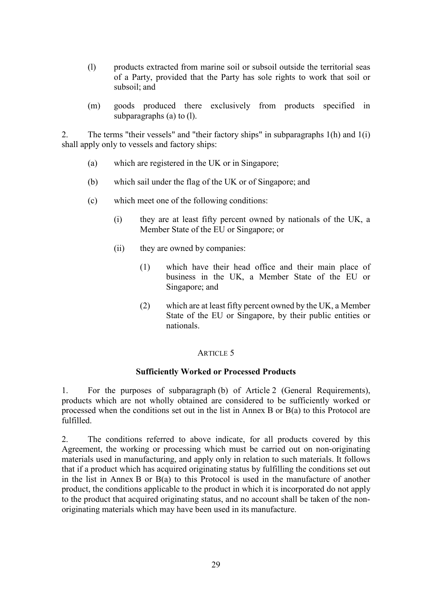- (l) products extracted from marine soil or subsoil outside the territorial seas of a Party, provided that the Party has sole rights to work that soil or subsoil; and
- (m) goods produced there exclusively from products specified in subparagraphs (a) to (l).

2. The terms "their vessels" and "their factory ships" in subparagraphs 1(h) and 1(i) shall apply only to vessels and factory ships:

- (a) which are registered in the UK or in Singapore;
- (b) which sail under the flag of the UK or of Singapore; and
- (c) which meet one of the following conditions:
	- (i) they are at least fifty percent owned by nationals of the UK, a Member State of the EU or Singapore; or
	- (ii) they are owned by companies:
		- (1) which have their head office and their main place of business in the UK, a Member State of the EU or Singapore; and
		- (2) which are at least fifty percent owned by the UK, a Member State of the EU or Singapore, by their public entities or nationals.

#### ARTICLE<sub>5</sub>

#### **Sufficiently Worked or Processed Products**

1. For the purposes of subparagraph (b) of Article 2 (General Requirements), products which are not wholly obtained are considered to be sufficiently worked or processed when the conditions set out in the list in Annex B or B(a) to this Protocol are fulfilled.

2. The conditions referred to above indicate, for all products covered by this Agreement, the working or processing which must be carried out on non-originating materials used in manufacturing, and apply only in relation to such materials. It follows that if a product which has acquired originating status by fulfilling the conditions set out in the list in Annex B or B(a) to this Protocol is used in the manufacture of another product, the conditions applicable to the product in which it is incorporated do not apply to the product that acquired originating status, and no account shall be taken of the nonoriginating materials which may have been used in its manufacture.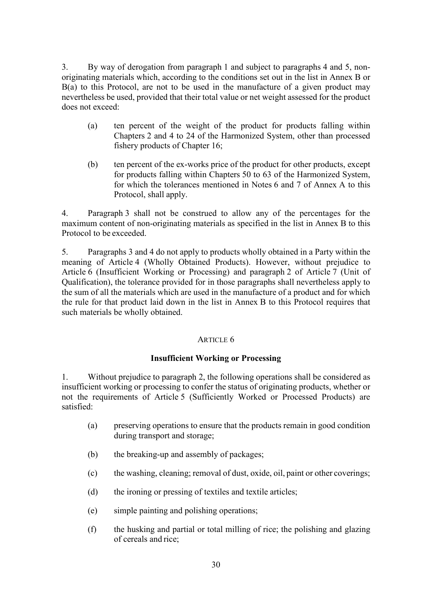3. By way of derogation from paragraph 1 and subject to paragraphs 4 and 5, nonoriginating materials which, according to the conditions set out in the list in Annex B or  $B(a)$  to this Protocol, are not to be used in the manufacture of a given product may nevertheless be used, provided that their total value or net weight assessed for the product does not exceed:

- (a) ten percent of the weight of the product for products falling within Chapters 2 and 4 to 24 of the Harmonized System, other than processed fishery products of Chapter 16;
- (b) ten percent of the ex-works price of the product for other products, except for products falling within Chapters 50 to 63 of the Harmonized System, for which the tolerances mentioned in Notes 6 and 7 of Annex A to this Protocol, shall apply.

4. Paragraph 3 shall not be construed to allow any of the percentages for the maximum content of non-originating materials as specified in the list in Annex B to this Protocol to be exceeded.

5. Paragraphs 3 and 4 do not apply to products wholly obtained in a Party within the meaning of Article 4 (Wholly Obtained Products). However, without prejudice to Article 6 (Insufficient Working or Processing) and paragraph 2 of Article 7 (Unit of Qualification), the tolerance provided for in those paragraphs shall nevertheless apply to the sum of all the materials which are used in the manufacture of a product and for which the rule for that product laid down in the list in Annex B to this Protocol requires that such materials be wholly obtained.

## ARTICLE 6

## **Insufficient Working or Processing**

1. Without prejudice to paragraph 2, the following operations shall be considered as insufficient working or processing to confer the status of originating products, whether or not the requirements of Article 5 (Sufficiently Worked or Processed Products) are satisfied:

- (a) preserving operations to ensure that the products remain in good condition during transport and storage;
- (b) the breaking-up and assembly of packages;
- (c) the washing, cleaning; removal of dust, oxide, oil, paint or other coverings;
- (d) the ironing or pressing of textiles and textile articles;
- (e) simple painting and polishing operations;
- (f) the husking and partial or total milling of rice; the polishing and glazing of cereals and rice;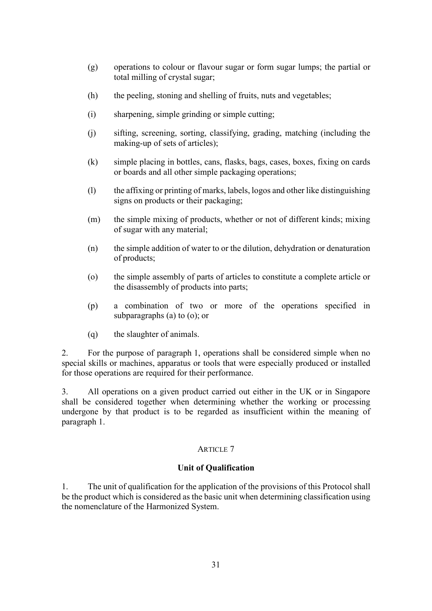- (g) operations to colour or flavour sugar or form sugar lumps; the partial or total milling of crystal sugar;
- (h) the peeling, stoning and shelling of fruits, nuts and vegetables;
- (i) sharpening, simple grinding or simple cutting;
- (j) sifting, screening, sorting, classifying, grading, matching (including the making-up of sets of articles);
- (k) simple placing in bottles, cans, flasks, bags, cases, boxes, fixing on cards or boards and all other simple packaging operations;
- (l) the affixing or printing of marks, labels, logos and other like distinguishing signs on products or their packaging;
- (m) the simple mixing of products, whether or not of different kinds; mixing of sugar with any material;
- (n) the simple addition of water to or the dilution, dehydration or denaturation of products;
- (o) the simple assembly of parts of articles to constitute a complete article or the disassembly of products into parts;
- (p) a combination of two or more of the operations specified in subparagraphs (a) to (o); or
- (q) the slaughter of animals.

2. For the purpose of paragraph 1, operations shall be considered simple when no special skills or machines, apparatus or tools that were especially produced or installed for those operations are required for their performance.

3. All operations on a given product carried out either in the UK or in Singapore shall be considered together when determining whether the working or processing undergone by that product is to be regarded as insufficient within the meaning of paragraph 1.

#### ARTICLE 7

#### **Unit of Qualification**

1. The unit of qualification for the application of the provisions of this Protocol shall be the product which is considered as the basic unit when determining classification using the nomenclature of the Harmonized System.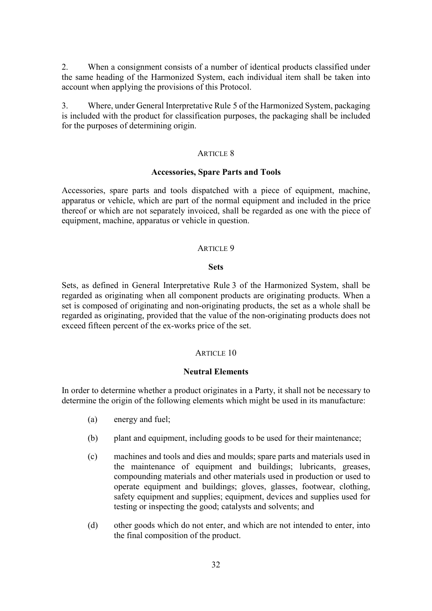2. When a consignment consists of a number of identical products classified under the same heading of the Harmonized System, each individual item shall be taken into account when applying the provisions of this Protocol.

3. Where, under General Interpretative Rule 5 of the Harmonized System, packaging is included with the product for classification purposes, the packaging shall be included for the purposes of determining origin.

#### ARTICLE 8

#### **Accessories, Spare Parts and Tools**

Accessories, spare parts and tools dispatched with a piece of equipment, machine, apparatus or vehicle, which are part of the normal equipment and included in the price thereof or which are not separately invoiced, shall be regarded as one with the piece of equipment, machine, apparatus or vehicle in question.

#### ARTICLE 9

#### **Sets**

Sets, as defined in General Interpretative Rule 3 of the Harmonized System, shall be regarded as originating when all component products are originating products. When a set is composed of originating and non-originating products, the set as a whole shall be regarded as originating, provided that the value of the non-originating products does not exceed fifteen percent of the ex-works price of the set.

#### ARTICLE 10

#### **Neutral Elements**

In order to determine whether a product originates in a Party, it shall not be necessary to determine the origin of the following elements which might be used in its manufacture:

- (a) energy and fuel;
- (b) plant and equipment, including goods to be used for their maintenance;
- (c) machines and tools and dies and moulds; spare parts and materials used in the maintenance of equipment and buildings; lubricants, greases, compounding materials and other materials used in production or used to operate equipment and buildings; gloves, glasses, footwear, clothing, safety equipment and supplies; equipment, devices and supplies used for testing or inspecting the good; catalysts and solvents; and
- (d) other goods which do not enter, and which are not intended to enter, into the final composition of the product.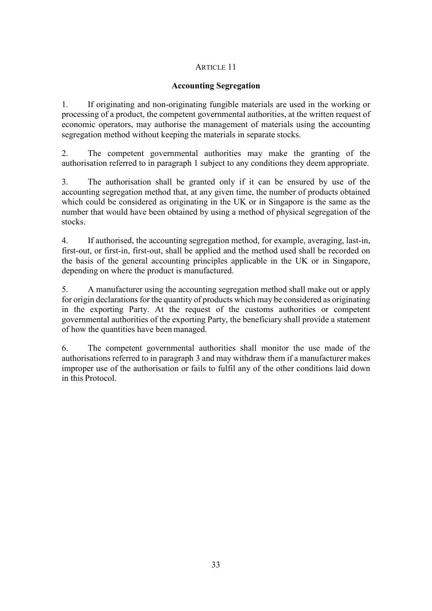# ARTICLE 11

## **Accounting Segregation**

1. If originating and non-originating fungible materials are used in the working or processing of a product, the competent governmental authorities, at the written request of economic operators, may authorise the management of materials using the accounting segregation method without keeping the materials in separate stocks.

2. The competent governmental authorities may make the granting of the authorisation referred to in paragraph 1 subject to any conditions they deem appropriate.

3. The authorisation shall be granted only if it can be ensured by use of the accounting segregation method that, at any given time, the number of products obtained which could be considered as originating in the UK or in Singapore is the same as the number that would have been obtained by using a method of physical segregation of the stocks.

4. If authorised, the accounting segregation method, for example, averaging, last-in, first-out, or first-in, first-out, shall be applied and the method used shall be recorded on the basis of the general accounting principles applicable in the UK or in Singapore, depending on where the product is manufactured.

5. A manufacturer using the accounting segregation method shall make out or apply for origin declarations for the quantity of products which may be considered as originating in the exporting Party. At the request of the customs authorities or competent governmental authorities of the exporting Party, the beneficiary shall provide a statement of how the quantities have been managed.

6. The competent governmental authorities shall monitor the use made of the authorisations referred to in paragraph 3 and may withdraw them if a manufacturer makes improper use of the authorisation or fails to fulfil any of the other conditions laid down in this Protocol.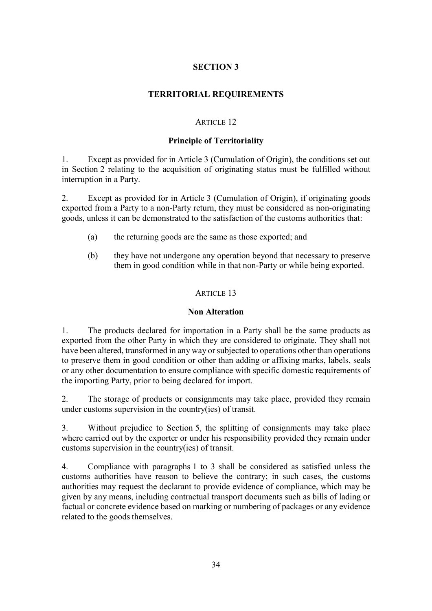# **SECTION 3**

## **TERRITORIAL REQUIREMENTS**

## ARTICLE 12

## **Principle of Territoriality**

1. Except as provided for in Article 3 (Cumulation of Origin), the conditions set out in Section 2 relating to the acquisition of originating status must be fulfilled without interruption in a Party.

2. Except as provided for in Article 3 (Cumulation of Origin), if originating goods exported from a Party to a non-Party return, they must be considered as non-originating goods, unless it can be demonstrated to the satisfaction of the customs authorities that:

- (a) the returning goods are the same as those exported; and
- (b) they have not undergone any operation beyond that necessary to preserve them in good condition while in that non-Party or while being exported.

#### ARTICLE 13

#### **Non Alteration**

1. The products declared for importation in a Party shall be the same products as exported from the other Party in which they are considered to originate. They shall not have been altered, transformed in any way or subjected to operations other than operations to preserve them in good condition or other than adding or affixing marks, labels, seals or any other documentation to ensure compliance with specific domestic requirements of the importing Party, prior to being declared for import.

2. The storage of products or consignments may take place, provided they remain under customs supervision in the country(ies) of transit.

3. Without prejudice to Section 5, the splitting of consignments may take place where carried out by the exporter or under his responsibility provided they remain under customs supervision in the country(ies) of transit.

4. Compliance with paragraphs 1 to 3 shall be considered as satisfied unless the customs authorities have reason to believe the contrary; in such cases, the customs authorities may request the declarant to provide evidence of compliance, which may be given by any means, including contractual transport documents such as bills of lading or factual or concrete evidence based on marking or numbering of packages or any evidence related to the goods themselves.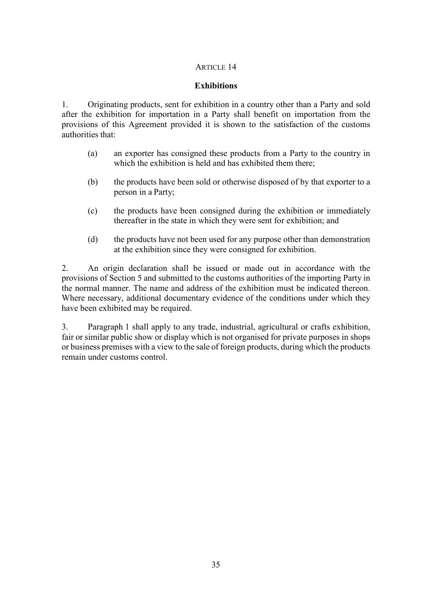## ARTICLE 14

### **Exhibitions**

1. Originating products, sent for exhibition in a country other than a Party and sold after the exhibition for importation in a Party shall benefit on importation from the provisions of this Agreement provided it is shown to the satisfaction of the customs authorities that:

- (a) an exporter has consigned these products from a Party to the country in which the exhibition is held and has exhibited them there;
- (b) the products have been sold or otherwise disposed of by that exporter to a person in a Party;
- (c) the products have been consigned during the exhibition or immediately thereafter in the state in which they were sent for exhibition; and
- (d) the products have not been used for any purpose other than demonstration at the exhibition since they were consigned for exhibition.

2. An origin declaration shall be issued or made out in accordance with the provisions of Section 5 and submitted to the customs authorities of the importing Party in the normal manner. The name and address of the exhibition must be indicated thereon. Where necessary, additional documentary evidence of the conditions under which they have been exhibited may be required.

3. Paragraph 1 shall apply to any trade, industrial, agricultural or crafts exhibition, fair or similar public show or display which is not organised for private purposes in shops or business premises with a view to the sale of foreign products, during which the products remain under customs control.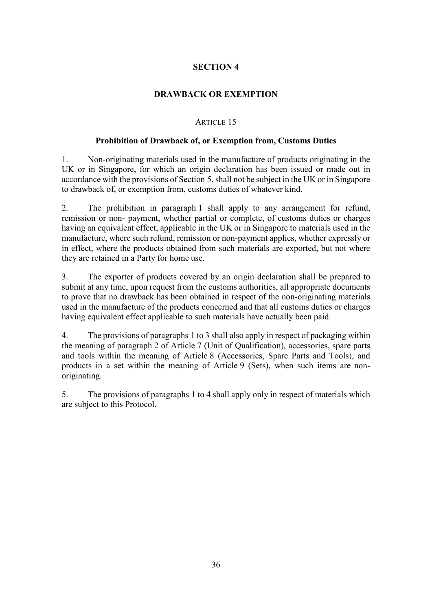# **SECTION 4**

## **DRAWBACK OR EXEMPTION**

## ARTICLE 15

#### **Prohibition of Drawback of, or Exemption from, Customs Duties**

1. Non-originating materials used in the manufacture of products originating in the UK or in Singapore, for which an origin declaration has been issued or made out in accordance with the provisions of Section 5, shall not be subject in the UK or in Singapore to drawback of, or exemption from, customs duties of whatever kind.

2. The prohibition in paragraph 1 shall apply to any arrangement for refund, remission or non- payment, whether partial or complete, of customs duties or charges having an equivalent effect, applicable in the UK or in Singapore to materials used in the manufacture, where such refund, remission or non-payment applies, whether expressly or in effect, where the products obtained from such materials are exported, but not where they are retained in a Party for home use.

3. The exporter of products covered by an origin declaration shall be prepared to submit at any time, upon request from the customs authorities, all appropriate documents to prove that no drawback has been obtained in respect of the non-originating materials used in the manufacture of the products concerned and that all customs duties or charges having equivalent effect applicable to such materials have actually been paid.

4. The provisions of paragraphs 1 to 3 shall also apply in respect of packaging within the meaning of paragraph 2 of Article 7 (Unit of Qualification), accessories, spare parts and tools within the meaning of Article 8 (Accessories, Spare Parts and Tools), and products in a set within the meaning of Article 9 (Sets), when such items are nonoriginating.

5. The provisions of paragraphs 1 to 4 shall apply only in respect of materials which are subject to this Protocol.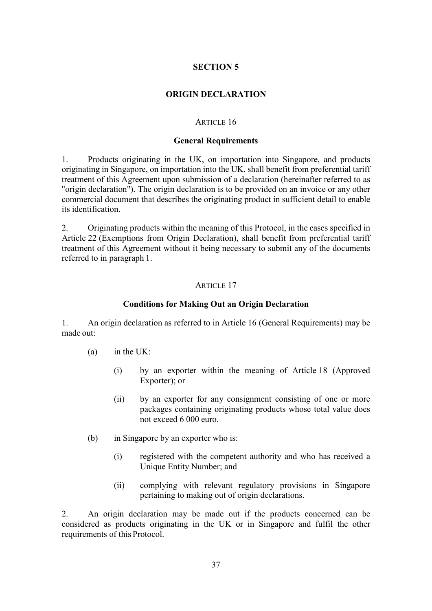## **ORIGIN DECLARATION**

### ARTICLE 16

### **General Requirements**

1. Products originating in the UK, on importation into Singapore, and products originating in Singapore, on importation into the UK, shall benefit from preferential tariff treatment of this Agreement upon submission of a declaration (hereinafter referred to as "origin declaration"). The origin declaration is to be provided on an invoice or any other commercial document that describes the originating product in sufficient detail to enable its identification.

2. Originating products within the meaning of this Protocol, in the cases specified in Article 22 (Exemptions from Origin Declaration), shall benefit from preferential tariff treatment of this Agreement without it being necessary to submit any of the documents referred to in paragraph 1.

## ARTICLE 17

## **Conditions for Making Out an Origin Declaration**

1. An origin declaration as referred to in Article 16 (General Requirements) may be made out:

- (a) in the UK:
	- (i) by an exporter within the meaning of Article 18 (Approved Exporter); or
	- (ii) by an exporter for any consignment consisting of one or more packages containing originating products whose total value does not exceed 6 000 euro.
- (b) in Singapore by an exporter who is:
	- (i) registered with the competent authority and who has received a Unique Entity Number; and
	- (ii) complying with relevant regulatory provisions in Singapore pertaining to making out of origin declarations.

2. An origin declaration may be made out if the products concerned can be considered as products originating in the UK or in Singapore and fulfil the other requirements of this Protocol.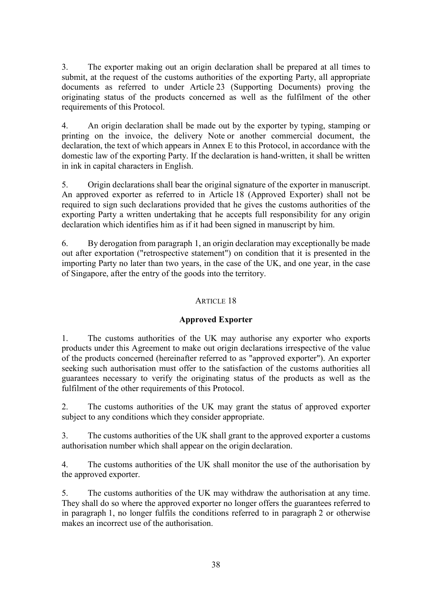3. The exporter making out an origin declaration shall be prepared at all times to submit, at the request of the customs authorities of the exporting Party, all appropriate documents as referred to under Article 23 (Supporting Documents) proving the originating status of the products concerned as well as the fulfilment of the other requirements of this Protocol.

4. An origin declaration shall be made out by the exporter by typing, stamping or printing on the invoice, the delivery Note or another commercial document, the declaration, the text of which appears in Annex E to this Protocol, in accordance with the domestic law of the exporting Party. If the declaration is hand-written, it shall be written in ink in capital characters in English.

5. Origin declarations shall bear the original signature of the exporter in manuscript. An approved exporter as referred to in Article 18 (Approved Exporter) shall not be required to sign such declarations provided that he gives the customs authorities of the exporting Party a written undertaking that he accepts full responsibility for any origin declaration which identifies him as if it had been signed in manuscript by him.

6. By derogation from paragraph 1, an origin declaration may exceptionally be made out after exportation ("retrospective statement") on condition that it is presented in the importing Party no later than two years, in the case of the UK, and one year, in the case of Singapore, after the entry of the goods into the territory.

# ARTICLE 18

# **Approved Exporter**

1. The customs authorities of the UK may authorise any exporter who exports products under this Agreement to make out origin declarations irrespective of the value of the products concerned (hereinafter referred to as "approved exporter"). An exporter seeking such authorisation must offer to the satisfaction of the customs authorities all guarantees necessary to verify the originating status of the products as well as the fulfilment of the other requirements of this Protocol.

2. The customs authorities of the UK may grant the status of approved exporter subject to any conditions which they consider appropriate.

3. The customs authorities of the UK shall grant to the approved exporter a customs authorisation number which shall appear on the origin declaration.

4. The customs authorities of the UK shall monitor the use of the authorisation by the approved exporter.

5. The customs authorities of the UK may withdraw the authorisation at any time. They shall do so where the approved exporter no longer offers the guarantees referred to in paragraph 1, no longer fulfils the conditions referred to in paragraph 2 or otherwise makes an incorrect use of the authorisation.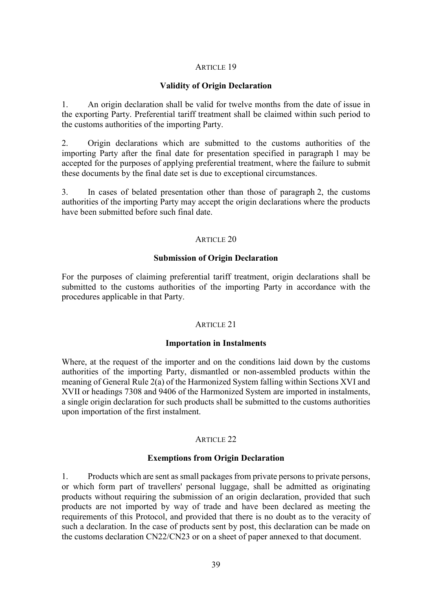### ARTICLE 19

## **Validity of Origin Declaration**

1. An origin declaration shall be valid for twelve months from the date of issue in the exporting Party. Preferential tariff treatment shall be claimed within such period to the customs authorities of the importing Party.

2. Origin declarations which are submitted to the customs authorities of the importing Party after the final date for presentation specified in paragraph 1 may be accepted for the purposes of applying preferential treatment, where the failure to submit these documents by the final date set is due to exceptional circumstances.

3. In cases of belated presentation other than those of paragraph 2, the customs authorities of the importing Party may accept the origin declarations where the products have been submitted before such final date.

#### ARTICLE 20

### **Submission of Origin Declaration**

For the purposes of claiming preferential tariff treatment, origin declarations shall be submitted to the customs authorities of the importing Party in accordance with the procedures applicable in that Party.

#### ARTICLE 21

#### **Importation in Instalments**

Where, at the request of the importer and on the conditions laid down by the customs authorities of the importing Party, dismantled or non-assembled products within the meaning of General Rule 2(a) of the Harmonized System falling within Sections XVI and XVII or headings 7308 and 9406 of the Harmonized System are imported in instalments, a single origin declaration for such products shall be submitted to the customs authorities upon importation of the first instalment.

## ARTICLE 22

## **Exemptions from Origin Declaration**

1. Products which are sent as small packages from private persons to private persons, or which form part of travellers' personal luggage, shall be admitted as originating products without requiring the submission of an origin declaration, provided that such products are not imported by way of trade and have been declared as meeting the requirements of this Protocol, and provided that there is no doubt as to the veracity of such a declaration. In the case of products sent by post, this declaration can be made on the customs declaration CN22/CN23 or on a sheet of paper annexed to that document.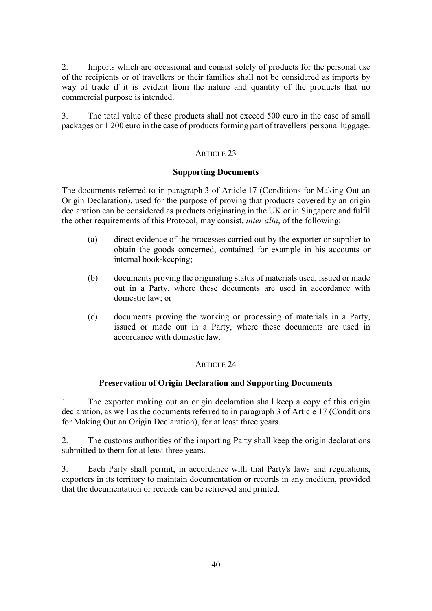2. Imports which are occasional and consist solely of products for the personal use of the recipients or of travellers or their families shall not be considered as imports by way of trade if it is evident from the nature and quantity of the products that no commercial purpose is intended.

3. The total value of these products shall not exceed 500 euro in the case of small packages or 1 200 euro in the case of products forming part of travellers' personal luggage.

## ARTICLE 23

## **Supporting Documents**

The documents referred to in paragraph 3 of Article 17 (Conditions for Making Out an Origin Declaration), used for the purpose of proving that products covered by an origin declaration can be considered as products originating in the UK or in Singapore and fulfil the other requirements of this Protocol, may consist, *inter alia*, of the following:

- (a) direct evidence of the processes carried out by the exporter or supplier to obtain the goods concerned, contained for example in his accounts or internal book-keeping;
- (b) documents proving the originating status of materials used, issued or made out in a Party, where these documents are used in accordance with domestic law; or
- (c) documents proving the working or processing of materials in a Party, issued or made out in a Party, where these documents are used in accordance with domestic law.

# ARTICLE 24

## **Preservation of Origin Declaration and Supporting Documents**

1. The exporter making out an origin declaration shall keep a copy of this origin declaration, as well as the documents referred to in paragraph 3 of Article 17 (Conditions for Making Out an Origin Declaration), for at least three years.

2. The customs authorities of the importing Party shall keep the origin declarations submitted to them for at least three years.

3. Each Party shall permit, in accordance with that Party's laws and regulations, exporters in its territory to maintain documentation or records in any medium, provided that the documentation or records can be retrieved and printed.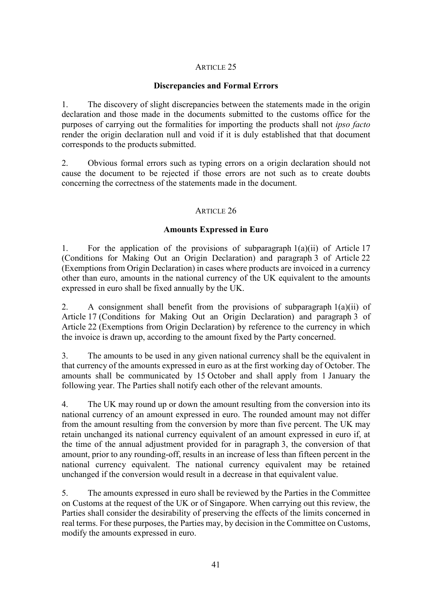## ARTICLE 25

## **Discrepancies and Formal Errors**

1. The discovery of slight discrepancies between the statements made in the origin declaration and those made in the documents submitted to the customs office for the purposes of carrying out the formalities for importing the products shall not *ipso facto*  render the origin declaration null and void if it is duly established that that document corresponds to the products submitted.

2. Obvious formal errors such as typing errors on a origin declaration should not cause the document to be rejected if those errors are not such as to create doubts concerning the correctness of the statements made in the document.

## ARTICLE 26

## **Amounts Expressed in Euro**

1. For the application of the provisions of subparagraph 1(a)(ii) of Article 17 (Conditions for Making Out an Origin Declaration) and paragraph 3 of Article 22 (Exemptions from Origin Declaration) in cases where products are invoiced in a currency other than euro, amounts in the national currency of the UK equivalent to the amounts expressed in euro shall be fixed annually by the UK.

2. A consignment shall benefit from the provisions of subparagraph  $1(a)(ii)$  of Article 17 (Conditions for Making Out an Origin Declaration) and paragraph 3 of Article 22 (Exemptions from Origin Declaration) by reference to the currency in which the invoice is drawn up, according to the amount fixed by the Party concerned.

3. The amounts to be used in any given national currency shall be the equivalent in that currency of the amounts expressed in euro as at the first working day of October. The amounts shall be communicated by 15 October and shall apply from 1 January the following year. The Parties shall notify each other of the relevant amounts.

4. The UK may round up or down the amount resulting from the conversion into its national currency of an amount expressed in euro. The rounded amount may not differ from the amount resulting from the conversion by more than five percent. The UK may retain unchanged its national currency equivalent of an amount expressed in euro if, at the time of the annual adjustment provided for in paragraph 3, the conversion of that amount, prior to any rounding-off, results in an increase of less than fifteen percent in the national currency equivalent. The national currency equivalent may be retained unchanged if the conversion would result in a decrease in that equivalent value.

5. The amounts expressed in euro shall be reviewed by the Parties in the Committee on Customs at the request of the UK or of Singapore. When carrying out this review, the Parties shall consider the desirability of preserving the effects of the limits concerned in real terms. For these purposes, the Parties may, by decision in the Committee on Customs, modify the amounts expressed in euro.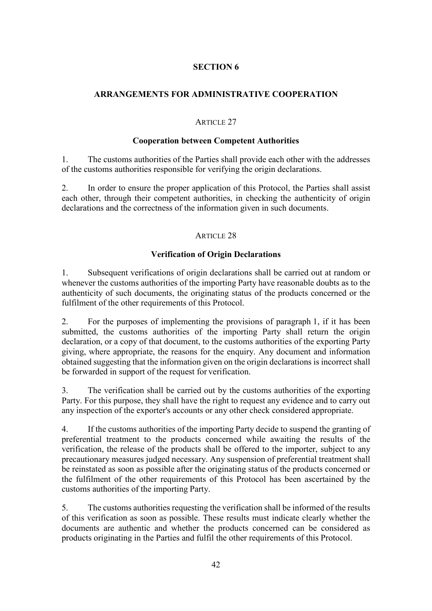# **ARRANGEMENTS FOR ADMINISTRATIVE COOPERATION**

## ARTICLE 27

## **Cooperation between Competent Authorities**

1. The customs authorities of the Parties shall provide each other with the addresses of the customs authorities responsible for verifying the origin declarations.

2. In order to ensure the proper application of this Protocol, the Parties shall assist each other, through their competent authorities, in checking the authenticity of origin declarations and the correctness of the information given in such documents.

## ARTICLE 28

# **Verification of Origin Declarations**

1. Subsequent verifications of origin declarations shall be carried out at random or whenever the customs authorities of the importing Party have reasonable doubts as to the authenticity of such documents, the originating status of the products concerned or the fulfilment of the other requirements of this Protocol.

2. For the purposes of implementing the provisions of paragraph 1, if it has been submitted, the customs authorities of the importing Party shall return the origin declaration, or a copy of that document, to the customs authorities of the exporting Party giving, where appropriate, the reasons for the enquiry. Any document and information obtained suggesting that the information given on the origin declarations is incorrect shall be forwarded in support of the request for verification.

3. The verification shall be carried out by the customs authorities of the exporting Party. For this purpose, they shall have the right to request any evidence and to carry out any inspection of the exporter's accounts or any other check considered appropriate.

4. If the customs authorities of the importing Party decide to suspend the granting of preferential treatment to the products concerned while awaiting the results of the verification, the release of the products shall be offered to the importer, subject to any precautionary measures judged necessary. Any suspension of preferential treatment shall be reinstated as soon as possible after the originating status of the products concerned or the fulfilment of the other requirements of this Protocol has been ascertained by the customs authorities of the importing Party.

5. The customs authorities requesting the verification shall be informed of the results of this verification as soon as possible. These results must indicate clearly whether the documents are authentic and whether the products concerned can be considered as products originating in the Parties and fulfil the other requirements of this Protocol.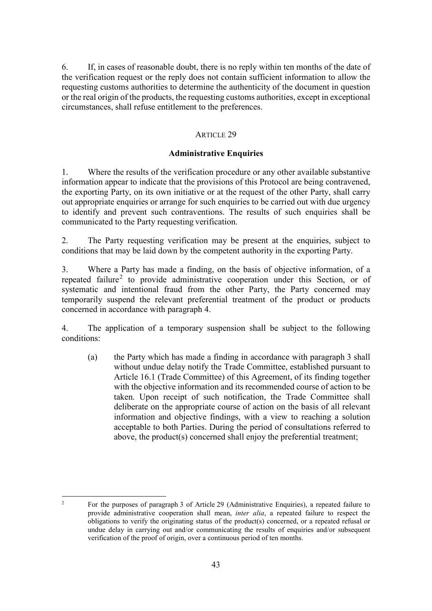6. If, in cases of reasonable doubt, there is no reply within ten months of the date of the verification request or the reply does not contain sufficient information to allow the requesting customs authorities to determine the authenticity of the document in question or the real origin of the products, the requesting customs authorities, except in exceptional circumstances, shall refuse entitlement to the preferences.

## ARTICLE 29

## **Administrative Enquiries**

1. Where the results of the verification procedure or any other available substantive information appear to indicate that the provisions of this Protocol are being contravened, the exporting Party, on its own initiative or at the request of the other Party, shall carry out appropriate enquiries or arrange for such enquiries to be carried out with due urgency to identify and prevent such contraventions. The results of such enquiries shall be communicated to the Party requesting verification.

2. The Party requesting verification may be present at the enquiries, subject to conditions that may be laid down by the competent authority in the exporting Party.

3. Where a Party has made a finding, on the basis of objective information, of a repeated failure<sup>[2](#page-42-0)</sup> to provide administrative cooperation under this Section, or of systematic and intentional fraud from the other Party, the Party concerned may temporarily suspend the relevant preferential treatment of the product or products concerned in accordance with paragraph 4.

4. The application of a temporary suspension shall be subject to the following conditions:

(a) the Party which has made a finding in accordance with paragraph 3 shall without undue delay notify the Trade Committee, established pursuant to Article 16.1 (Trade Committee) of this Agreement, of its finding together with the objective information and its recommended course of action to be taken. Upon receipt of such notification, the Trade Committee shall deliberate on the appropriate course of action on the basis of all relevant information and objective findings, with a view to reaching a solution acceptable to both Parties. During the period of consultations referred to above, the product(s) concerned shall enjoy the preferential treatment;

<span id="page-42-0"></span> $\overline{z}$ <sup>2</sup> For the purposes of paragraph 3 of Article 29 (Administrative Enquiries), a repeated failure to provide administrative cooperation shall mean, *inter alia*, a repeated failure to respect the obligations to verify the originating status of the product(s) concerned, or a repeated refusal or undue delay in carrying out and/or communicating the results of enquiries and/or subsequent verification of the proof of origin, over a continuous period of ten months.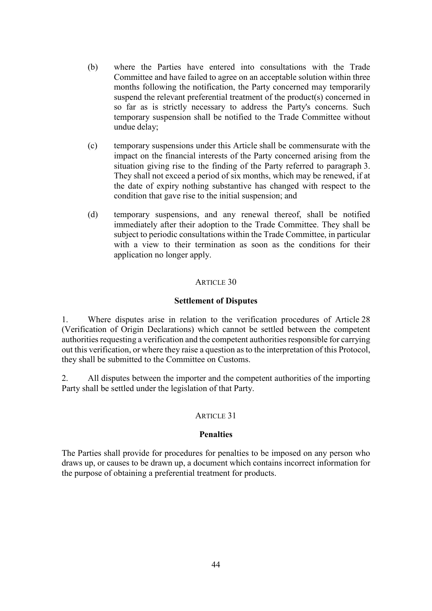- (b) where the Parties have entered into consultations with the Trade Committee and have failed to agree on an acceptable solution within three months following the notification, the Party concerned may temporarily suspend the relevant preferential treatment of the product(s) concerned in so far as is strictly necessary to address the Party's concerns. Such temporary suspension shall be notified to the Trade Committee without undue delay;
- (c) temporary suspensions under this Article shall be commensurate with the impact on the financial interests of the Party concerned arising from the situation giving rise to the finding of the Party referred to paragraph 3. They shall not exceed a period of six months, which may be renewed, if at the date of expiry nothing substantive has changed with respect to the condition that gave rise to the initial suspension; and
- (d) temporary suspensions, and any renewal thereof, shall be notified immediately after their adoption to the Trade Committee. They shall be subject to periodic consultations within the Trade Committee, in particular with a view to their termination as soon as the conditions for their application no longer apply.

## ARTICLE 30

#### **Settlement of Disputes**

1. Where disputes arise in relation to the verification procedures of Article 28 (Verification of Origin Declarations) which cannot be settled between the competent authorities requesting a verification and the competent authorities responsible for carrying out this verification, or where they raise a question as to the interpretation of this Protocol, they shall be submitted to the Committee on Customs.

2. All disputes between the importer and the competent authorities of the importing Party shall be settled under the legislation of that Party.

## ARTICLE 31

#### **Penalties**

The Parties shall provide for procedures for penalties to be imposed on any person who draws up, or causes to be drawn up, a document which contains incorrect information for the purpose of obtaining a preferential treatment for products.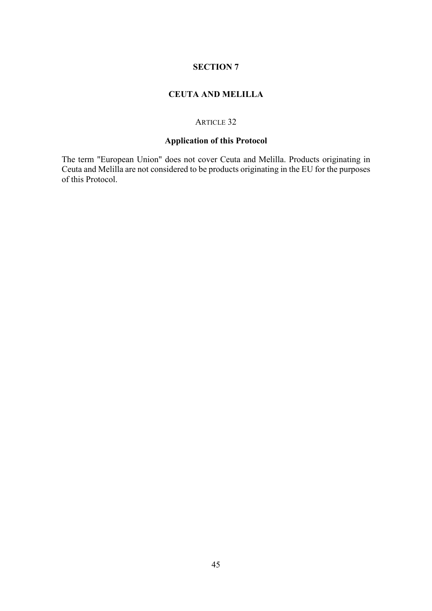# **CEUTA AND MELILLA**

## ARTICLE 32

# **Application of this Protocol**

The term "European Union" does not cover Ceuta and Melilla. Products originating in Ceuta and Melilla are not considered to be products originating in the EU for the purposes of this Protocol.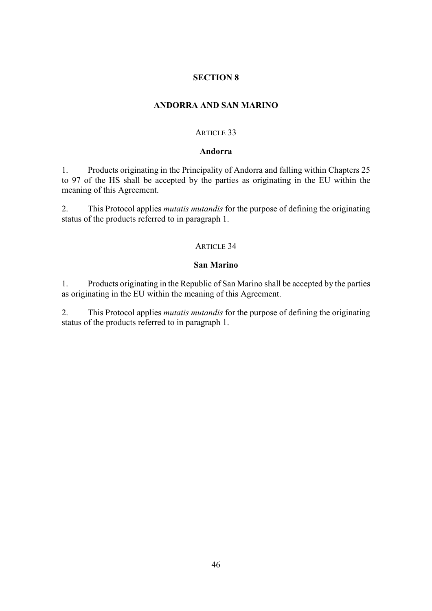### **ANDORRA AND SAN MARINO**

### ARTICLE 33

### **Andorra**

1. Products originating in the Principality of Andorra and falling within Chapters 25 to 97 of the HS shall be accepted by the parties as originating in the EU within the meaning of this Agreement.

2. This Protocol applies *mutatis mutandis* for the purpose of defining the originating status of the products referred to in paragraph 1.

#### ARTICLE 34

#### **San Marino**

1. Products originating in the Republic of San Marino shall be accepted by the parties as originating in the EU within the meaning of this Agreement.

2. This Protocol applies *mutatis mutandis* for the purpose of defining the originating status of the products referred to in paragraph 1.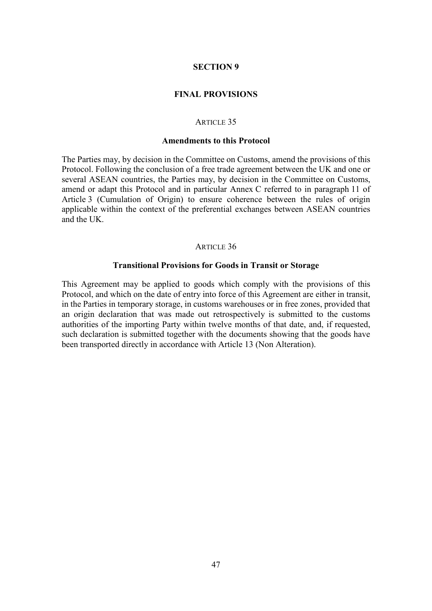### **FINAL PROVISIONS**

#### ARTICLE 35

### **Amendments to this Protocol**

The Parties may, by decision in the Committee on Customs, amend the provisions of this Protocol. Following the conclusion of a free trade agreement between the UK and one or several ASEAN countries, the Parties may, by decision in the Committee on Customs, amend or adapt this Protocol and in particular Annex C referred to in paragraph 11 of Article 3 (Cumulation of Origin) to ensure coherence between the rules of origin applicable within the context of the preferential exchanges between ASEAN countries and the UK.

#### ARTICLE 36

#### **Transitional Provisions for Goods in Transit or Storage**

This Agreement may be applied to goods which comply with the provisions of this Protocol, and which on the date of entry into force of this Agreement are either in transit, in the Parties in temporary storage, in customs warehouses or in free zones, provided that an origin declaration that was made out retrospectively is submitted to the customs authorities of the importing Party within twelve months of that date, and, if requested, such declaration is submitted together with the documents showing that the goods have been transported directly in accordance with Article 13 (Non Alteration).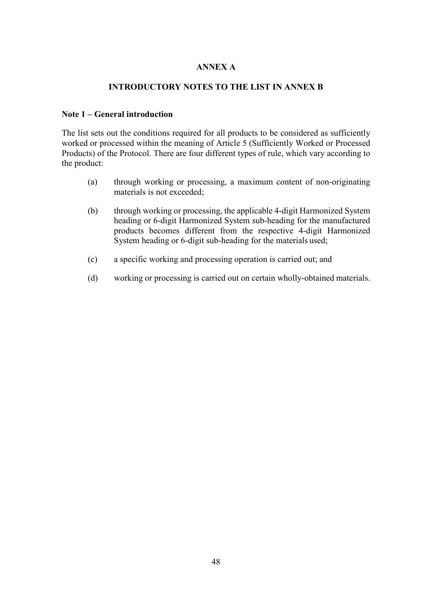## **ANNEX A**

## **INTRODUCTORY NOTES TO THE LIST IN ANNEX B**

## **Note 1 – General introduction**

The list sets out the conditions required for all products to be considered as sufficiently worked or processed within the meaning of Article 5 (Sufficiently Worked or Processed Products) of the Protocol. There are four different types of rule, which vary according to the product:

- (a) through working or processing, a maximum content of non-originating materials is not exceeded;
- (b) through working or processing, the applicable 4-digit Harmonized System heading or 6-digit Harmonized System sub-heading for the manufactured products becomes different from the respective 4-digit Harmonized System heading or 6-digit sub-heading for the materials used;
- (c) a specific working and processing operation is carried out; and
- (d) working or processing is carried out on certain wholly-obtained materials.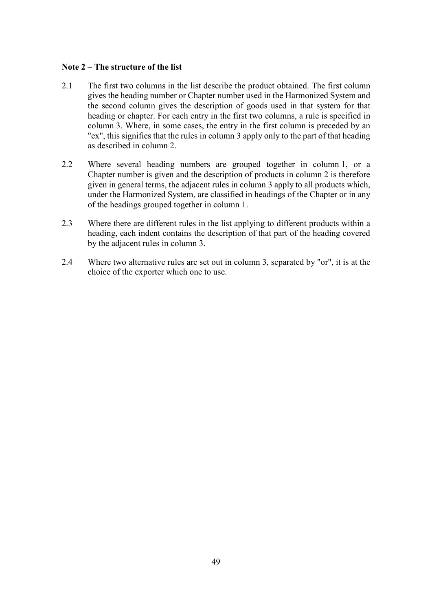## **Note 2 – The structure of the list**

- 2.1 The first two columns in the list describe the product obtained. The first column gives the heading number or Chapter number used in the Harmonized System and the second column gives the description of goods used in that system for that heading or chapter. For each entry in the first two columns, a rule is specified in column 3. Where, in some cases, the entry in the first column is preceded by an "ex", this signifies that the rules in column 3 apply only to the part of that heading as described in column 2.
- 2.2 Where several heading numbers are grouped together in column 1, or a Chapter number is given and the description of products in column 2 is therefore given in general terms, the adjacent rules in column 3 apply to all products which, under the Harmonized System, are classified in headings of the Chapter or in any of the headings grouped together in column 1.
- 2.3 Where there are different rules in the list applying to different products within a heading, each indent contains the description of that part of the heading covered by the adjacent rules in column 3.
- 2.4 Where two alternative rules are set out in column 3, separated by "or", it is at the choice of the exporter which one to use.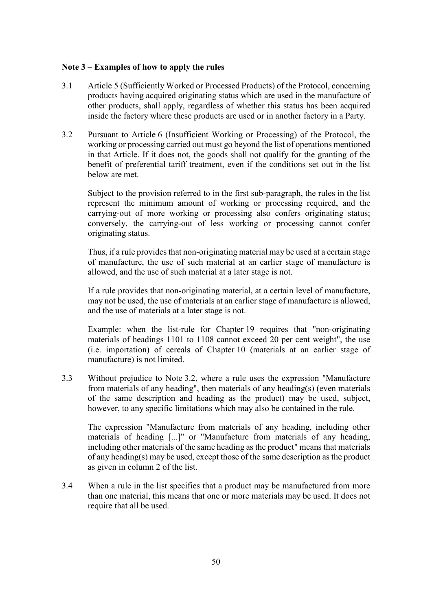## **Note 3 – Examples of how to apply the rules**

- 3.1 Article 5 (Sufficiently Worked or Processed Products) of the Protocol, concerning products having acquired originating status which are used in the manufacture of other products, shall apply, regardless of whether this status has been acquired inside the factory where these products are used or in another factory in a Party.
- 3.2 Pursuant to Article 6 (Insufficient Working or Processing) of the Protocol, the working or processing carried out must go beyond the list of operations mentioned in that Article. If it does not, the goods shall not qualify for the granting of the benefit of preferential tariff treatment, even if the conditions set out in the list below are met.

Subject to the provision referred to in the first sub-paragraph, the rules in the list represent the minimum amount of working or processing required, and the carrying-out of more working or processing also confers originating status; conversely, the carrying-out of less working or processing cannot confer originating status.

Thus, if a rule provides that non-originating material may be used at a certain stage of manufacture, the use of such material at an earlier stage of manufacture is allowed, and the use of such material at a later stage is not.

If a rule provides that non-originating material, at a certain level of manufacture, may not be used, the use of materials at an earlier stage of manufacture is allowed, and the use of materials at a later stage is not.

Example: when the list-rule for Chapter 19 requires that "non-originating materials of headings 1101 to 1108 cannot exceed 20 per cent weight", the use (i.e. importation) of cereals of Chapter 10 (materials at an earlier stage of manufacture) is not limited.

3.3 Without prejudice to Note 3.2, where a rule uses the expression "Manufacture from materials of any heading", then materials of any heading(s) (even materials of the same description and heading as the product) may be used, subject, however, to any specific limitations which may also be contained in the rule.

The expression "Manufacture from materials of any heading, including other materials of heading [...]" or "Manufacture from materials of any heading, including other materials of the same heading as the product" means that materials of any heading(s) may be used, except those of the same description as the product as given in column 2 of the list.

3.4 When a rule in the list specifies that a product may be manufactured from more than one material, this means that one or more materials may be used. It does not require that all be used.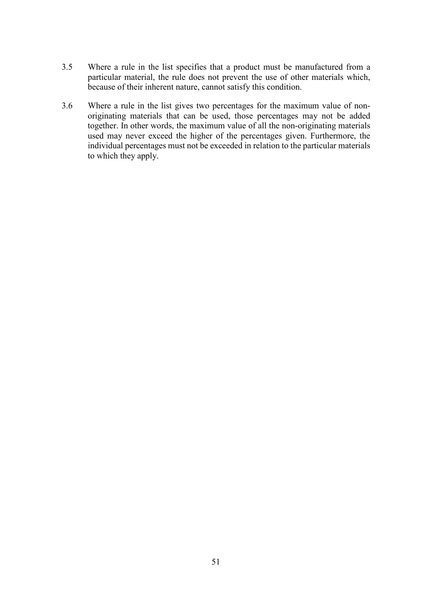- 3.5 Where a rule in the list specifies that a product must be manufactured from a particular material, the rule does not prevent the use of other materials which, because of their inherent nature, cannot satisfy this condition.
- 3.6 Where a rule in the list gives two percentages for the maximum value of nonoriginating materials that can be used, those percentages may not be added together. In other words, the maximum value of all the non-originating materials used may never exceed the higher of the percentages given. Furthermore, the individual percentages must not be exceeded in relation to the particular materials to which they apply.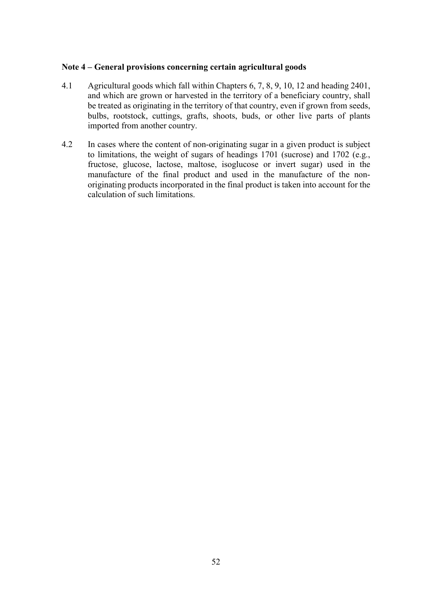## **Note 4 – General provisions concerning certain agricultural goods**

- 4.1 Agricultural goods which fall within Chapters 6, 7, 8, 9, 10, 12 and heading 2401, and which are grown or harvested in the territory of a beneficiary country, shall be treated as originating in the territory of that country, even if grown from seeds, bulbs, rootstock, cuttings, grafts, shoots, buds, or other live parts of plants imported from another country.
- 4.2 In cases where the content of non-originating sugar in a given product is subject to limitations, the weight of sugars of headings 1701 (sucrose) and 1702 (e.g., fructose, glucose, lactose, maltose, isoglucose or invert sugar) used in the manufacture of the final product and used in the manufacture of the nonoriginating products incorporated in the final product is taken into account for the calculation of such limitations.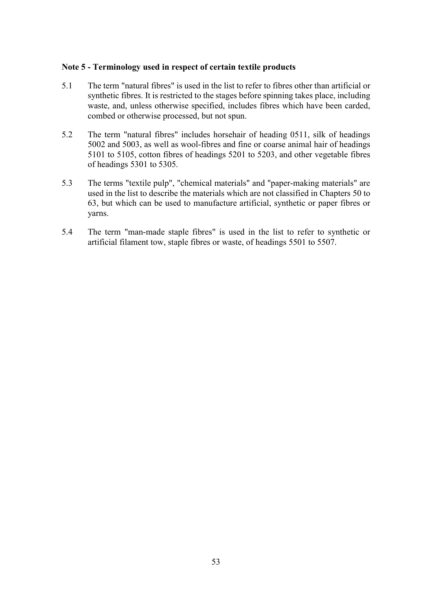### **Note 5 - Terminology used in respect of certain textile products**

- 5.1 The term "natural fibres" is used in the list to refer to fibres other than artificial or synthetic fibres. It is restricted to the stages before spinning takes place, including waste, and, unless otherwise specified, includes fibres which have been carded, combed or otherwise processed, but not spun.
- 5.2 The term "natural fibres" includes horsehair of heading 0511, silk of headings 5002 and 5003, as well as wool-fibres and fine or coarse animal hair of headings 5101 to 5105, cotton fibres of headings 5201 to 5203, and other vegetable fibres of headings 5301 to 5305.
- 5.3 The terms "textile pulp", "chemical materials" and "paper-making materials" are used in the list to describe the materials which are not classified in Chapters 50 to 63, but which can be used to manufacture artificial, synthetic or paper fibres or yarns.
- 5.4 The term "man-made staple fibres" is used in the list to refer to synthetic or artificial filament tow, staple fibres or waste, of headings 5501 to 5507.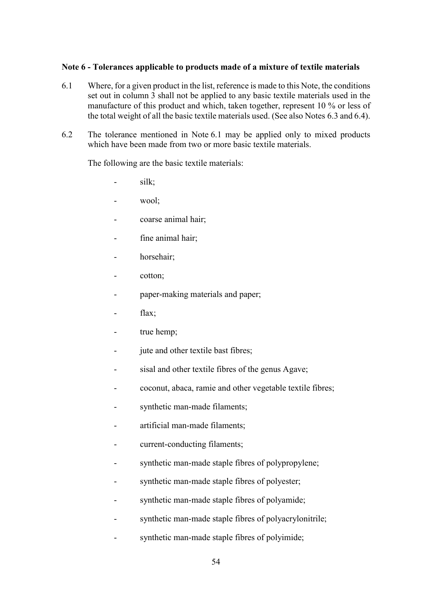## **Note 6 - Tolerances applicable to products made of a mixture of textile materials**

- 6.1 Where, for a given product in the list, reference is made to this Note, the conditions set out in column 3 shall not be applied to any basic textile materials used in the manufacture of this product and which, taken together, represent 10 % or less of the total weight of all the basic textile materials used. (See also Notes 6.3 and 6.4).
- 6.2 The tolerance mentioned in Note 6.1 may be applied only to mixed products which have been made from two or more basic textile materials.

The following are the basic textile materials:

- silk;
- wool;
- coarse animal hair;
- fine animal hair:
- horsehair;
- cotton;
- paper-making materials and paper;
- flax;
- true hemp;
- jute and other textile bast fibres;
- sisal and other textile fibres of the genus Agave;
- coconut, abaca, ramie and other vegetable textile fibres;
- synthetic man-made filaments;
- artificial man-made filaments;
- current-conducting filaments;
- synthetic man-made staple fibres of polypropylene;
- synthetic man-made staple fibres of polyester;
- synthetic man-made staple fibres of polyamide;
- synthetic man-made staple fibres of polyacrylonitrile;
- synthetic man-made staple fibres of polyimide;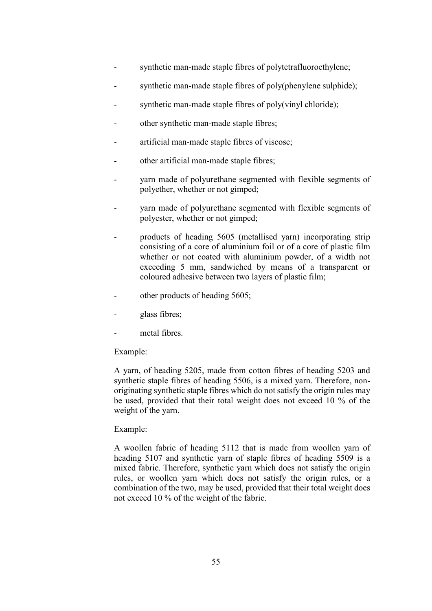- synthetic man-made staple fibres of polytetrafluoroethylene;
- synthetic man-made staple fibres of poly(phenylene sulphide);
- synthetic man-made staple fibres of poly(vinyl chloride);
- other synthetic man-made staple fibres;
- artificial man-made staple fibres of viscose;
- other artificial man-made staple fibres;
- yarn made of polyurethane segmented with flexible segments of polyether, whether or not gimped;
- yarn made of polyurethane segmented with flexible segments of polyester, whether or not gimped;
- products of heading 5605 (metallised yarn) incorporating strip consisting of a core of aluminium foil or of a core of plastic film whether or not coated with aluminium powder, of a width not exceeding 5 mm, sandwiched by means of a transparent or coloured adhesive between two layers of plastic film;
- other products of heading 5605;
- glass fibres;
- metal fibres.

## Example:

A yarn, of heading 5205, made from cotton fibres of heading 5203 and synthetic staple fibres of heading 5506, is a mixed yarn. Therefore, nonoriginating synthetic staple fibres which do not satisfy the origin rules may be used, provided that their total weight does not exceed 10 % of the weight of the yarn.

## Example:

A woollen fabric of heading 5112 that is made from woollen yarn of heading 5107 and synthetic yarn of staple fibres of heading 5509 is a mixed fabric. Therefore, synthetic yarn which does not satisfy the origin rules, or woollen yarn which does not satisfy the origin rules, or a combination of the two, may be used, provided that their total weight does not exceed 10 % of the weight of the fabric.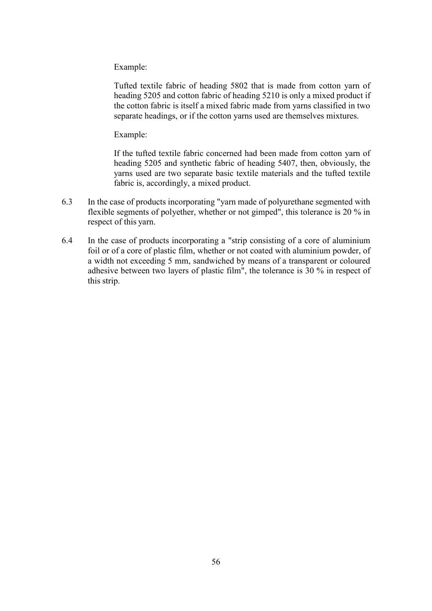Example:

Tufted textile fabric of heading 5802 that is made from cotton yarn of heading 5205 and cotton fabric of heading 5210 is only a mixed product if the cotton fabric is itself a mixed fabric made from yarns classified in two separate headings, or if the cotton yarns used are themselves mixtures.

Example:

If the tufted textile fabric concerned had been made from cotton yarn of heading 5205 and synthetic fabric of heading 5407, then, obviously, the yarns used are two separate basic textile materials and the tufted textile fabric is, accordingly, a mixed product.

- 6.3 In the case of products incorporating "yarn made of polyurethane segmented with flexible segments of polyether, whether or not gimped", this tolerance is 20 % in respect of this yarn.
- 6.4 In the case of products incorporating a "strip consisting of a core of aluminium foil or of a core of plastic film, whether or not coated with aluminium powder, of a width not exceeding 5 mm, sandwiched by means of a transparent or coloured adhesive between two layers of plastic film", the tolerance is 30 % in respect of this strip.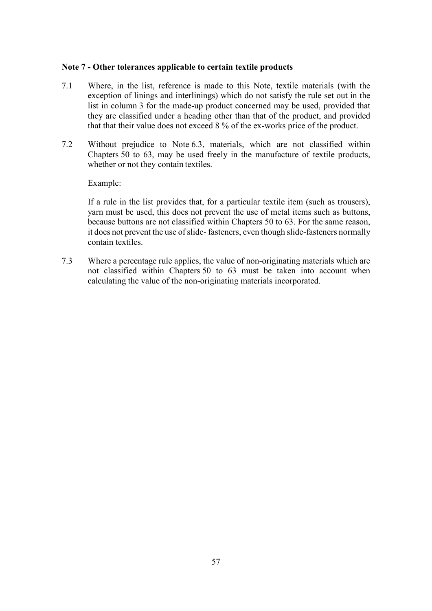## **Note 7 - Other tolerances applicable to certain textile products**

- 7.1 Where, in the list, reference is made to this Note, textile materials (with the exception of linings and interlinings) which do not satisfy the rule set out in the list in column 3 for the made-up product concerned may be used, provided that they are classified under a heading other than that of the product, and provided that that their value does not exceed 8 % of the ex-works price of the product.
- 7.2 Without prejudice to Note 6.3, materials, which are not classified within Chapters 50 to 63, may be used freely in the manufacture of textile products, whether or not they contain textiles.

## Example:

If a rule in the list provides that, for a particular textile item (such as trousers), yarn must be used, this does not prevent the use of metal items such as buttons, because buttons are not classified within Chapters 50 to 63. For the same reason, it does not prevent the use of slide- fasteners, even though slide-fasteners normally contain textiles.

7.3 Where a percentage rule applies, the value of non-originating materials which are not classified within Chapters 50 to 63 must be taken into account when calculating the value of the non-originating materials incorporated.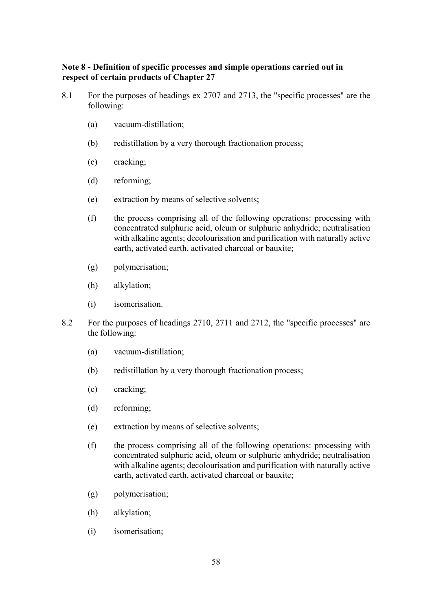## **Note 8 - Definition of specific processes and simple operations carried out in respect of certain products of Chapter 27**

- 8.1 For the purposes of headings ex 2707 and 2713, the "specific processes" are the following:
	- (a) vacuum-distillation;
	- (b) redistillation by a very thorough fractionation process;
	- (c) cracking;
	- (d) reforming;
	- (e) extraction by means of selective solvents;
	- (f) the process comprising all of the following operations: processing with concentrated sulphuric acid, oleum or sulphuric anhydride; neutralisation with alkaline agents; decolourisation and purification with naturally active earth, activated earth, activated charcoal or bauxite;
	- (g) polymerisation;
	- (h) alkylation;
	- (i) isomerisation.
- 8.2 For the purposes of headings 2710, 2711 and 2712, the "specific processes" are the following:
	- (a) vacuum-distillation;
	- (b) redistillation by a very thorough fractionation process;
	- (c) cracking;
	- (d) reforming;
	- (e) extraction by means of selective solvents;
	- (f) the process comprising all of the following operations: processing with concentrated sulphuric acid, oleum or sulphuric anhydride; neutralisation with alkaline agents; decolourisation and purification with naturally active earth, activated earth, activated charcoal or bauxite;
	- (g) polymerisation;
	- (h) alkylation;
	- (i) isomerisation;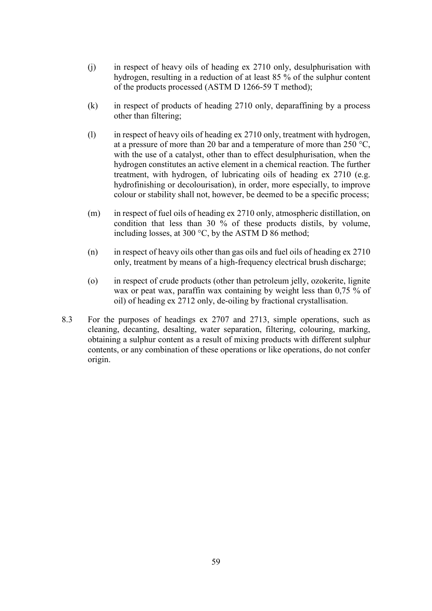- (j) in respect of heavy oils of heading ex 2710 only, desulphurisation with hydrogen, resulting in a reduction of at least 85 % of the sulphur content of the products processed (ASTM D 1266-59 T method);
- (k) in respect of products of heading 2710 only, deparaffining by a process other than filtering;
- (l) in respect of heavy oils of heading ex 2710 only, treatment with hydrogen, at a pressure of more than 20 bar and a temperature of more than 250 °C, with the use of a catalyst, other than to effect desulphurisation, when the hydrogen constitutes an active element in a chemical reaction. The further treatment, with hydrogen, of lubricating oils of heading ex 2710 (e.g. hydrofinishing or decolourisation), in order, more especially, to improve colour or stability shall not, however, be deemed to be a specific process;
- (m) in respect of fuel oils of heading ex 2710 only, atmospheric distillation, on condition that less than 30 % of these products distils, by volume, including losses, at 300 °C, by the ASTM D 86 method;
- (n) in respect of heavy oils other than gas oils and fuel oils of heading ex 2710 only, treatment by means of a high-frequency electrical brush discharge;
- (o) in respect of crude products (other than petroleum jelly, ozokerite, lignite wax or peat wax, paraffin wax containing by weight less than 0,75 % of oil) of heading ex 2712 only, de-oiling by fractional crystallisation.
- 8.3 For the purposes of headings ex 2707 and 2713, simple operations, such as cleaning, decanting, desalting, water separation, filtering, colouring, marking, obtaining a sulphur content as a result of mixing products with different sulphur contents, or any combination of these operations or like operations, do not confer origin.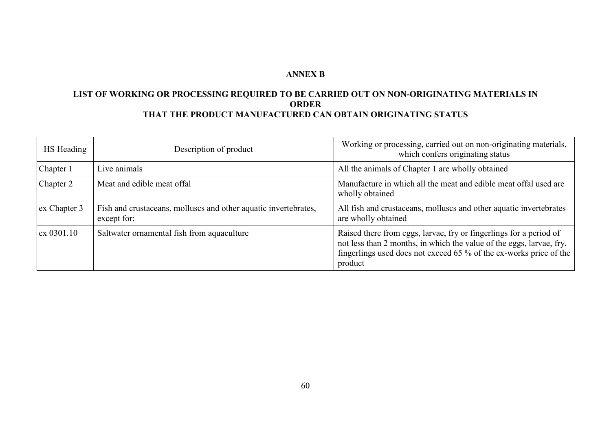# **ANNEX B**

# **LIST OF WORKING OR PROCESSING REQUIRED TO BE CARRIED OUT ON NON-ORIGINATING MATERIALS IN ORDER THAT THE PRODUCT MANUFACTURED CAN OBTAIN ORIGINATING STATUS**

| HS Heading   | Description of product                                                         | Working or processing, carried out on non-originating materials,<br>which confers originating status                                                                                                                        |
|--------------|--------------------------------------------------------------------------------|-----------------------------------------------------------------------------------------------------------------------------------------------------------------------------------------------------------------------------|
| Chapter 1    | Live animals                                                                   | All the animals of Chapter 1 are wholly obtained                                                                                                                                                                            |
| Chapter 2    | Meat and edible meat offal                                                     | Manufacture in which all the meat and edible meat offal used are<br>wholly obtained                                                                                                                                         |
| ex Chapter 3 | Fish and crustaceans, molluscs and other aquatic invertebrates,<br>except for: | All fish and crustaceans, molluscs and other aquatic invertebrates<br>are wholly obtained                                                                                                                                   |
| ex 0301.10   | Saltwater ornamental fish from aquaculture                                     | Raised there from eggs, larvae, fry or fingerlings for a period of<br>not less than 2 months, in which the value of the eggs, larvae, fry,<br>fingerlings used does not exceed 65 % of the ex-works price of the<br>product |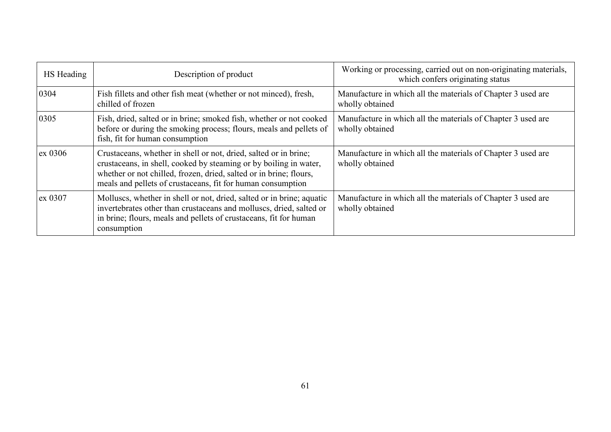| HS Heading | Description of product                                                                                                                                                                                                                                                     | Working or processing, carried out on non-originating materials,<br>which confers originating status |
|------------|----------------------------------------------------------------------------------------------------------------------------------------------------------------------------------------------------------------------------------------------------------------------------|------------------------------------------------------------------------------------------------------|
| 0304       | Fish fillets and other fish meat (whether or not minced), fresh,<br>chilled of frozen                                                                                                                                                                                      | Manufacture in which all the materials of Chapter 3 used are<br>wholly obtained                      |
| 0305       | Fish, dried, salted or in brine; smoked fish, whether or not cooked<br>before or during the smoking process; flours, meals and pellets of<br>fish, fit for human consumption                                                                                               | Manufacture in which all the materials of Chapter 3 used are<br>wholly obtained                      |
| ex 0306    | Crustaceans, whether in shell or not, dried, salted or in brine;<br>crustaceans, in shell, cooked by steaming or by boiling in water,<br>whether or not chilled, frozen, dried, salted or in brine; flours,<br>meals and pellets of crustaceans, fit for human consumption | Manufacture in which all the materials of Chapter 3 used are<br>wholly obtained                      |
| ex 0307    | Molluscs, whether in shell or not, dried, salted or in brine; aquatic<br>invertebrates other than crustaceans and molluscs, dried, salted or<br>in brine; flours, meals and pellets of crustaceans, fit for human<br>consumption                                           | Manufacture in which all the materials of Chapter 3 used are<br>wholly obtained                      |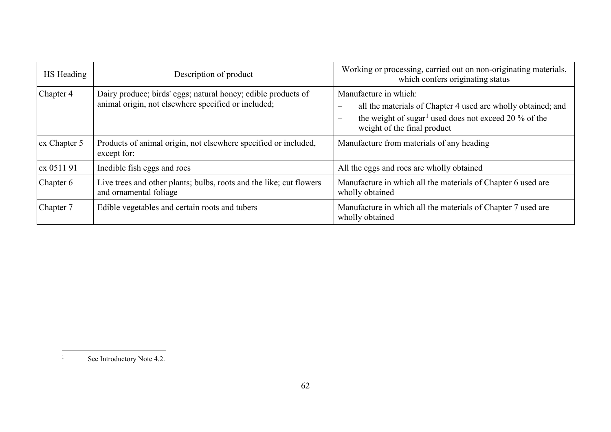<span id="page-61-0"></span>

| HS Heading   | Description of product                                                                                               | Working or processing, carried out on non-originating materials,<br>which confers originating status                                                                                                                  |
|--------------|----------------------------------------------------------------------------------------------------------------------|-----------------------------------------------------------------------------------------------------------------------------------------------------------------------------------------------------------------------|
| Chapter 4    | Dairy produce; birds' eggs; natural honey; edible products of<br>animal origin, not elsewhere specified or included; | Manufacture in which:<br>all the materials of Chapter 4 used are wholly obtained; and<br>the weight of sugar <sup>1</sup> used does not exceed 20 % of the<br>$\overline{\phantom{m}}$<br>weight of the final product |
| ex Chapter 5 | Products of animal origin, not elsewhere specified or included,<br>except for:                                       | Manufacture from materials of any heading                                                                                                                                                                             |
| ex 0511 91   | Inedible fish eggs and roes                                                                                          | All the eggs and roes are wholly obtained                                                                                                                                                                             |
| Chapter 6    | Live trees and other plants; bulbs, roots and the like; cut flowers<br>and ornamental foliage                        | Manufacture in which all the materials of Chapter 6 used are<br>wholly obtained                                                                                                                                       |
| Chapter 7    | Edible vegetables and certain roots and tubers                                                                       | Manufacture in which all the materials of Chapter 7 used are<br>wholly obtained                                                                                                                                       |

See Introductory Note 4.2.

 $\,$  1  $\,$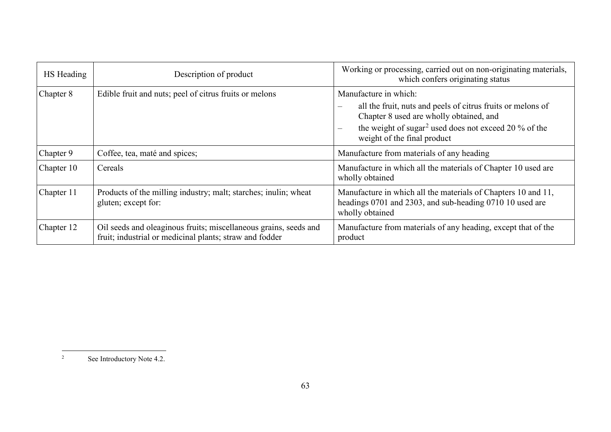<span id="page-62-0"></span>

| HS Heading | Description of product                                                                                                      | Working or processing, carried out on non-originating materials,<br>which confers originating status                                                                                                                                                                                        |
|------------|-----------------------------------------------------------------------------------------------------------------------------|---------------------------------------------------------------------------------------------------------------------------------------------------------------------------------------------------------------------------------------------------------------------------------------------|
| Chapter 8  | Edible fruit and nuts; peel of citrus fruits or melons                                                                      | Manufacture in which:<br>all the fruit, nuts and peels of citrus fruits or melons of<br>$\overline{\phantom{m}}$<br>Chapter 8 used are wholly obtained, and<br>the weight of sugar <sup>2</sup> used does not exceed 20 % of the<br>$\overline{\phantom{m}}$<br>weight of the final product |
| Chapter 9  | Coffee, tea, maté and spices;                                                                                               | Manufacture from materials of any heading                                                                                                                                                                                                                                                   |
| Chapter 10 | Cereals                                                                                                                     | Manufacture in which all the materials of Chapter 10 used are<br>wholly obtained                                                                                                                                                                                                            |
| Chapter 11 | Products of the milling industry; malt; starches; inulin; wheat<br>gluten; except for:                                      | Manufacture in which all the materials of Chapters 10 and 11,<br>headings 0701 and 2303, and sub-heading 0710 10 used are<br>wholly obtained                                                                                                                                                |
| Chapter 12 | Oil seeds and oleaginous fruits; miscellaneous grains, seeds and<br>fruit; industrial or medicinal plants; straw and fodder | Manufacture from materials of any heading, except that of the<br>product                                                                                                                                                                                                                    |

 $\overline{c}$ See Introductory Note 4.2.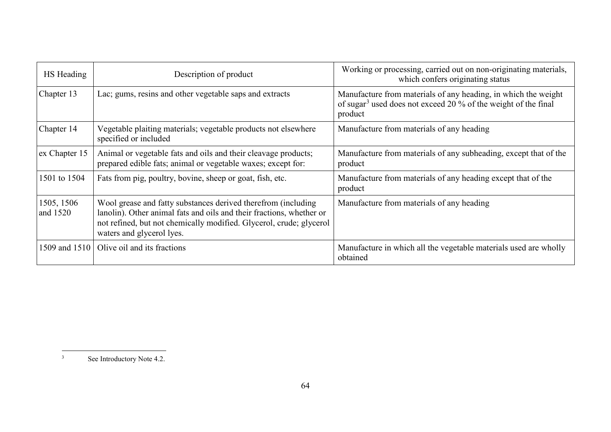<span id="page-63-0"></span>

| HS Heading             | Description of product                                                                                                                                                                                                                    | Working or processing, carried out on non-originating materials,<br>which confers originating status                                                    |
|------------------------|-------------------------------------------------------------------------------------------------------------------------------------------------------------------------------------------------------------------------------------------|---------------------------------------------------------------------------------------------------------------------------------------------------------|
| Chapter 13             | Lac; gums, resins and other vegetable saps and extracts                                                                                                                                                                                   | Manufacture from materials of any heading, in which the weight<br>of sugar <sup>3</sup> used does not exceed 20 % of the weight of the final<br>product |
| Chapter 14             | Vegetable plaiting materials; vegetable products not elsewhere<br>specified or included                                                                                                                                                   | Manufacture from materials of any heading                                                                                                               |
| ex Chapter 15          | Animal or vegetable fats and oils and their cleavage products;<br>prepared edible fats; animal or vegetable waxes; except for:                                                                                                            | Manufacture from materials of any subheading, except that of the<br>product                                                                             |
| 1501 to 1504           | Fats from pig, poultry, bovine, sheep or goat, fish, etc.                                                                                                                                                                                 | Manufacture from materials of any heading except that of the<br>product                                                                                 |
| 1505, 1506<br>and 1520 | Wool grease and fatty substances derived therefrom (including<br>lanolin). Other animal fats and oils and their fractions, whether or<br>not refined, but not chemically modified. Glycerol, crude; glycerol<br>waters and glycerol lyes. | Manufacture from materials of any heading                                                                                                               |
| 1509 and 1510          | Olive oil and its fractions                                                                                                                                                                                                               | Manufacture in which all the vegetable materials used are wholly<br>obtained                                                                            |

 $\overline{\mathbf{3}}$ See Introductory Note 4.2.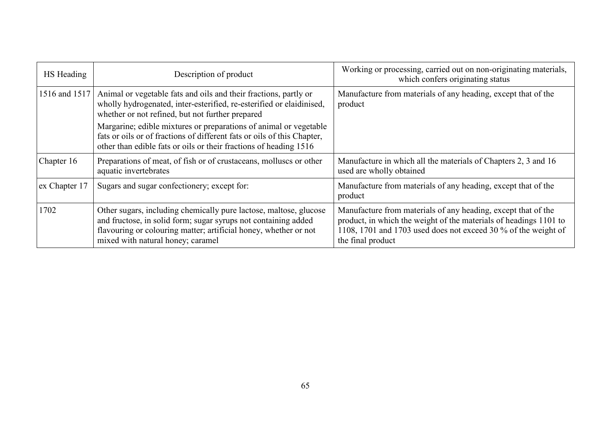| HS Heading    | Description of product                                                                                                                                                                                                                       | Working or processing, carried out on non-originating materials,<br>which confers originating status                                                                                                                      |
|---------------|----------------------------------------------------------------------------------------------------------------------------------------------------------------------------------------------------------------------------------------------|---------------------------------------------------------------------------------------------------------------------------------------------------------------------------------------------------------------------------|
| 1516 and 1517 | Animal or vegetable fats and oils and their fractions, partly or<br>wholly hydrogenated, inter-esterified, re-esterified or elaidinised,<br>whether or not refined, but not further prepared                                                 | Manufacture from materials of any heading, except that of the<br>product                                                                                                                                                  |
|               | Margarine; edible mixtures or preparations of animal or vegetable<br>fats or oils or of fractions of different fats or oils of this Chapter,<br>other than edible fats or oils or their fractions of heading 1516                            |                                                                                                                                                                                                                           |
| Chapter 16    | Preparations of meat, of fish or of crustaceans, molluscs or other<br>aquatic invertebrates                                                                                                                                                  | Manufacture in which all the materials of Chapters 2, 3 and 16<br>used are wholly obtained                                                                                                                                |
| ex Chapter 17 | Sugars and sugar confectionery; except for:                                                                                                                                                                                                  | Manufacture from materials of any heading, except that of the<br>product                                                                                                                                                  |
| 1702          | Other sugars, including chemically pure lactose, maltose, glucose<br>and fructose, in solid form; sugar syrups not containing added<br>flavouring or colouring matter; artificial honey, whether or not<br>mixed with natural honey; caramel | Manufacture from materials of any heading, except that of the<br>product, in which the weight of the materials of headings 1101 to<br>1108, 1701 and 1703 used does not exceed 30 % of the weight of<br>the final product |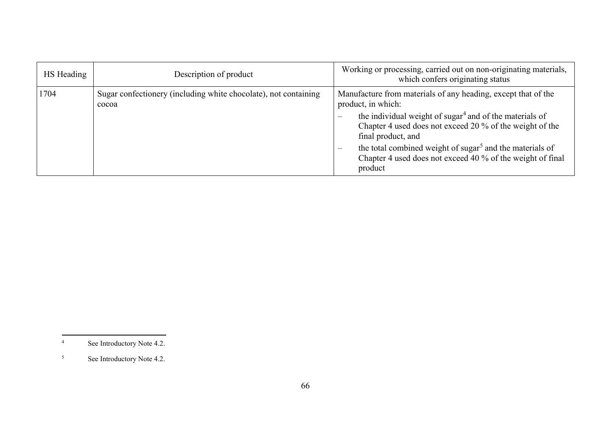<span id="page-65-1"></span><span id="page-65-0"></span>

| HS Heading | Description of product                                                   | Working or processing, carried out on non-originating materials,<br>which confers originating status                                                                                                                                                                                                                                                                                                                                                  |
|------------|--------------------------------------------------------------------------|-------------------------------------------------------------------------------------------------------------------------------------------------------------------------------------------------------------------------------------------------------------------------------------------------------------------------------------------------------------------------------------------------------------------------------------------------------|
| 1704       | Sugar confectionery (including white chocolate), not containing<br>cocoa | Manufacture from materials of any heading, except that of the<br>product, in which:<br>the individual weight of sugar <sup>4</sup> and of the materials of<br>$\overline{\phantom{m}}$<br>Chapter 4 used does not exceed 20 % of the weight of the<br>final product, and<br>the total combined weight of sugar <sup>5</sup> and the materials of<br>$\overline{\phantom{m}}$<br>Chapter 4 used does not exceed 40 % of the weight of final<br>product |

 $\overline{4}$ See Introductory Note 4.2.

<sup>&</sup>lt;sup>5</sup> See Introductory Note 4.2.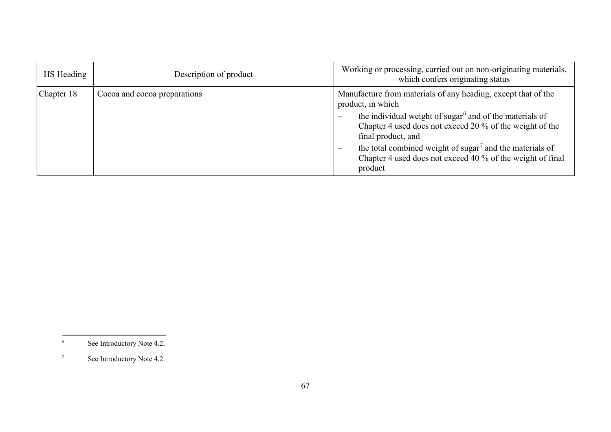<span id="page-66-1"></span><span id="page-66-0"></span>

| HS Heading | Description of product       | Working or processing, carried out on non-originating materials,<br>which confers originating status                                                                                                                                                                                                                                                                                                                                                 |
|------------|------------------------------|------------------------------------------------------------------------------------------------------------------------------------------------------------------------------------------------------------------------------------------------------------------------------------------------------------------------------------------------------------------------------------------------------------------------------------------------------|
| Chapter 18 | Cocoa and cocoa preparations | Manufacture from materials of any heading, except that of the<br>product, in which<br>the individual weight of sugar <sup>6</sup> and of the materials of<br>$\overline{\phantom{a}}$<br>Chapter 4 used does not exceed 20 % of the weight of the<br>final product, and<br>the total combined weight of sugar <sup>7</sup> and the materials of<br>$\overline{\phantom{m}}$<br>Chapter 4 used does not exceed 40 % of the weight of final<br>product |

 $6\,$ See Introductory Note 4.2.

<sup>7</sup> See Introductory Note 4.2.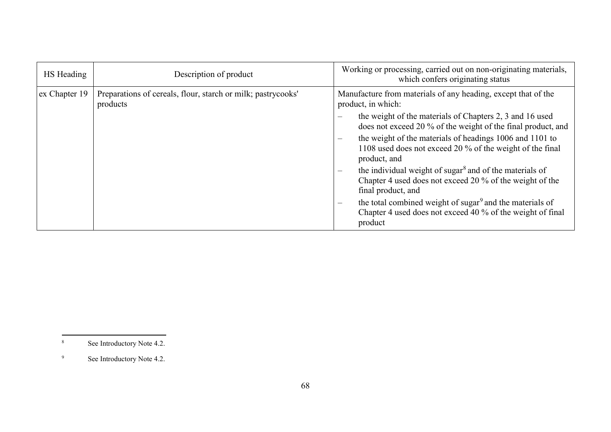<span id="page-67-1"></span><span id="page-67-0"></span>

| HS Heading    | Description of product                                                   | Working or processing, carried out on non-originating materials,<br>which confers originating status                                                                       |
|---------------|--------------------------------------------------------------------------|----------------------------------------------------------------------------------------------------------------------------------------------------------------------------|
| ex Chapter 19 | Preparations of cereals, flour, starch or milk; pastrycooks'<br>products | Manufacture from materials of any heading, except that of the<br>product, in which:                                                                                        |
|               |                                                                          | the weight of the materials of Chapters 2, 3 and 16 used<br>does not exceed 20 % of the weight of the final product, and                                                   |
|               |                                                                          | the weight of the materials of headings 1006 and 1101 to<br>$\overline{\phantom{m}}$<br>1108 used does not exceed 20 % of the weight of the final<br>product, and          |
|               |                                                                          | the individual weight of sugar <sup>8</sup> and of the materials of<br>$\qquad \qquad -$<br>Chapter 4 used does not exceed 20 % of the weight of the<br>final product, and |
|               |                                                                          | the total combined weight of sugar <sup>9</sup> and the materials of<br>$\hspace{0.05cm}$<br>Chapter 4 used does not exceed 40 % of the weight of final<br>product         |

 $\,$  8  $\,$ See Introductory Note 4.2.

<sup>&</sup>lt;sup>9</sup> See Introductory Note 4.2.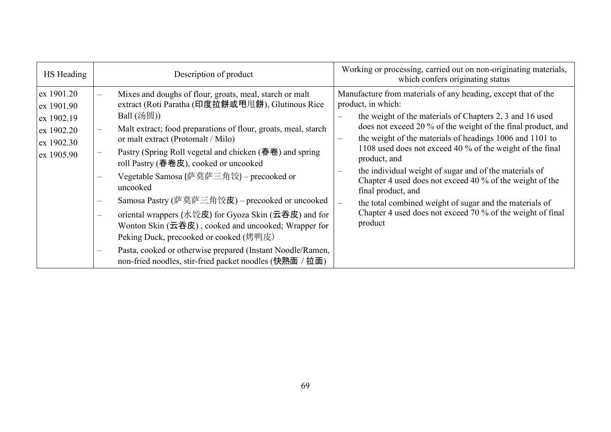| HS Heading                                                                       | Description of product                                                                                                                                                                                                                                                                                                                                                                                                                                                                                                                                                                                                                                                                                                                                      | Working or processing, carried out on non-originating materials,<br>which confers originating status                                                                                                                                                                                                                                                                                                                                                                                                                                                                                                                                                                                  |
|----------------------------------------------------------------------------------|-------------------------------------------------------------------------------------------------------------------------------------------------------------------------------------------------------------------------------------------------------------------------------------------------------------------------------------------------------------------------------------------------------------------------------------------------------------------------------------------------------------------------------------------------------------------------------------------------------------------------------------------------------------------------------------------------------------------------------------------------------------|---------------------------------------------------------------------------------------------------------------------------------------------------------------------------------------------------------------------------------------------------------------------------------------------------------------------------------------------------------------------------------------------------------------------------------------------------------------------------------------------------------------------------------------------------------------------------------------------------------------------------------------------------------------------------------------|
| ex 1901.20<br>ex 1901.90<br>ex 1902.19<br>ex 1902.20<br>ex 1902.30<br>ex 1905.90 | Mixes and doughs of flour, groats, meal, starch or malt<br>extract (Roti Paratha (印度拉餅或甩甩餅), Glutinous Rice<br>Ball $(\mathcal{B}(\mathbb{R}))$<br>Malt extract; food preparations of flour, groats, meal, starch<br>or malt extract (Protomalt / Milo)<br>Pastry (Spring Roll vegetal and chicken (春卷) and spring<br>roll Pastry (春卷皮), cooked or uncooked<br>Vegetable Samosa (萨莫萨三角饺) – precooked or<br>uncooked<br>Samosa Pastry (萨莫萨三角饺皮) – precooked or uncooked<br>oriental wrappers (水饺皮) for Gyoza Skin (云吞皮) and for<br>Wonton Skin $($ 云吞皮), cooked and uncooked; Wrapper for<br>Peking Duck, precooked or cooked (烤鸭皮)<br>Pasta, cooked or otherwise prepared (Instant Noodle/Ramen,<br>non-fried noodles, stir-fried packet noodles (快熟面 / 拉面) | Manufacture from materials of any heading, except that of the<br>product, in which:<br>the weight of the materials of Chapters 2, 3 and 16 used<br>does not exceed 20 % of the weight of the final product, and<br>the weight of the materials of headings 1006 and 1101 to<br>$\overline{\phantom{m}}$<br>1108 used does not exceed 40 % of the weight of the final<br>product, and<br>the individual weight of sugar and of the materials of<br>Chapter 4 used does not exceed 40 % of the weight of the<br>final product, and<br>the total combined weight of sugar and the materials of<br>$\frac{1}{2}$<br>Chapter 4 used does not exceed 70 % of the weight of final<br>product |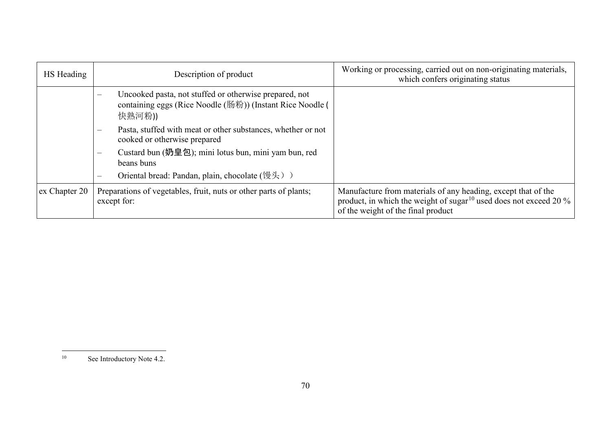<span id="page-69-0"></span>

| HS Heading    | Description of product                                                                                                                           | Working or processing, carried out on non-originating materials,<br>which confers originating status                                                                                 |
|---------------|--------------------------------------------------------------------------------------------------------------------------------------------------|--------------------------------------------------------------------------------------------------------------------------------------------------------------------------------------|
|               | Uncooked pasta, not stuffed or otherwise prepared, not<br>$\equiv$<br>containing eggs (Rice Noodle (肠粉)) (Instant Rice Noodle (<br>快熟河粉))        |                                                                                                                                                                                      |
|               | Pasta, stuffed with meat or other substances, whether or not<br>$\overline{\phantom{m}}$<br>cooked or otherwise prepared                         |                                                                                                                                                                                      |
|               | Custard bun (奶皇包); mini lotus bun, mini yam bun, red<br>$\overline{\phantom{m}}$<br>beans buns<br>Oriental bread: Pandan, plain, chocolate (馒头)) |                                                                                                                                                                                      |
| ex Chapter 20 | Preparations of vegetables, fruit, nuts or other parts of plants;<br>except for:                                                                 | Manufacture from materials of any heading, except that of the<br>product, in which the weight of sugar <sup>10</sup> used does not exceed 20 %<br>of the weight of the final product |

 $10\,$ See Introductory Note 4.2.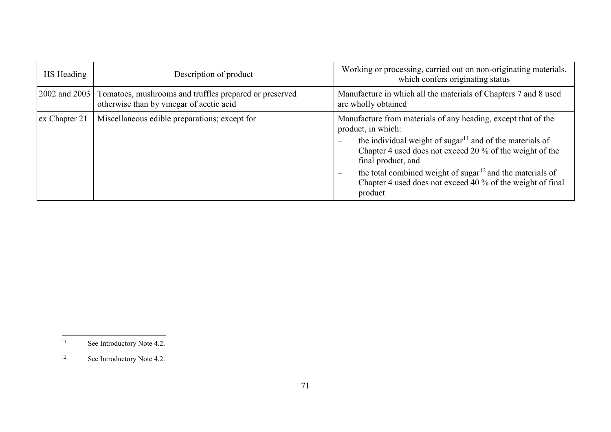<span id="page-70-1"></span><span id="page-70-0"></span>

| HS Heading    | Description of product                                                                             | Working or processing, carried out on non-originating materials,<br>which confers originating status                                                                                                                                                                                                                                                                                                                                                    |
|---------------|----------------------------------------------------------------------------------------------------|---------------------------------------------------------------------------------------------------------------------------------------------------------------------------------------------------------------------------------------------------------------------------------------------------------------------------------------------------------------------------------------------------------------------------------------------------------|
| 2002 and 2003 | Tomatoes, mushrooms and truffles prepared or preserved<br>otherwise than by vinegar of acetic acid | Manufacture in which all the materials of Chapters 7 and 8 used<br>are wholly obtained                                                                                                                                                                                                                                                                                                                                                                  |
| ex Chapter 21 | Miscellaneous edible preparations; except for                                                      | Manufacture from materials of any heading, except that of the<br>product, in which:<br>the individual weight of sugar <sup>11</sup> and of the materials of<br>$\overline{\phantom{a}}$<br>Chapter 4 used does not exceed 20 % of the weight of the<br>final product, and<br>the total combined weight of sugar <sup>12</sup> and the materials of<br>$\overline{\phantom{a}}$<br>Chapter 4 used does not exceed 40 % of the weight of final<br>product |

 $11\,$ See Introductory Note 4.2.

<sup>&</sup>lt;sup>12</sup> See Introductory Note 4.2.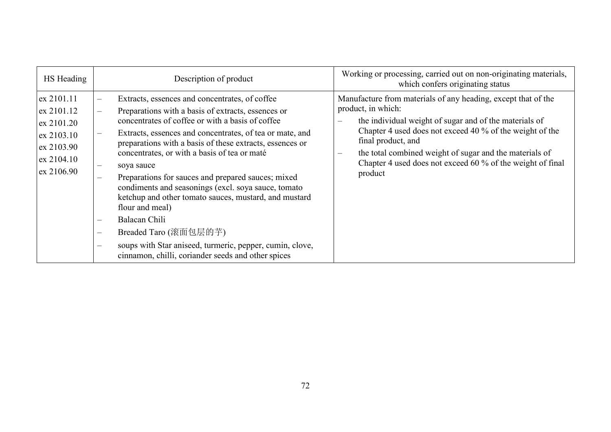| HS Heading                                                                                     | Description of product                                                                                                                                                                                                                                                                                                                                                                                                                                                                                                                                                                                                                                                                                                                                      | Working or processing, carried out on non-originating materials,<br>which confers originating status                                                                                                                                                                                                                                                                                                  |
|------------------------------------------------------------------------------------------------|-------------------------------------------------------------------------------------------------------------------------------------------------------------------------------------------------------------------------------------------------------------------------------------------------------------------------------------------------------------------------------------------------------------------------------------------------------------------------------------------------------------------------------------------------------------------------------------------------------------------------------------------------------------------------------------------------------------------------------------------------------------|-------------------------------------------------------------------------------------------------------------------------------------------------------------------------------------------------------------------------------------------------------------------------------------------------------------------------------------------------------------------------------------------------------|
| ex 2101.11<br>ex 2101.12<br>ex 2101.20<br>ex 2103.10<br>ex 2103.90<br>ex 2104.10<br>ex 2106.90 | Extracts, essences and concentrates, of coffee<br>Preparations with a basis of extracts, essences or<br>concentrates of coffee or with a basis of coffee<br>Extracts, essences and concentrates, of tea or mate, and<br>preparations with a basis of these extracts, essences or<br>concentrates, or with a basis of tea or maté<br>soya sauce<br>Preparations for sauces and prepared sauces; mixed<br>condiments and seasonings (excl. soya sauce, tomato<br>ketchup and other tomato sauces, mustard, and mustard<br>flour and meal)<br>Balacan Chili<br>Breaded Taro (滚面包层的芋)<br>$\overline{\phantom{a}}$<br>soups with Star aniseed, turmeric, pepper, cumin, clove,<br>$\overline{\phantom{m}}$<br>cinnamon, chilli, coriander seeds and other spices | Manufacture from materials of any heading, except that of the<br>product, in which:<br>the individual weight of sugar and of the materials of<br>$\qquad \qquad \longleftarrow$<br>Chapter 4 used does not exceed 40 % of the weight of the<br>final product, and<br>the total combined weight of sugar and the materials of<br>Chapter 4 used does not exceed 60 % of the weight of final<br>product |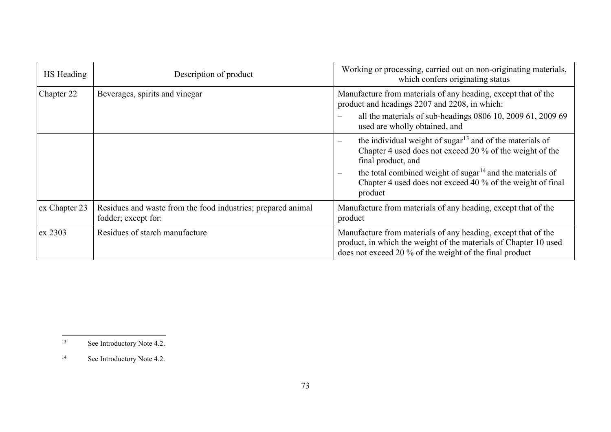<span id="page-72-1"></span><span id="page-72-0"></span>

| HS Heading    | Description of product                                                              | Working or processing, carried out on non-originating materials,<br>which confers originating status                                                                                                                                                                                      |
|---------------|-------------------------------------------------------------------------------------|-------------------------------------------------------------------------------------------------------------------------------------------------------------------------------------------------------------------------------------------------------------------------------------------|
| Chapter 22    | Beverages, spirits and vinegar                                                      | Manufacture from materials of any heading, except that of the<br>product and headings 2207 and 2208, in which:<br>all the materials of sub-headings 0806 10, 2009 61, 2009 69                                                                                                             |
|               |                                                                                     | used are wholly obtained, and                                                                                                                                                                                                                                                             |
|               |                                                                                     | the individual weight of sugar $^{13}$ and of the materials of<br>Chapter 4 used does not exceed 20 % of the weight of the<br>final product, and<br>the total combined weight of sugar $14$ and the materials of<br>Chapter 4 used does not exceed 40 % of the weight of final<br>product |
| ex Chapter 23 | Residues and waste from the food industries; prepared animal<br>fodder; except for: | Manufacture from materials of any heading, except that of the<br>product                                                                                                                                                                                                                  |
| ex 2303       | Residues of starch manufacture                                                      | Manufacture from materials of any heading, except that of the<br>product, in which the weight of the materials of Chapter 10 used<br>does not exceed 20 % of the weight of the final product                                                                                              |

<sup>13</sup> See Introductory Note 4.2.

<sup>&</sup>lt;sup>14</sup> See Introductory Note 4.2.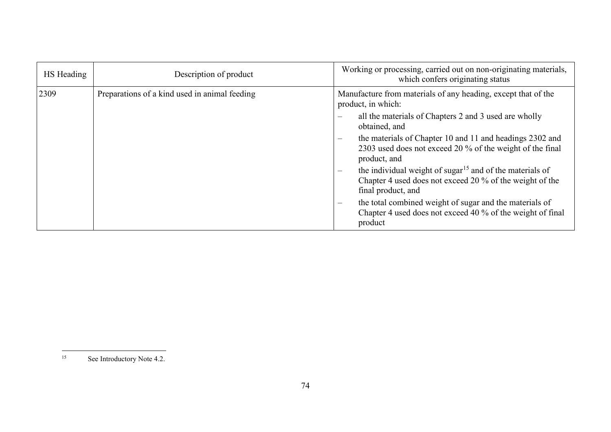<span id="page-73-0"></span>

| HS Heading | Description of product                        | Working or processing, carried out on non-originating materials,<br>which confers originating status                                                   |
|------------|-----------------------------------------------|--------------------------------------------------------------------------------------------------------------------------------------------------------|
| 2309       | Preparations of a kind used in animal feeding | Manufacture from materials of any heading, except that of the<br>product, in which:                                                                    |
|            |                                               | all the materials of Chapters 2 and 3 used are wholly<br>$\equiv$<br>obtained, and                                                                     |
|            |                                               | the materials of Chapter 10 and 11 and headings 2302 and<br>2303 used does not exceed 20 % of the weight of the final<br>product, and                  |
|            |                                               | the individual weight of sugar <sup>15</sup> and of the materials of<br>Chapter 4 used does not exceed 20 % of the weight of the<br>final product, and |
|            |                                               | the total combined weight of sugar and the materials of<br>$\qquad \qquad -$<br>Chapter 4 used does not exceed 40 % of the weight of final<br>product  |

 $15$ See Introductory Note 4.2.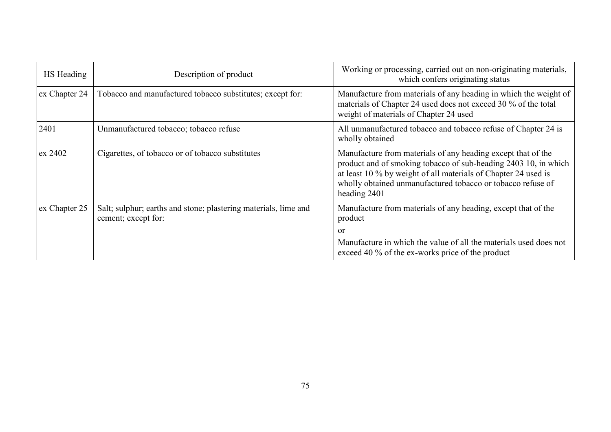| HS Heading    | Description of product                                                                 | Working or processing, carried out on non-originating materials,<br>which confers originating status                                                                                                                                                                             |
|---------------|----------------------------------------------------------------------------------------|----------------------------------------------------------------------------------------------------------------------------------------------------------------------------------------------------------------------------------------------------------------------------------|
| ex Chapter 24 | Tobacco and manufactured tobacco substitutes; except for:                              | Manufacture from materials of any heading in which the weight of<br>materials of Chapter 24 used does not exceed 30 % of the total<br>weight of materials of Chapter 24 used                                                                                                     |
| 2401          | Unmanufactured tobacco; tobacco refuse                                                 | All unmanufactured tobacco and tobacco refuse of Chapter 24 is<br>wholly obtained                                                                                                                                                                                                |
| ex 2402       | Cigarettes, of tobacco or of tobacco substitutes                                       | Manufacture from materials of any heading except that of the<br>product and of smoking tobacco of sub-heading 2403 10, in which<br>at least 10 % by weight of all materials of Chapter 24 used is<br>wholly obtained unmanufactured tobacco or tobacco refuse of<br>heading 2401 |
| ex Chapter 25 | Salt; sulphur; earths and stone; plastering materials, lime and<br>cement; except for: | Manufacture from materials of any heading, except that of the<br>product<br><sub>or</sub>                                                                                                                                                                                        |
|               |                                                                                        | Manufacture in which the value of all the materials used does not<br>exceed 40 % of the ex-works price of the product                                                                                                                                                            |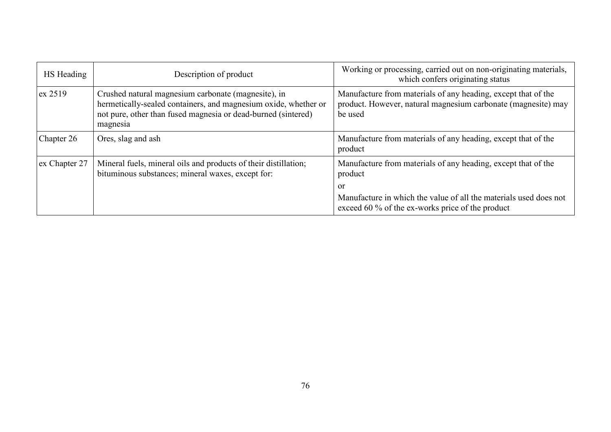| HS Heading    | Description of product                                                                                                                                                                              | Working or processing, carried out on non-originating materials,<br>which confers originating status                                      |
|---------------|-----------------------------------------------------------------------------------------------------------------------------------------------------------------------------------------------------|-------------------------------------------------------------------------------------------------------------------------------------------|
| $\alpha$ 2519 | Crushed natural magnesium carbonate (magnesite), in<br>hermetically-sealed containers, and magnesium oxide, whether or<br>not pure, other than fused magnesia or dead-burned (sintered)<br>magnesia | Manufacture from materials of any heading, except that of the<br>product. However, natural magnesium carbonate (magnesite) may<br>be used |
| Chapter 26    | Ores, slag and ash                                                                                                                                                                                  | Manufacture from materials of any heading, except that of the<br>product                                                                  |
| ex Chapter 27 | Mineral fuels, mineral oils and products of their distillation;<br>bituminous substances; mineral waxes, except for:                                                                                | Manufacture from materials of any heading, except that of the<br>product<br>or                                                            |
|               |                                                                                                                                                                                                     | Manufacture in which the value of all the materials used does not<br>exceed 60 % of the ex-works price of the product                     |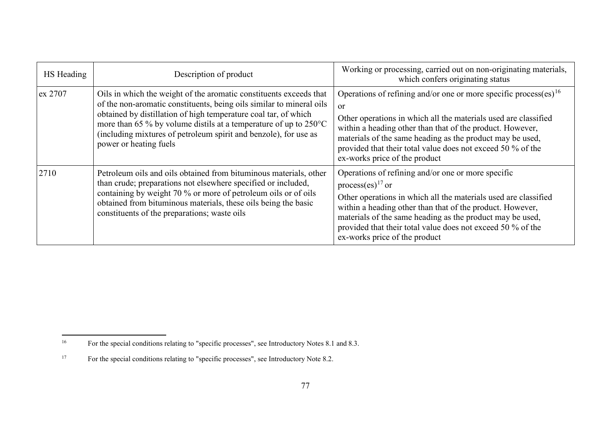<span id="page-76-1"></span><span id="page-76-0"></span>

| HS Heading | Description of product                                                                                                                                                                                                                                                                                                                                                                    | Working or processing, carried out on non-originating materials,<br>which confers originating status                                                                                                                                                                                                                                                                                       |
|------------|-------------------------------------------------------------------------------------------------------------------------------------------------------------------------------------------------------------------------------------------------------------------------------------------------------------------------------------------------------------------------------------------|--------------------------------------------------------------------------------------------------------------------------------------------------------------------------------------------------------------------------------------------------------------------------------------------------------------------------------------------------------------------------------------------|
| ex 2707    | Oils in which the weight of the aromatic constituents exceeds that<br>of the non-aromatic constituents, being oils similar to mineral oils<br>obtained by distillation of high temperature coal tar, of which<br>more than 65 % by volume distils at a temperature of up to $250^{\circ}$ C<br>(including mixtures of petroleum spirit and benzole), for use as<br>power or heating fuels | Operations of refining and/or one or more specific process(es) <sup>16</sup><br><sub>or</sub><br>Other operations in which all the materials used are classified<br>within a heading other than that of the product. However,<br>materials of the same heading as the product may be used,<br>provided that their total value does not exceed 50 % of the<br>ex-works price of the product |
| 2710       | Petroleum oils and oils obtained from bituminous materials, other<br>than crude; preparations not elsewhere specified or included,<br>containing by weight 70 % or more of petroleum oils or of oils<br>obtained from bituminous materials, these oils being the basic<br>constituents of the preparations; waste oils                                                                    | Operations of refining and/or one or more specific<br>process(es) <sup>17</sup> or<br>Other operations in which all the materials used are classified<br>within a heading other than that of the product. However,<br>materials of the same heading as the product may be used,<br>provided that their total value does not exceed 50 % of the<br>ex-works price of the product            |

 $16\,$ <sup>16</sup> For the special conditions relating to "specific processes", see Introductory Notes 8.1 and 8.3.

<sup>&</sup>lt;sup>17</sup> For the special conditions relating to "specific processes", see Introductory Note 8.2.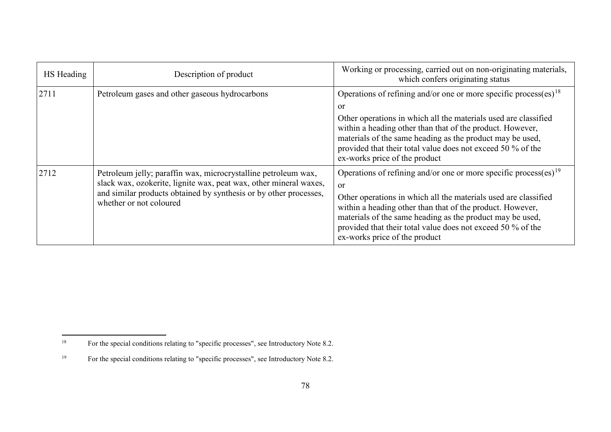<span id="page-77-1"></span><span id="page-77-0"></span>

| HS Heading | Description of product                                                                                                                                                                                                              | Working or processing, carried out on non-originating materials,<br>which confers originating status                                                                                                                                                                                                                                                                                       |
|------------|-------------------------------------------------------------------------------------------------------------------------------------------------------------------------------------------------------------------------------------|--------------------------------------------------------------------------------------------------------------------------------------------------------------------------------------------------------------------------------------------------------------------------------------------------------------------------------------------------------------------------------------------|
| 2711       | Petroleum gases and other gaseous hydrocarbons                                                                                                                                                                                      | Operations of refining and/or one or more specific process(es) <sup>18</sup><br><sub>or</sub><br>Other operations in which all the materials used are classified<br>within a heading other than that of the product. However,<br>materials of the same heading as the product may be used,<br>provided that their total value does not exceed 50 % of the<br>ex-works price of the product |
| 2712       | Petroleum jelly; paraffin wax, microcrystalline petroleum wax,<br>slack wax, ozokerite, lignite wax, peat wax, other mineral waxes,<br>and similar products obtained by synthesis or by other processes,<br>whether or not coloured | Operations of refining and/or one or more specific process(es) <sup>19</sup><br>or<br>Other operations in which all the materials used are classified<br>within a heading other than that of the product. However,<br>materials of the same heading as the product may be used,<br>provided that their total value does not exceed 50 % of the<br>ex-works price of the product            |

 $18\,$ <sup>18</sup> For the special conditions relating to "specific processes", see Introductory Note 8.2.

<sup>&</sup>lt;sup>19</sup> For the special conditions relating to "specific processes", see Introductory Note 8.2.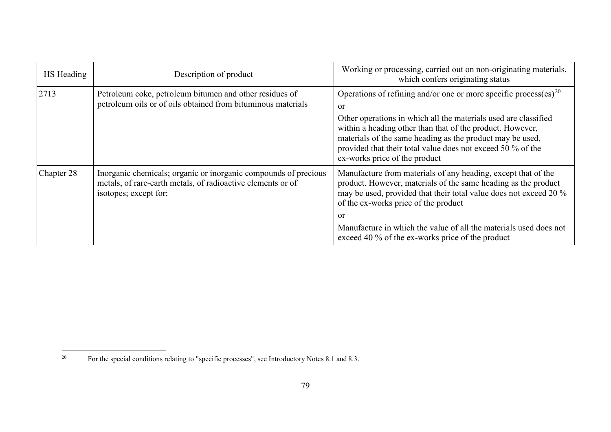<span id="page-78-0"></span>

| HS Heading | Description of product                                                                                                                                  | Working or processing, carried out on non-originating materials,<br>which confers originating status                                                                                                                                                                                                                                                                            |
|------------|---------------------------------------------------------------------------------------------------------------------------------------------------------|---------------------------------------------------------------------------------------------------------------------------------------------------------------------------------------------------------------------------------------------------------------------------------------------------------------------------------------------------------------------------------|
| 2713       | Petroleum coke, petroleum bitumen and other residues of<br>petroleum oils or of oils obtained from bituminous materials                                 | Operations of refining and/or one or more specific process(es) <sup>20</sup><br>or<br>Other operations in which all the materials used are classified<br>within a heading other than that of the product. However,<br>materials of the same heading as the product may be used,<br>provided that their total value does not exceed 50 % of the<br>ex-works price of the product |
| Chapter 28 | Inorganic chemicals; organic or inorganic compounds of precious<br>metals, of rare-earth metals, of radioactive elements or of<br>isotopes; except for: | Manufacture from materials of any heading, except that of the<br>product. However, materials of the same heading as the product<br>may be used, provided that their total value does not exceed 20 %<br>of the ex-works price of the product<br>or<br>Manufacture in which the value of all the materials used does not<br>exceed 40 % of the ex-works price of the product     |

 $20\,$ <sup>20</sup> For the special conditions relating to "specific processes", see Introductory Notes 8.1 and 8.3.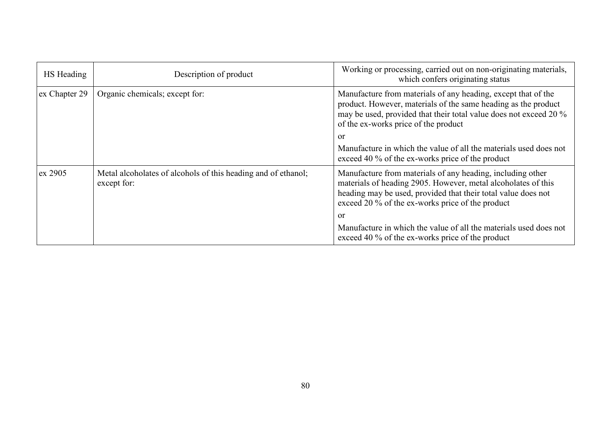| HS Heading    | Description of product                                                       | Working or processing, carried out on non-originating materials,<br>which confers originating status                                                                                                                                             |
|---------------|------------------------------------------------------------------------------|--------------------------------------------------------------------------------------------------------------------------------------------------------------------------------------------------------------------------------------------------|
| ex Chapter 29 | Organic chemicals; except for:                                               | Manufacture from materials of any heading, except that of the<br>product. However, materials of the same heading as the product<br>may be used, provided that their total value does not exceed 20 %<br>of the ex-works price of the product     |
|               |                                                                              | or                                                                                                                                                                                                                                               |
|               |                                                                              | Manufacture in which the value of all the materials used does not<br>exceed 40 % of the ex-works price of the product                                                                                                                            |
| ex 2905       | Metal alcoholates of alcohols of this heading and of ethanol;<br>except for: | Manufacture from materials of any heading, including other<br>materials of heading 2905. However, metal alcoholates of this<br>heading may be used, provided that their total value does not<br>exceed 20 % of the ex-works price of the product |
|               |                                                                              | or                                                                                                                                                                                                                                               |
|               |                                                                              | Manufacture in which the value of all the materials used does not<br>exceed 40 % of the ex-works price of the product                                                                                                                            |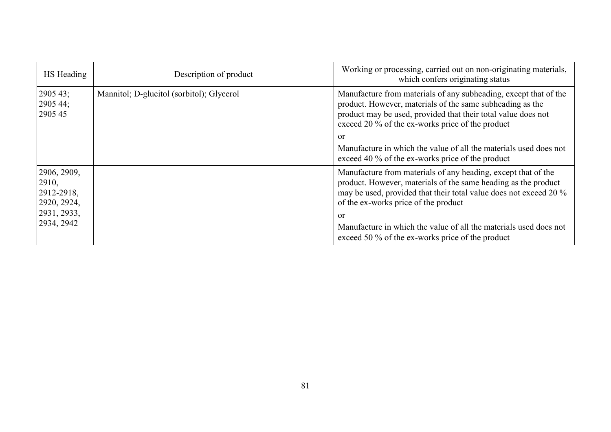| HS Heading                                        | Description of product                    | Working or processing, carried out on non-originating materials,<br>which confers originating status                                                                                                                                               |
|---------------------------------------------------|-------------------------------------------|----------------------------------------------------------------------------------------------------------------------------------------------------------------------------------------------------------------------------------------------------|
| 2905 43;<br>2905 44;<br>2905 45                   | Mannitol; D-glucitol (sorbitol); Glycerol | Manufacture from materials of any subheading, except that of the<br>product. However, materials of the same subheading as the<br>product may be used, provided that their total value does not<br>exceed 20 % of the ex-works price of the product |
|                                                   |                                           | or                                                                                                                                                                                                                                                 |
|                                                   |                                           | Manufacture in which the value of all the materials used does not<br>exceed 40 % of the ex-works price of the product                                                                                                                              |
| 2906, 2909,<br>2910,<br>2912-2918,<br>2920, 2924, |                                           | Manufacture from materials of any heading, except that of the<br>product. However, materials of the same heading as the product<br>may be used, provided that their total value does not exceed 20 %<br>of the ex-works price of the product       |
| 2931, 2933,<br>2934, 2942                         |                                           | or<br>Manufacture in which the value of all the materials used does not<br>exceed 50 % of the ex-works price of the product                                                                                                                        |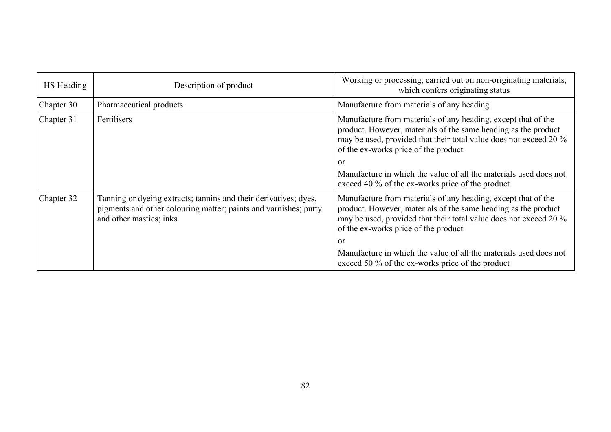| HS Heading | Description of product                                                                                                                                          | Working or processing, carried out on non-originating materials,<br>which confers originating status                                                                                                                                                                                                                                                                        |
|------------|-----------------------------------------------------------------------------------------------------------------------------------------------------------------|-----------------------------------------------------------------------------------------------------------------------------------------------------------------------------------------------------------------------------------------------------------------------------------------------------------------------------------------------------------------------------|
| Chapter 30 | Pharmaceutical products                                                                                                                                         | Manufacture from materials of any heading                                                                                                                                                                                                                                                                                                                                   |
| Chapter 31 | Fertilisers                                                                                                                                                     | Manufacture from materials of any heading, except that of the<br>product. However, materials of the same heading as the product<br>may be used, provided that their total value does not exceed 20 %<br>of the ex-works price of the product<br>or<br>Manufacture in which the value of all the materials used does not<br>exceed 40 % of the ex-works price of the product |
| Chapter 32 | Tanning or dyeing extracts; tannins and their derivatives; dyes,<br>pigments and other colouring matter; paints and varnishes; putty<br>and other mastics; inks | Manufacture from materials of any heading, except that of the<br>product. However, materials of the same heading as the product<br>may be used, provided that their total value does not exceed 20 %<br>of the ex-works price of the product<br>or<br>Manufacture in which the value of all the materials used does not<br>exceed 50 % of the ex-works price of the product |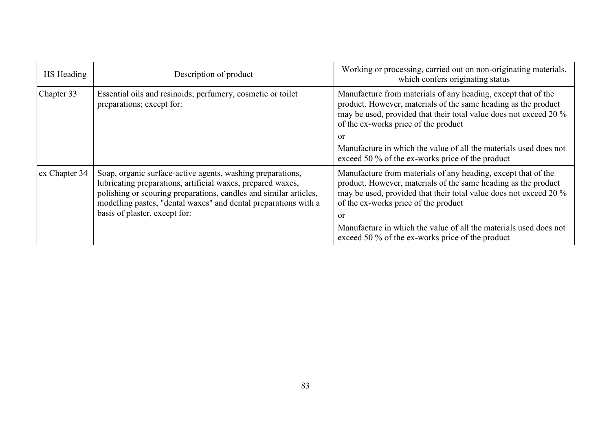| HS Heading    | Description of product                                                                                                                                                                                                                                                                             | Working or processing, carried out on non-originating materials,<br>which confers originating status                                                                                                                                               |
|---------------|----------------------------------------------------------------------------------------------------------------------------------------------------------------------------------------------------------------------------------------------------------------------------------------------------|----------------------------------------------------------------------------------------------------------------------------------------------------------------------------------------------------------------------------------------------------|
| Chapter 33    | Essential oils and resinoids; perfumery, cosmetic or toilet<br>preparations; except for:                                                                                                                                                                                                           | Manufacture from materials of any heading, except that of the<br>product. However, materials of the same heading as the product<br>may be used, provided that their total value does not exceed 20 %<br>of the ex-works price of the product       |
|               |                                                                                                                                                                                                                                                                                                    | $\alpha$                                                                                                                                                                                                                                           |
|               |                                                                                                                                                                                                                                                                                                    | Manufacture in which the value of all the materials used does not<br>exceed 50 % of the ex-works price of the product                                                                                                                              |
| ex Chapter 34 | Soap, organic surface-active agents, washing preparations,<br>lubricating preparations, artificial waxes, prepared waxes,<br>polishing or scouring preparations, candles and similar articles,<br>modelling pastes, "dental waxes" and dental preparations with a<br>basis of plaster, except for: | Manufacture from materials of any heading, except that of the<br>product. However, materials of the same heading as the product<br>may be used, provided that their total value does not exceed 20 %<br>of the ex-works price of the product<br>or |
|               |                                                                                                                                                                                                                                                                                                    | Manufacture in which the value of all the materials used does not<br>exceed 50 % of the ex-works price of the product                                                                                                                              |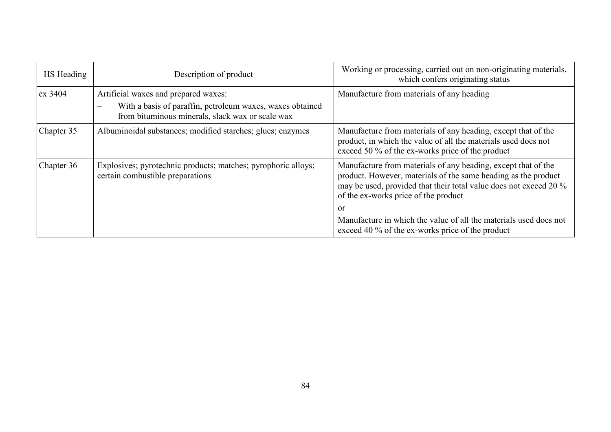| HS Heading | Description of product                                                                                                                                                 | Working or processing, carried out on non-originating materials,<br>which confers originating status                                                                                                                                         |
|------------|------------------------------------------------------------------------------------------------------------------------------------------------------------------------|----------------------------------------------------------------------------------------------------------------------------------------------------------------------------------------------------------------------------------------------|
| ex 3404    | Artificial waxes and prepared waxes:<br>With a basis of paraffin, petroleum waxes, waxes obtained<br>$\frac{1}{2}$<br>from bituminous minerals, slack wax or scale wax | Manufacture from materials of any heading                                                                                                                                                                                                    |
| Chapter 35 | Albuminoidal substances; modified starches; glues; enzymes                                                                                                             | Manufacture from materials of any heading, except that of the<br>product, in which the value of all the materials used does not<br>exceed 50 % of the ex-works price of the product                                                          |
| Chapter 36 | Explosives; pyrotechnic products; matches; pyrophoric alloys;<br>certain combustible preparations                                                                      | Manufacture from materials of any heading, except that of the<br>product. However, materials of the same heading as the product<br>may be used, provided that their total value does not exceed 20 %<br>of the ex-works price of the product |
|            |                                                                                                                                                                        | or<br>Manufacture in which the value of all the materials used does not<br>exceed 40 % of the ex-works price of the product                                                                                                                  |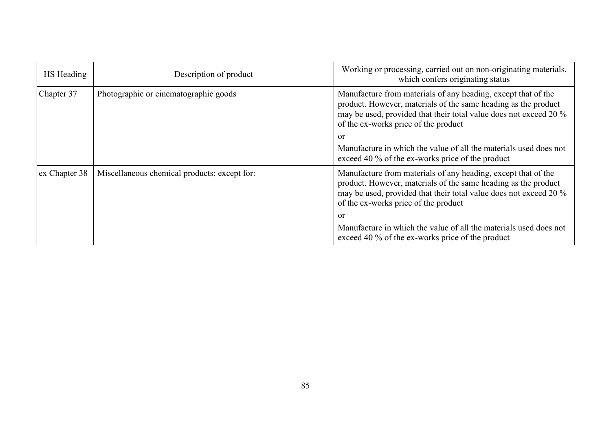| HS Heading    | Description of product                       | Working or processing, carried out on non-originating materials,<br>which confers originating status                                                                                                                                         |
|---------------|----------------------------------------------|----------------------------------------------------------------------------------------------------------------------------------------------------------------------------------------------------------------------------------------------|
| Chapter 37    | Photographic or cinematographic goods        | Manufacture from materials of any heading, except that of the<br>product. However, materials of the same heading as the product<br>may be used, provided that their total value does not exceed 20 %<br>of the ex-works price of the product |
|               |                                              | or                                                                                                                                                                                                                                           |
|               |                                              | Manufacture in which the value of all the materials used does not<br>exceed 40 % of the ex-works price of the product                                                                                                                        |
| ex Chapter 38 | Miscellaneous chemical products; except for: | Manufacture from materials of any heading, except that of the<br>product. However, materials of the same heading as the product<br>may be used, provided that their total value does not exceed 20 %<br>of the ex-works price of the product |
|               |                                              | or                                                                                                                                                                                                                                           |
|               |                                              | Manufacture in which the value of all the materials used does not<br>exceed 40 % of the ex-works price of the product                                                                                                                        |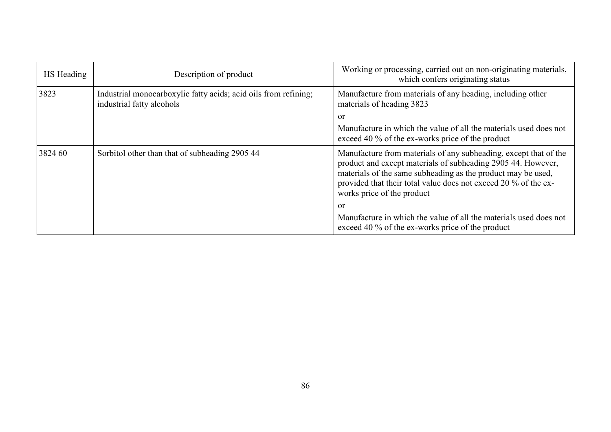| HS Heading | Description of product                                                                       | Working or processing, carried out on non-originating materials,<br>which confers originating status                                                                                                                                                                                              |
|------------|----------------------------------------------------------------------------------------------|---------------------------------------------------------------------------------------------------------------------------------------------------------------------------------------------------------------------------------------------------------------------------------------------------|
| 3823       | Industrial monocarboxylic fatty acids; acid oils from refining;<br>industrial fatty alcohols | Manufacture from materials of any heading, including other<br>materials of heading 3823                                                                                                                                                                                                           |
|            |                                                                                              | or                                                                                                                                                                                                                                                                                                |
|            |                                                                                              | Manufacture in which the value of all the materials used does not<br>exceed 40 % of the ex-works price of the product                                                                                                                                                                             |
| 3824 60    | Sorbitol other than that of subheading 2905 44                                               | Manufacture from materials of any subheading, except that of the<br>product and except materials of subheading 2905 44. However,<br>materials of the same subheading as the product may be used,<br>provided that their total value does not exceed 20 % of the ex-<br>works price of the product |
|            |                                                                                              | or                                                                                                                                                                                                                                                                                                |
|            |                                                                                              | Manufacture in which the value of all the materials used does not<br>exceed 40 % of the ex-works price of the product                                                                                                                                                                             |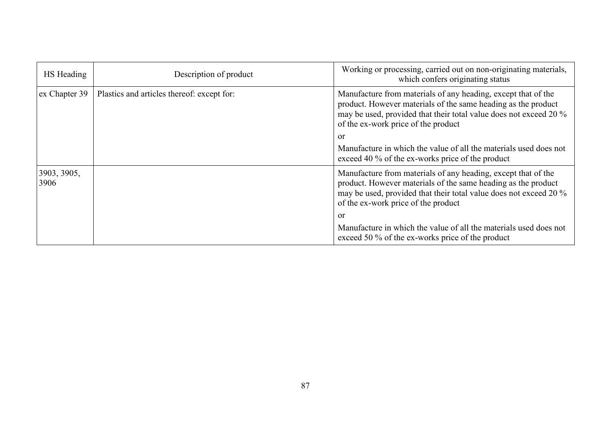| HS Heading          | Description of product                     | Working or processing, carried out on non-originating materials,<br>which confers originating status                                                                                                                                       |
|---------------------|--------------------------------------------|--------------------------------------------------------------------------------------------------------------------------------------------------------------------------------------------------------------------------------------------|
| ex Chapter 39       | Plastics and articles thereof: except for: | Manufacture from materials of any heading, except that of the<br>product. However materials of the same heading as the product<br>may be used, provided that their total value does not exceed 20 %<br>of the ex-work price of the product |
|                     |                                            | or                                                                                                                                                                                                                                         |
|                     |                                            | Manufacture in which the value of all the materials used does not<br>exceed 40 % of the ex-works price of the product                                                                                                                      |
| 3903, 3905,<br>3906 |                                            | Manufacture from materials of any heading, except that of the<br>product. However materials of the same heading as the product<br>may be used, provided that their total value does not exceed 20 %<br>of the ex-work price of the product |
|                     |                                            | or                                                                                                                                                                                                                                         |
|                     |                                            | Manufacture in which the value of all the materials used does not<br>exceed 50 % of the ex-works price of the product                                                                                                                      |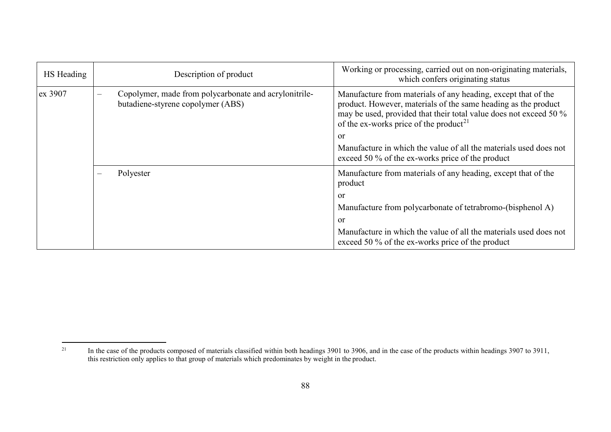<span id="page-87-0"></span>

| HS Heading | Description of product                                                                     | Working or processing, carried out on non-originating materials,<br>which confers originating status                                                                                                                                                             |
|------------|--------------------------------------------------------------------------------------------|------------------------------------------------------------------------------------------------------------------------------------------------------------------------------------------------------------------------------------------------------------------|
| ex 3907    | Copolymer, made from polycarbonate and acrylonitrile-<br>butadiene-styrene copolymer (ABS) | Manufacture from materials of any heading, except that of the<br>product. However, materials of the same heading as the product<br>may be used, provided that their total value does not exceed 50 %<br>of the ex-works price of the product <sup>21</sup><br>or |
|            |                                                                                            | Manufacture in which the value of all the materials used does not<br>exceed 50 % of the ex-works price of the product                                                                                                                                            |
|            | Polyester<br>$\qquad \qquad -$                                                             | Manufacture from materials of any heading, except that of the<br>product                                                                                                                                                                                         |
|            |                                                                                            | or                                                                                                                                                                                                                                                               |
|            |                                                                                            | Manufacture from polycarbonate of tetrabromo-(bisphenol A)                                                                                                                                                                                                       |
|            |                                                                                            | <b>or</b>                                                                                                                                                                                                                                                        |
|            |                                                                                            | Manufacture in which the value of all the materials used does not<br>exceed 50 % of the ex-works price of the product                                                                                                                                            |

 $21$ <sup>21</sup> In the case of the products composed of materials classified within both headings 3901 to 3906, and in the case of the products within headings 3907 to 3911, this restriction only applies to that group of materials which predominates by weight in the product.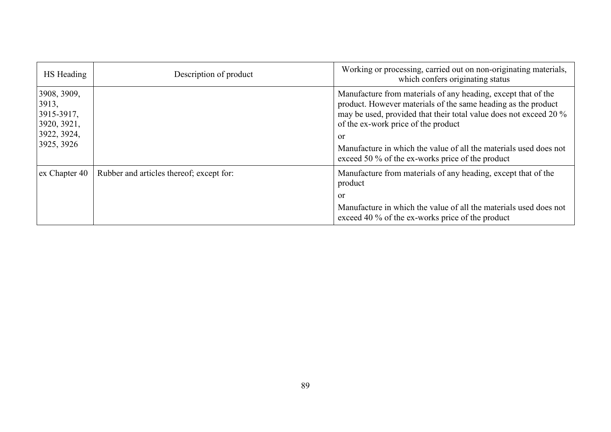| HS Heading                                                                     | Description of product                   | Working or processing, carried out on non-originating materials,<br>which confers originating status                                                                                                                                                                                                                                                                      |
|--------------------------------------------------------------------------------|------------------------------------------|---------------------------------------------------------------------------------------------------------------------------------------------------------------------------------------------------------------------------------------------------------------------------------------------------------------------------------------------------------------------------|
| 3908, 3909,<br>3913,<br>3915-3917,<br>3920, 3921,<br>3922, 3924,<br>3925, 3926 |                                          | Manufacture from materials of any heading, except that of the<br>product. However materials of the same heading as the product<br>may be used, provided that their total value does not exceed 20 %<br>of the ex-work price of the product<br>or<br>Manufacture in which the value of all the materials used does not<br>exceed 50 % of the ex-works price of the product |
| ex Chapter 40                                                                  | Rubber and articles thereof; except for: | Manufacture from materials of any heading, except that of the<br>product                                                                                                                                                                                                                                                                                                  |
|                                                                                |                                          | <b>or</b><br>Manufacture in which the value of all the materials used does not<br>exceed 40 % of the ex-works price of the product                                                                                                                                                                                                                                        |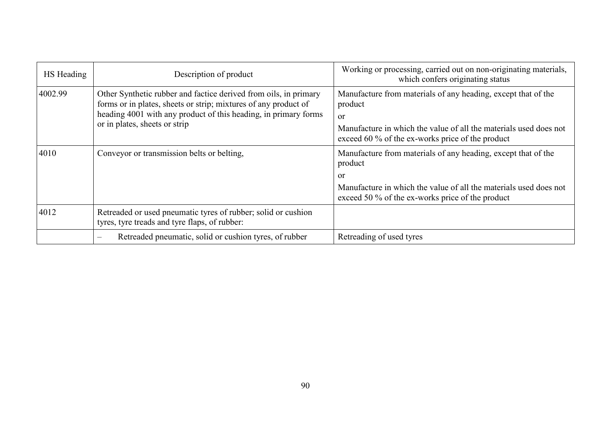| HS Heading | Description of product                                                                                                                                                                                                                  | Working or processing, carried out on non-originating materials,<br>which confers originating status                                                                                                               |
|------------|-----------------------------------------------------------------------------------------------------------------------------------------------------------------------------------------------------------------------------------------|--------------------------------------------------------------------------------------------------------------------------------------------------------------------------------------------------------------------|
| 4002.99    | Other Synthetic rubber and factice derived from oils, in primary<br>forms or in plates, sheets or strip; mixtures of any product of<br>heading 4001 with any product of this heading, in primary forms<br>or in plates, sheets or strip | Manufacture from materials of any heading, except that of the<br>product<br><sub>or</sub><br>Manufacture in which the value of all the materials used does not<br>exceed 60 % of the ex-works price of the product |
| 4010       | Conveyor or transmission belts or belting,                                                                                                                                                                                              | Manufacture from materials of any heading, except that of the<br>product<br><b>or</b><br>Manufacture in which the value of all the materials used does not<br>exceed 50 % of the ex-works price of the product     |
| 4012       | Retreaded or used pneumatic tyres of rubber; solid or cushion<br>tyres, tyre treads and tyre flaps, of rubber:                                                                                                                          |                                                                                                                                                                                                                    |
|            | Retreaded pneumatic, solid or cushion tyres, of rubber<br>$\overline{\phantom{a}}$                                                                                                                                                      | Retreading of used tyres                                                                                                                                                                                           |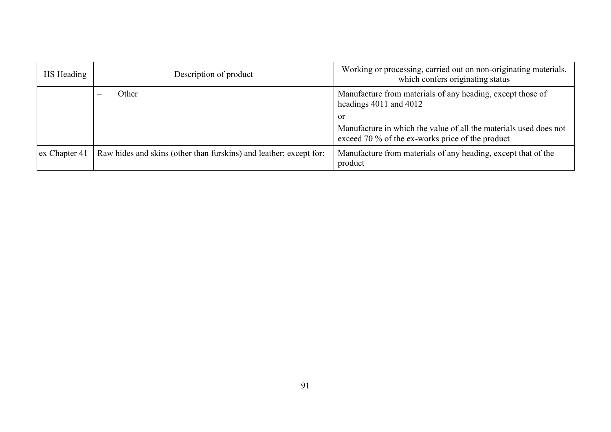| HS Heading    | Description of product                                             | Working or processing, carried out on non-originating materials,<br>which confers originating status                               |
|---------------|--------------------------------------------------------------------|------------------------------------------------------------------------------------------------------------------------------------|
|               | Other                                                              | Manufacture from materials of any heading, except those of<br>headings $4011$ and $4012$                                           |
|               |                                                                    | <b>or</b><br>Manufacture in which the value of all the materials used does not<br>exceed 70 % of the ex-works price of the product |
| ex Chapter 41 | Raw hides and skins (other than furskins) and leather; except for: | Manufacture from materials of any heading, except that of the<br>product                                                           |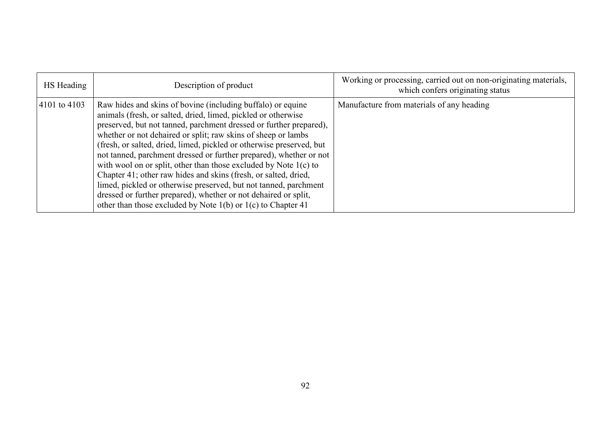| HS Heading   | Description of product                                                                                                                                                                                                                                                                                                                                                                                                                                                                                                                                                                                                                                                                                                                                          | Working or processing, carried out on non-originating materials,<br>which confers originating status |
|--------------|-----------------------------------------------------------------------------------------------------------------------------------------------------------------------------------------------------------------------------------------------------------------------------------------------------------------------------------------------------------------------------------------------------------------------------------------------------------------------------------------------------------------------------------------------------------------------------------------------------------------------------------------------------------------------------------------------------------------------------------------------------------------|------------------------------------------------------------------------------------------------------|
| 4101 to 4103 | Raw hides and skins of bovine (including buffalo) or equine<br>animals (fresh, or salted, dried, limed, pickled or otherwise<br>preserved, but not tanned, parchment dressed or further prepared),<br>whether or not dehaired or split; raw skins of sheep or lambs<br>(fresh, or salted, dried, limed, pickled or otherwise preserved, but<br>not tanned, parchment dressed or further prepared), whether or not<br>with wool on or split, other than those excluded by Note 1(c) to<br>Chapter 41; other raw hides and skins (fresh, or salted, dried,<br>limed, pickled or otherwise preserved, but not tanned, parchment<br>dressed or further prepared), whether or not dehaired or split,<br>other than those excluded by Note 1(b) or 1(c) to Chapter 41 | Manufacture from materials of any heading                                                            |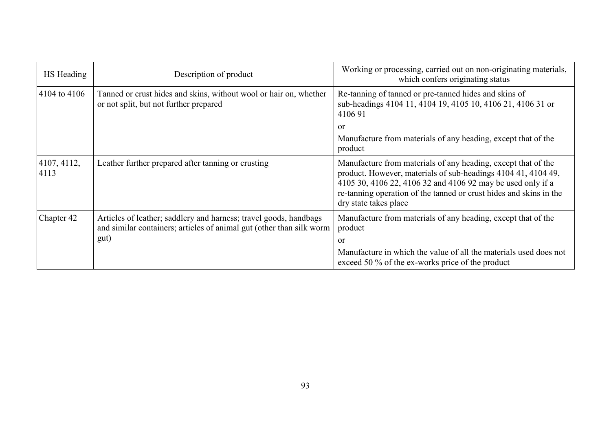| HS Heading          | Description of product                                                                                                                            | Working or processing, carried out on non-originating materials,<br>which confers originating status                                                                                                                                                                                         |
|---------------------|---------------------------------------------------------------------------------------------------------------------------------------------------|----------------------------------------------------------------------------------------------------------------------------------------------------------------------------------------------------------------------------------------------------------------------------------------------|
| 4104 to 4106        | Tanned or crust hides and skins, without wool or hair on, whether<br>or not split, but not further prepared                                       | Re-tanning of tanned or pre-tanned hides and skins of<br>sub-headings 4104 11, 4104 19, 4105 10, 4106 21, 4106 31 or<br>410691                                                                                                                                                               |
|                     |                                                                                                                                                   | or<br>Manufacture from materials of any heading, except that of the<br>product                                                                                                                                                                                                               |
| 4107, 4112,<br>4113 | Leather further prepared after tanning or crusting                                                                                                | Manufacture from materials of any heading, except that of the<br>product. However, materials of sub-headings 4104 41, 4104 49,<br>4105 30, 4106 22, 4106 32 and 4106 92 may be used only if a<br>re-tanning operation of the tanned or crust hides and skins in the<br>dry state takes place |
| Chapter 42          | Articles of leather; saddlery and harness; travel goods, handbags<br>and similar containers; articles of animal gut (other than silk worm<br>gut) | Manufacture from materials of any heading, except that of the<br>product<br>or<br>Manufacture in which the value of all the materials used does not<br>exceed 50 % of the ex-works price of the product                                                                                      |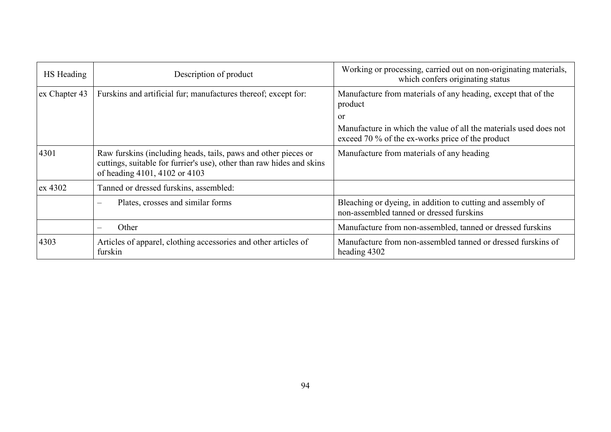| HS Heading    | Description of product                                                                                                                                                   | Working or processing, carried out on non-originating materials,<br>which confers originating status                  |
|---------------|--------------------------------------------------------------------------------------------------------------------------------------------------------------------------|-----------------------------------------------------------------------------------------------------------------------|
| ex Chapter 43 | Furskins and artificial fur; manufactures thereof; except for:                                                                                                           | Manufacture from materials of any heading, except that of the<br>product                                              |
|               |                                                                                                                                                                          | or                                                                                                                    |
|               |                                                                                                                                                                          | Manufacture in which the value of all the materials used does not<br>exceed 70 % of the ex-works price of the product |
| 4301          | Raw furskins (including heads, tails, paws and other pieces or<br>cuttings, suitable for furrier's use), other than raw hides and skins<br>of heading 4101, 4102 or 4103 | Manufacture from materials of any heading                                                                             |
| $\alpha$ 4302 | Tanned or dressed furskins, assembled:                                                                                                                                   |                                                                                                                       |
|               | Plates, crosses and similar forms<br>$\overline{\phantom{0}}$                                                                                                            | Bleaching or dyeing, in addition to cutting and assembly of<br>non-assembled tanned or dressed furskins               |
|               | Other                                                                                                                                                                    | Manufacture from non-assembled, tanned or dressed furskins                                                            |
| 4303          | Articles of apparel, clothing accessories and other articles of<br>furskin                                                                                               | Manufacture from non-assembled tanned or dressed furskins of<br>heading 4302                                          |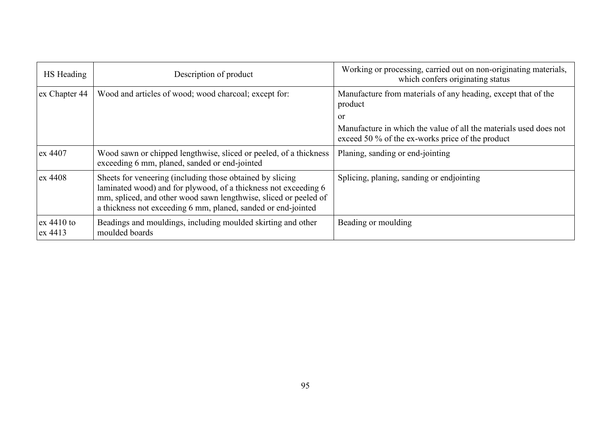| HS Heading              | Description of product                                                                                                                                                                                                                                            | Working or processing, carried out on non-originating materials,<br>which confers originating status                  |
|-------------------------|-------------------------------------------------------------------------------------------------------------------------------------------------------------------------------------------------------------------------------------------------------------------|-----------------------------------------------------------------------------------------------------------------------|
| ex Chapter 44           | Wood and articles of wood; wood charcoal; except for:                                                                                                                                                                                                             | Manufacture from materials of any heading, except that of the<br>product                                              |
|                         |                                                                                                                                                                                                                                                                   | <sub>or</sub>                                                                                                         |
|                         |                                                                                                                                                                                                                                                                   | Manufacture in which the value of all the materials used does not<br>exceed 50 % of the ex-works price of the product |
| ex 4407                 | Wood sawn or chipped lengthwise, sliced or peeled, of a thickness<br>exceeding 6 mm, planed, sanded or end-jointed                                                                                                                                                | Planing, sanding or end-jointing                                                                                      |
| ex 4408                 | Sheets for veneering (including those obtained by slicing<br>laminated wood) and for plywood, of a thickness not exceeding 6<br>mm, spliced, and other wood sawn lengthwise, sliced or peeled of<br>a thickness not exceeding 6 mm, planed, sanded or end-jointed | Splicing, planing, sanding or endjointing                                                                             |
| $ex$ 4410 to<br>ex 4413 | Beadings and mouldings, including moulded skirting and other<br>moulded boards                                                                                                                                                                                    | Beading or moulding                                                                                                   |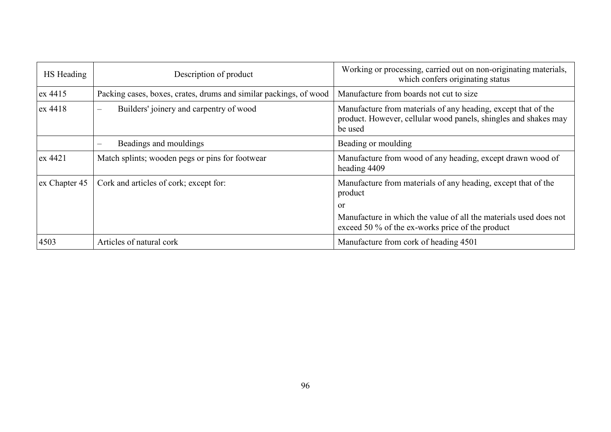| HS Heading    | Description of product                                            | Working or processing, carried out on non-originating materials,<br>which confers originating status                                        |
|---------------|-------------------------------------------------------------------|---------------------------------------------------------------------------------------------------------------------------------------------|
| ex 4415       | Packing cases, boxes, crates, drums and similar packings, of wood | Manufacture from boards not cut to size                                                                                                     |
| $\alpha$ 4418 | Builders' joinery and carpentry of wood<br>$\hspace{0.05cm}$      | Manufacture from materials of any heading, except that of the<br>product. However, cellular wood panels, shingles and shakes may<br>be used |
|               | Beadings and mouldings                                            | Beading or moulding                                                                                                                         |
| ex 4421       | Match splints; wooden pegs or pins for footwear                   | Manufacture from wood of any heading, except drawn wood of<br>heading 4409                                                                  |
| ex Chapter 45 | Cork and articles of cork; except for:                            | Manufacture from materials of any heading, except that of the<br>product                                                                    |
|               |                                                                   | or                                                                                                                                          |
|               |                                                                   | Manufacture in which the value of all the materials used does not<br>exceed 50 % of the ex-works price of the product                       |
| 4503          | Articles of natural cork                                          | Manufacture from cork of heading 4501                                                                                                       |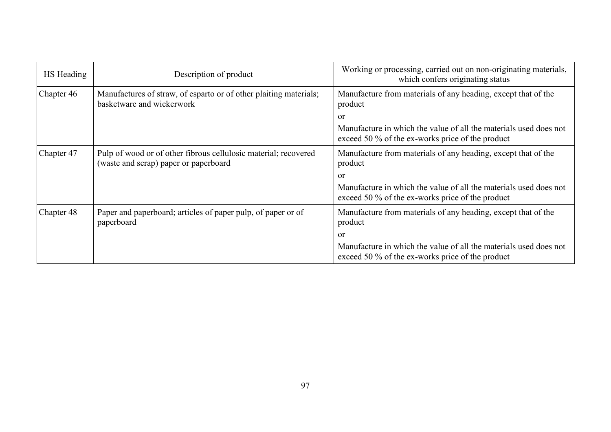| HS Heading | Description of product                                                                                   | Working or processing, carried out on non-originating materials,<br>which confers originating status                  |
|------------|----------------------------------------------------------------------------------------------------------|-----------------------------------------------------------------------------------------------------------------------|
| Chapter 46 | Manufactures of straw, of esparto or of other plaiting materials;<br>basketware and wickerwork           | Manufacture from materials of any heading, except that of the<br>product                                              |
|            |                                                                                                          | or                                                                                                                    |
|            |                                                                                                          | Manufacture in which the value of all the materials used does not<br>exceed 50 % of the ex-works price of the product |
| Chapter 47 | Pulp of wood or of other fibrous cellulosic material; recovered<br>(waste and scrap) paper or paperboard | Manufacture from materials of any heading, except that of the<br>product                                              |
|            |                                                                                                          | or                                                                                                                    |
|            |                                                                                                          | Manufacture in which the value of all the materials used does not<br>exceed 50 % of the ex-works price of the product |
| Chapter 48 | Paper and paperboard; articles of paper pulp, of paper or of<br>paperboard                               | Manufacture from materials of any heading, except that of the<br>product                                              |
|            |                                                                                                          | or                                                                                                                    |
|            |                                                                                                          | Manufacture in which the value of all the materials used does not<br>exceed 50 % of the ex-works price of the product |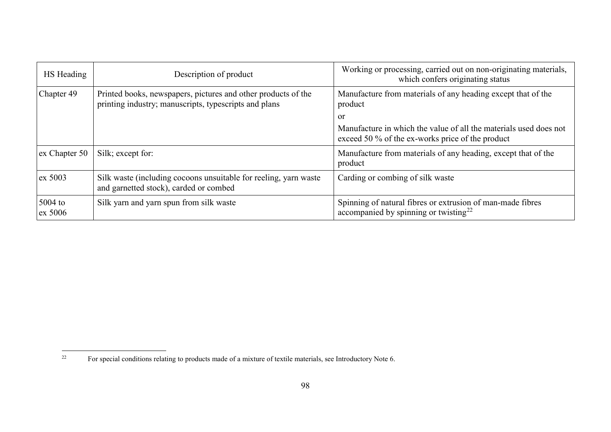<span id="page-97-0"></span>

| HS Heading           | Description of product                                                                                                 | Working or processing, carried out on non-originating materials,<br>which confers originating status                        |
|----------------------|------------------------------------------------------------------------------------------------------------------------|-----------------------------------------------------------------------------------------------------------------------------|
| Chapter 49           | Printed books, newspapers, pictures and other products of the<br>printing industry; manuscripts, typescripts and plans | Manufacture from materials of any heading except that of the<br>product                                                     |
|                      |                                                                                                                        | or<br>Manufacture in which the value of all the materials used does not<br>exceed 50 % of the ex-works price of the product |
| ex Chapter 50        | Silk; except for:                                                                                                      | Manufacture from materials of any heading, except that of the<br>product                                                    |
| ex 5003              | Silk waste (including cocoons unsuitable for reeling, yarn waste<br>and garnetted stock), carded or combed             | Carding or combing of silk waste                                                                                            |
| $5004$ to<br>ex 5006 | Silk yarn and yarn spun from silk waste                                                                                | Spinning of natural fibres or extrusion of man-made fibres<br>accompanied by spinning or twisting <sup>22</sup>             |

 $22$ <sup>22</sup> For special conditions relating to products made of a mixture of textile materials, see Introductory Note 6.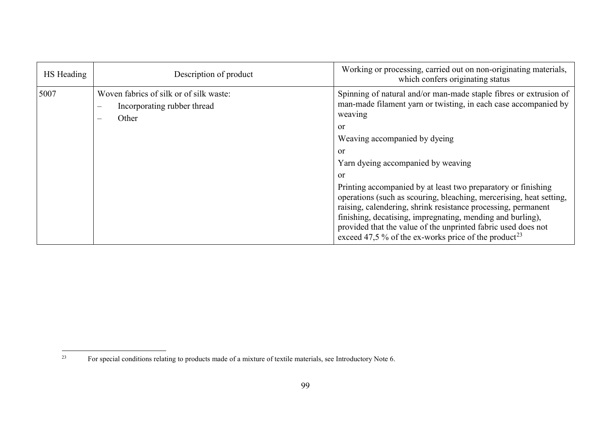<span id="page-98-0"></span>

| HS Heading | Description of product                                                                                    | Working or processing, carried out on non-originating materials,<br>which confers originating status                                                                                                                                                                                                                                                                             |
|------------|-----------------------------------------------------------------------------------------------------------|----------------------------------------------------------------------------------------------------------------------------------------------------------------------------------------------------------------------------------------------------------------------------------------------------------------------------------------------------------------------------------|
| 5007       | Woven fabrics of silk or of silk waste:<br>Incorporating rubber thread<br>$\qquad \qquad -$<br>Other<br>— | Spinning of natural and/or man-made staple fibres or extrusion of<br>man-made filament yarn or twisting, in each case accompanied by<br>weaving<br>or<br>Weaving accompanied by dyeing<br>or<br>Yarn dyeing accompanied by weaving<br>or<br>Printing accompanied by at least two preparatory or finishing<br>operations (such as scouring, bleaching, mercerising, heat setting, |
|            |                                                                                                           | raising, calendering, shrink resistance processing, permanent<br>finishing, decatising, impregnating, mending and burling),<br>provided that the value of the unprinted fabric used does not<br>exceed 47,5 % of the ex-works price of the product <sup>23</sup>                                                                                                                 |

 $23$ <sup>23</sup> For special conditions relating to products made of a mixture of textile materials, see Introductory Note 6.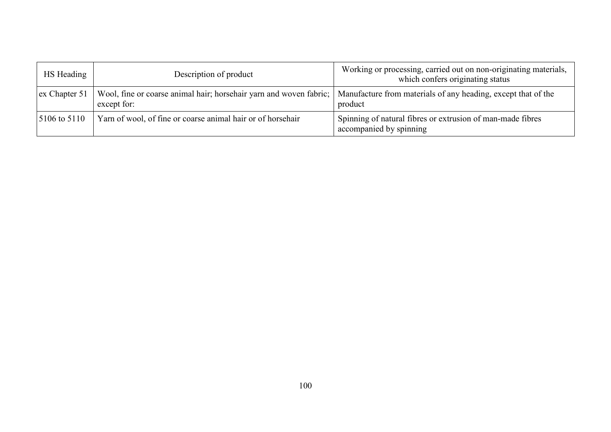| HS Heading                            | Description of product                                                              | Working or processing, carried out on non-originating materials,<br>which confers originating status |
|---------------------------------------|-------------------------------------------------------------------------------------|------------------------------------------------------------------------------------------------------|
| $\left  \text{ex Chapter 51} \right $ | Wool, fine or coarse animal hair; horsehair yarn and woven fabric;  <br>except for: | Manufacture from materials of any heading, except that of the<br>product                             |
| $5106 \text{ to } 5110$               | Yarn of wool, of fine or coarse animal hair or of horsehair                         | Spinning of natural fibres or extrusion of man-made fibres<br>accompanied by spinning                |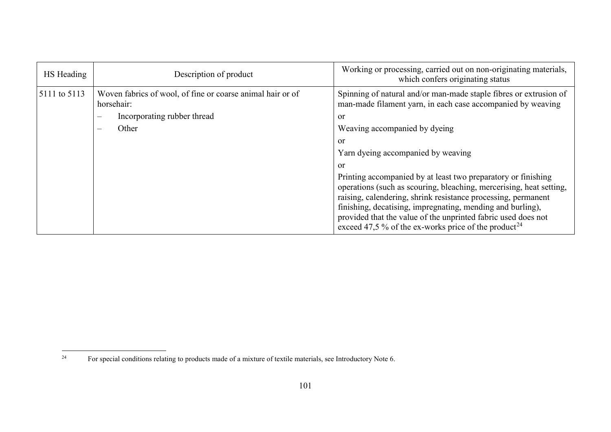<span id="page-100-0"></span>

| HS Heading   | Description of product                                                   | Working or processing, carried out on non-originating materials,<br>which confers originating status                                                                                                                                                                                                                                                                                                     |
|--------------|--------------------------------------------------------------------------|----------------------------------------------------------------------------------------------------------------------------------------------------------------------------------------------------------------------------------------------------------------------------------------------------------------------------------------------------------------------------------------------------------|
| 5111 to 5113 | Woven fabrics of wool, of fine or coarse animal hair or of<br>horsehair: | Spinning of natural and/or man-made staple fibres or extrusion of<br>man-made filament yarn, in each case accompanied by weaving                                                                                                                                                                                                                                                                         |
|              | Incorporating rubber thread                                              | or                                                                                                                                                                                                                                                                                                                                                                                                       |
|              | Other                                                                    | Weaving accompanied by dyeing                                                                                                                                                                                                                                                                                                                                                                            |
|              |                                                                          | or                                                                                                                                                                                                                                                                                                                                                                                                       |
|              |                                                                          | Yarn dyeing accompanied by weaving                                                                                                                                                                                                                                                                                                                                                                       |
|              |                                                                          | $\alpha$                                                                                                                                                                                                                                                                                                                                                                                                 |
|              |                                                                          | Printing accompanied by at least two preparatory or finishing<br>operations (such as scouring, bleaching, mercerising, heat setting,<br>raising, calendering, shrink resistance processing, permanent<br>finishing, decatising, impregnating, mending and burling),<br>provided that the value of the unprinted fabric used does not<br>exceed 47,5 % of the ex-works price of the product <sup>24</sup> |

 $24$ <sup>24</sup> For special conditions relating to products made of a mixture of textile materials, see Introductory Note 6.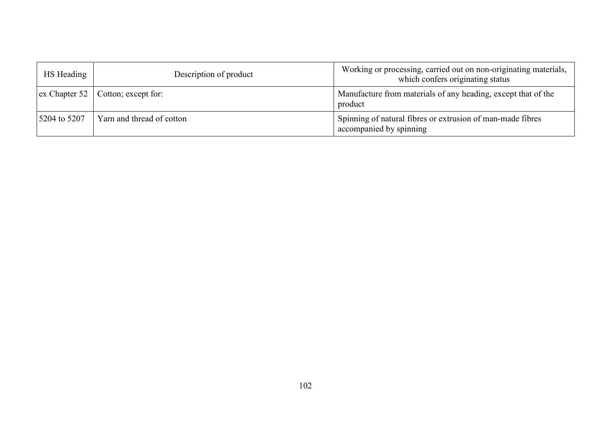| HS Heading   | Description of product                            | Working or processing, carried out on non-originating materials,<br>which confers originating status |
|--------------|---------------------------------------------------|------------------------------------------------------------------------------------------------------|
|              | $\vert$ ex Chapter 52 $\vert$ Cotton; except for: | Manufacture from materials of any heading, except that of the<br>product                             |
| 5204 to 5207 | Yarn and thread of cotton                         | Spinning of natural fibres or extrusion of man-made fibres<br>accompanied by spinning                |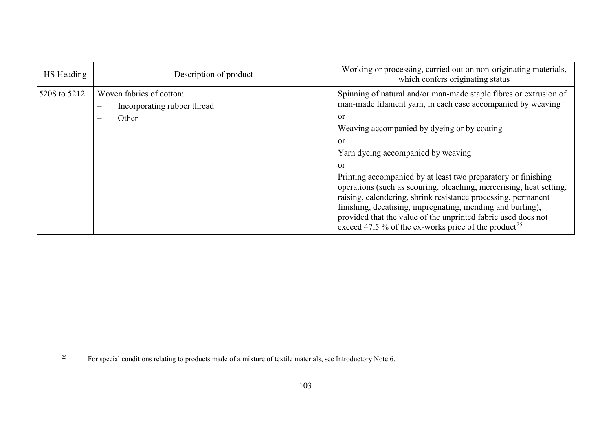<span id="page-102-0"></span>

| HS Heading   | Description of product                                                                                          | Working or processing, carried out on non-originating materials,<br>which confers originating status                                                                                                                                                                                                                                                                                                                                                                                                                                                                                                                                                |
|--------------|-----------------------------------------------------------------------------------------------------------------|-----------------------------------------------------------------------------------------------------------------------------------------------------------------------------------------------------------------------------------------------------------------------------------------------------------------------------------------------------------------------------------------------------------------------------------------------------------------------------------------------------------------------------------------------------------------------------------------------------------------------------------------------------|
| 5208 to 5212 | Woven fabrics of cotton:<br>Incorporating rubber thread<br>$\qquad \qquad$<br>Other<br>$\overline{\phantom{m}}$ | Spinning of natural and/or man-made staple fibres or extrusion of<br>man-made filament yarn, in each case accompanied by weaving<br>or<br>Weaving accompanied by dyeing or by coating<br>or<br>Yarn dyeing accompanied by weaving<br>or<br>Printing accompanied by at least two preparatory or finishing<br>operations (such as scouring, bleaching, mercerising, heat setting,<br>raising, calendering, shrink resistance processing, permanent<br>finishing, decatising, impregnating, mending and burling),<br>provided that the value of the unprinted fabric used does not<br>exceed 47,5 % of the ex-works price of the product <sup>25</sup> |

 $25\,$ <sup>25</sup> For special conditions relating to products made of a mixture of textile materials, see Introductory Note 6.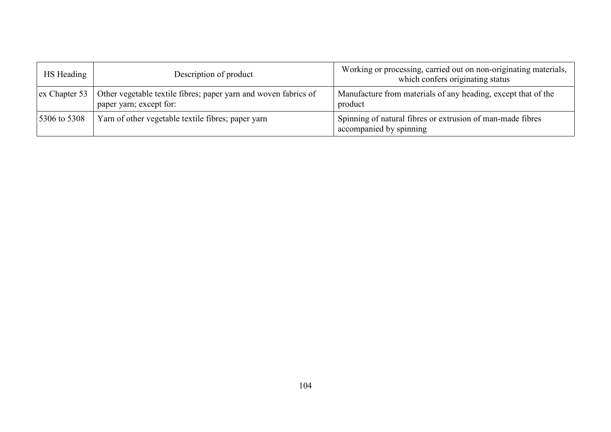| HS Heading                    | Description of product                                                                     | Working or processing, carried out on non-originating materials,<br>which confers originating status |
|-------------------------------|--------------------------------------------------------------------------------------------|------------------------------------------------------------------------------------------------------|
| $\vert$ ex Chapter 53 $\vert$ | Other vegetable textile fibres; paper yarn and woven fabrics of<br>paper yarn; except for: | Manufacture from materials of any heading, except that of the<br>product                             |
| 5306 to 5308                  | Yarn of other vegetable textile fibres; paper yarn                                         | Spinning of natural fibres or extrusion of man-made fibres<br>accompanied by spinning                |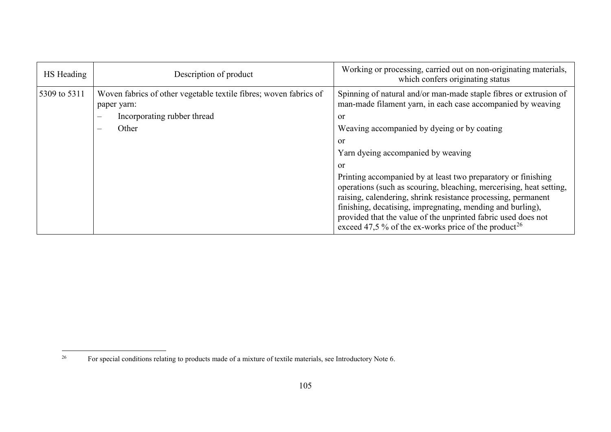<span id="page-104-0"></span>

| HS Heading   | Description of product                                                                                                                               | Working or processing, carried out on non-originating materials,<br>which confers originating status                                                                                                                                                                                                                                                                                                                                                                                                                      |
|--------------|------------------------------------------------------------------------------------------------------------------------------------------------------|---------------------------------------------------------------------------------------------------------------------------------------------------------------------------------------------------------------------------------------------------------------------------------------------------------------------------------------------------------------------------------------------------------------------------------------------------------------------------------------------------------------------------|
| 5309 to 5311 | Woven fabrics of other vegetable textile fibres; woven fabrics of<br>paper yarn:<br>Incorporating rubber thread<br>$\overline{\phantom{a}}$<br>Other | Spinning of natural and/or man-made staple fibres or extrusion of<br>man-made filament yarn, in each case accompanied by weaving<br><sub>or</sub><br>Weaving accompanied by dyeing or by coating<br>or<br>Yarn dyeing accompanied by weaving<br>or<br>Printing accompanied by at least two preparatory or finishing<br>operations (such as scouring, bleaching, mercerising, heat setting,<br>raising, calendering, shrink resistance processing, permanent<br>finishing, decatising, impregnating, mending and burling), |
|              |                                                                                                                                                      | provided that the value of the unprinted fabric used does not<br>exceed 47,5 % of the ex-works price of the product <sup>26</sup>                                                                                                                                                                                                                                                                                                                                                                                         |

 $26\,$ <sup>26</sup> For special conditions relating to products made of a mixture of textile materials, see Introductory Note 6.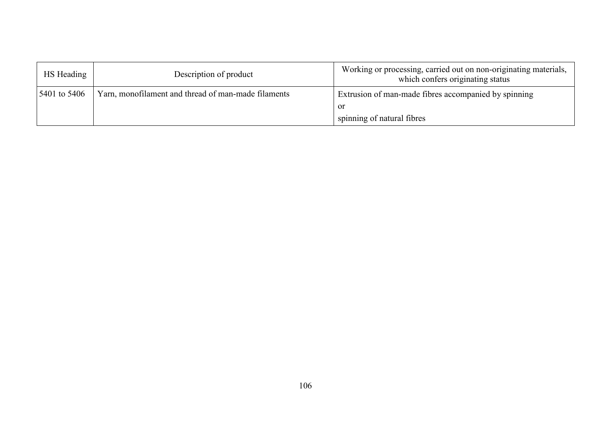| HS Heading   | Description of product                              | Working or processing, carried out on non-originating materials,<br>which confers originating status |
|--------------|-----------------------------------------------------|------------------------------------------------------------------------------------------------------|
| 5401 to 5406 | Yarn, monofilament and thread of man-made filaments | Extrusion of man-made fibres accompanied by spinning                                                 |
|              |                                                     | - or                                                                                                 |
|              |                                                     | spinning of natural fibres                                                                           |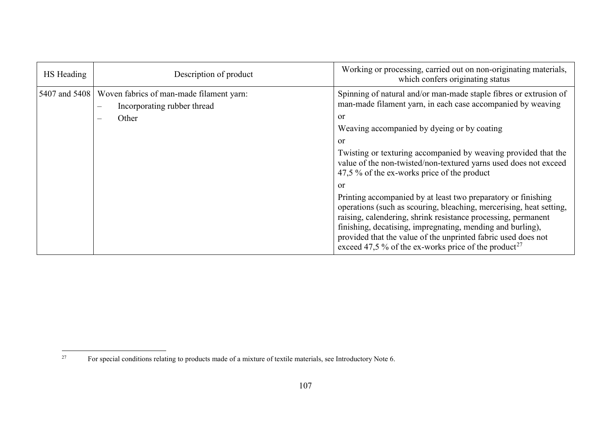<span id="page-106-0"></span>

| HS Heading    | Description of product                                                                                                                   | Working or processing, carried out on non-originating materials,<br>which confers originating status                                                                                                                                                                                                                                                                                                           |
|---------------|------------------------------------------------------------------------------------------------------------------------------------------|----------------------------------------------------------------------------------------------------------------------------------------------------------------------------------------------------------------------------------------------------------------------------------------------------------------------------------------------------------------------------------------------------------------|
| 5407 and 5408 | Woven fabrics of man-made filament yarn:<br>Incorporating rubber thread<br>$\overline{\phantom{m}}$<br>Other<br>$\overline{\phantom{0}}$ | Spinning of natural and/or man-made staple fibres or extrusion of<br>man-made filament yarn, in each case accompanied by weaving<br>or<br>Weaving accompanied by dyeing or by coating<br>or<br>Twisting or texturing accompanied by weaving provided that the<br>value of the non-twisted/non-textured yarns used does not exceed<br>47,5 % of the ex-works price of the product                               |
|               |                                                                                                                                          | or<br>Printing accompanied by at least two preparatory or finishing<br>operations (such as scouring, bleaching, mercerising, heat setting,<br>raising, calendering, shrink resistance processing, permanent<br>finishing, decatising, impregnating, mending and burling),<br>provided that the value of the unprinted fabric used does not<br>exceed 47,5 % of the ex-works price of the product <sup>27</sup> |

 $27\,$ <sup>27</sup> For special conditions relating to products made of a mixture of textile materials, see Introductory Note 6.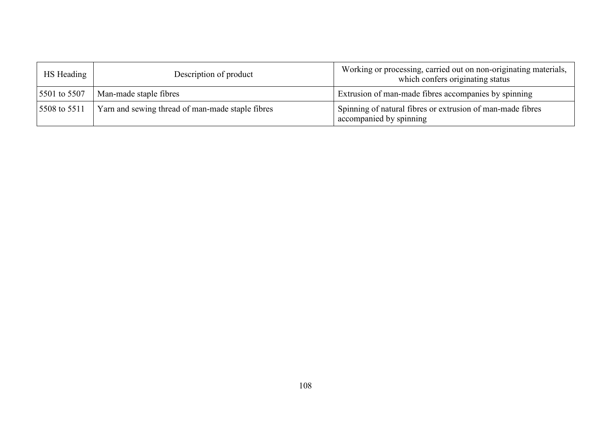| HS Heading   | Description of product                           | Working or processing, carried out on non-originating materials,<br>which confers originating status |
|--------------|--------------------------------------------------|------------------------------------------------------------------------------------------------------|
| 5501 to 5507 | Man-made staple fibres                           | Extrusion of man-made fibres accompanies by spinning                                                 |
| 5508 to 5511 | Yarn and sewing thread of man-made staple fibres | Spinning of natural fibres or extrusion of man-made fibres<br>accompanied by spinning                |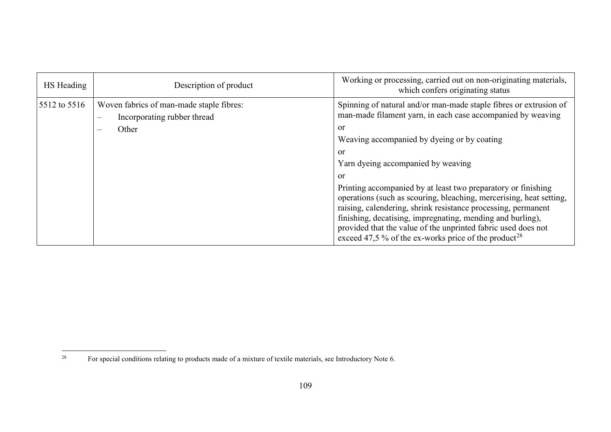<span id="page-108-0"></span>

| HS Heading   | Description of product                                                                                                            | Working or processing, carried out on non-originating materials,<br>which confers originating status                                                                                                                                                                                                                                                                                                     |
|--------------|-----------------------------------------------------------------------------------------------------------------------------------|----------------------------------------------------------------------------------------------------------------------------------------------------------------------------------------------------------------------------------------------------------------------------------------------------------------------------------------------------------------------------------------------------------|
| 5512 to 5516 | Woven fabrics of man-made staple fibres:<br>Incorporating rubber thread<br>$\overline{\phantom{m}}$<br>Other<br>$\hspace{0.05cm}$ | Spinning of natural and/or man-made staple fibres or extrusion of<br>man-made filament yarn, in each case accompanied by weaving<br>or<br>Weaving accompanied by dyeing or by coating<br>or<br>Yarn dyeing accompanied by weaving<br><sub>or</sub>                                                                                                                                                       |
|              |                                                                                                                                   | Printing accompanied by at least two preparatory or finishing<br>operations (such as scouring, bleaching, mercerising, heat setting,<br>raising, calendering, shrink resistance processing, permanent<br>finishing, decatising, impregnating, mending and burling),<br>provided that the value of the unprinted fabric used does not<br>exceed 47.5 % of the ex-works price of the product <sup>28</sup> |

 $28\,$ <sup>28</sup> For special conditions relating to products made of a mixture of textile materials, see Introductory Note 6.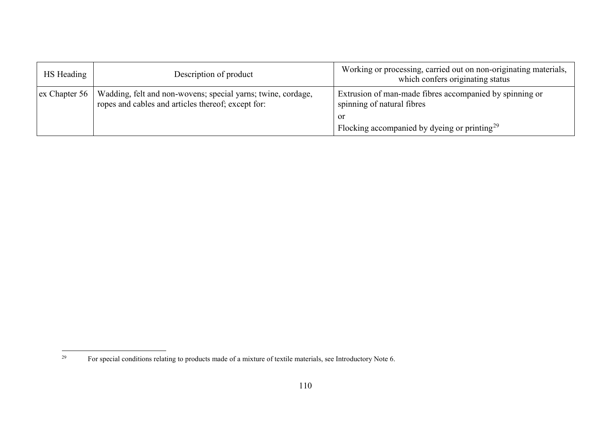<span id="page-109-0"></span>

| HS Heading                    | Description of product                                                                                             | Working or processing, carried out on non-originating materials,<br>which confers originating status |
|-------------------------------|--------------------------------------------------------------------------------------------------------------------|------------------------------------------------------------------------------------------------------|
| $\vert$ ex Chapter 56 $\vert$ | Wadding, felt and non-wovens; special yarns; twine, cordage,<br>ropes and cables and articles thereof; except for: | Extrusion of man-made fibres accompanied by spinning or<br>spinning of natural fibres                |
|                               |                                                                                                                    | or                                                                                                   |
|                               |                                                                                                                    | Flocking accompanied by dyeing or printing <sup>29</sup>                                             |

<sup>29</sup> <sup>29</sup> For special conditions relating to products made of a mixture of textile materials, see Introductory Note 6.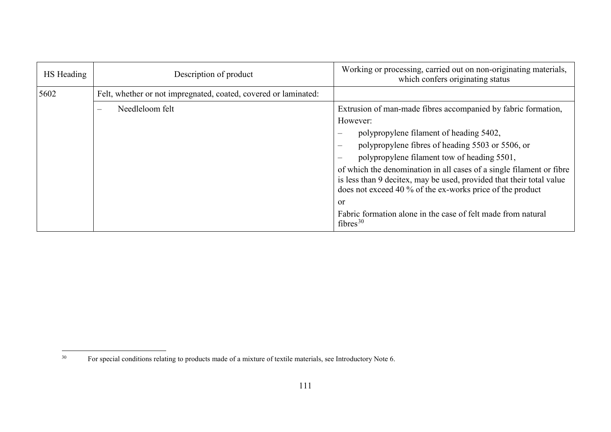<span id="page-110-0"></span>

| HS Heading | Description of product                                          | Working or processing, carried out on non-originating materials,<br>which confers originating status                                                                                                      |
|------------|-----------------------------------------------------------------|-----------------------------------------------------------------------------------------------------------------------------------------------------------------------------------------------------------|
| 5602       | Felt, whether or not impregnated, coated, covered or laminated: |                                                                                                                                                                                                           |
|            | Needleloom felt<br>$\overline{\phantom{0}}$                     | Extrusion of man-made fibres accompanied by fabric formation,                                                                                                                                             |
|            |                                                                 | However:                                                                                                                                                                                                  |
|            |                                                                 | polypropylene filament of heading 5402,                                                                                                                                                                   |
|            |                                                                 | polypropylene fibres of heading 5503 or 5506, or                                                                                                                                                          |
|            |                                                                 | polypropylene filament tow of heading 5501,                                                                                                                                                               |
|            |                                                                 | of which the denomination in all cases of a single filament or fibre<br>is less than 9 decitex, may be used, provided that their total value<br>does not exceed 40 % of the ex-works price of the product |
|            |                                                                 | <sub>or</sub>                                                                                                                                                                                             |
|            |                                                                 | Fabric formation alone in the case of felt made from natural<br>fibres <sup>30</sup>                                                                                                                      |

 $30\,$ <sup>30</sup> For special conditions relating to products made of a mixture of textile materials, see Introductory Note 6.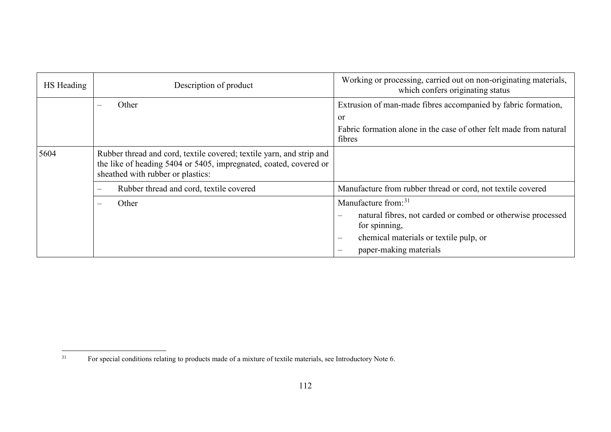<span id="page-111-0"></span>

| HS Heading | Description of product                                                                                                                                                         | Working or processing, carried out on non-originating materials,<br>which confers originating status |
|------------|--------------------------------------------------------------------------------------------------------------------------------------------------------------------------------|------------------------------------------------------------------------------------------------------|
|            | Other                                                                                                                                                                          | Extrusion of man-made fibres accompanied by fabric formation,<br>or                                  |
|            |                                                                                                                                                                                | Fabric formation alone in the case of other felt made from natural<br>fibres                         |
| 5604       | Rubber thread and cord, textile covered; textile yarn, and strip and<br>the like of heading 5404 or 5405, impregnated, coated, covered or<br>sheathed with rubber or plastics: |                                                                                                      |
|            | Rubber thread and cord, textile covered<br>$\qquad \qquad -$                                                                                                                   | Manufacture from rubber thread or cord, not textile covered                                          |
|            | Other<br>$\hspace{0.05cm}$                                                                                                                                                     | Manufacture from: $31$                                                                               |
|            |                                                                                                                                                                                | natural fibres, not carded or combed or otherwise processed<br>for spinning,                         |
|            |                                                                                                                                                                                | chemical materials or textile pulp, or<br>$\overline{\phantom{m}}$                                   |
|            |                                                                                                                                                                                | paper-making materials                                                                               |

 $31$ <sup>31</sup> For special conditions relating to products made of a mixture of textile materials, see Introductory Note 6.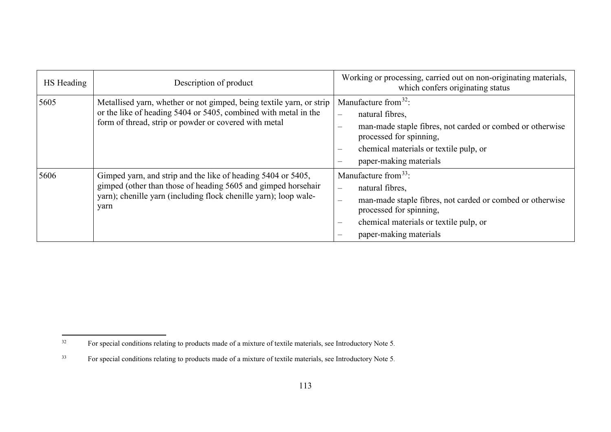<span id="page-112-1"></span><span id="page-112-0"></span>

| HS Heading | Description of product                                                                                                                                                                                    | Working or processing, carried out on non-originating materials,<br>which confers originating status                                                                                                                                                                            |
|------------|-----------------------------------------------------------------------------------------------------------------------------------------------------------------------------------------------------------|---------------------------------------------------------------------------------------------------------------------------------------------------------------------------------------------------------------------------------------------------------------------------------|
| 5605       | Metallised yarn, whether or not gimped, being textile yarn, or strip<br>or the like of heading 5404 or 5405, combined with metal in the<br>form of thread, strip or powder or covered with metal          | Manufacture from $32$ :<br>natural fibres,<br>$\equiv$<br>man-made staple fibres, not carded or combed or otherwise<br>$\qquad \qquad -$<br>processed for spinning,<br>chemical materials or textile pulp, or<br>$\equiv$<br>paper-making materials<br>$\overline{\phantom{m}}$ |
| 5606       | Gimped yarn, and strip and the like of heading 5404 or 5405,<br>gimped (other than those of heading 5605 and gimped horsehair<br>yarn); chenille yarn (including flock chenille yarn); loop wale-<br>yarn | Manufacture from $33$ :<br>natural fibres,<br>$\equiv$<br>man-made staple fibres, not carded or combed or otherwise<br>processed for spinning,<br>chemical materials or textile pulp, or<br>$\equiv$<br>paper-making materials                                                  |

 $32$ <sup>32</sup> For special conditions relating to products made of a mixture of textile materials, see Introductory Note 5.

<sup>33</sup> For special conditions relating to products made of a mixture of textile materials, see Introductory Note 5.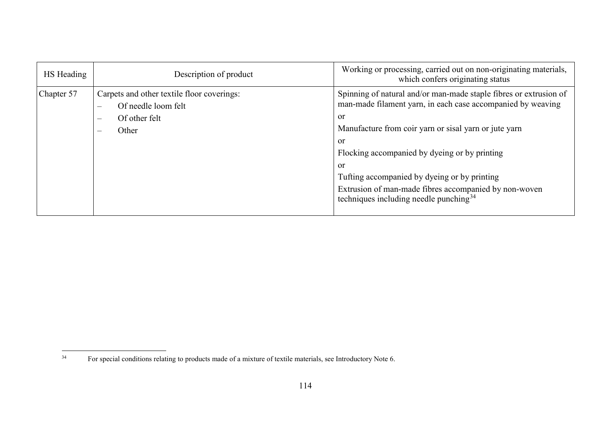<span id="page-113-0"></span>

| HS Heading | Description of product                                                                                                                                                          | Working or processing, carried out on non-originating materials,<br>which confers originating status                                                                                                                                                                                                                                                                                                               |
|------------|---------------------------------------------------------------------------------------------------------------------------------------------------------------------------------|--------------------------------------------------------------------------------------------------------------------------------------------------------------------------------------------------------------------------------------------------------------------------------------------------------------------------------------------------------------------------------------------------------------------|
| Chapter 57 | Carpets and other textile floor coverings:<br>Of needle loom felt<br>$\overline{\phantom{m}}$<br>Of other felt<br>$\overline{\phantom{m}}$<br>Other<br>$\overline{\phantom{a}}$ | Spinning of natural and/or man-made staple fibres or extrusion of<br>man-made filament yarn, in each case accompanied by weaving<br>or<br>Manufacture from coir yarn or sisal yarn or jute yarn<br>or<br>Flocking accompanied by dyeing or by printing<br>or<br>Tufting accompanied by dyeing or by printing<br>Extrusion of man-made fibres accompanied by non-woven<br>techniques including needle punching $34$ |

 $34$ <sup>34</sup> For special conditions relating to products made of a mixture of textile materials, see Introductory Note 6.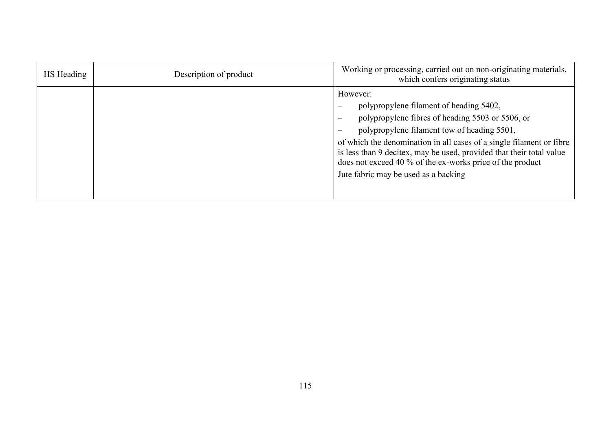| HS Heading | Description of product | Working or processing, carried out on non-originating materials,<br>which confers originating status                                                                                                                                                                                                                                                                                                                                    |
|------------|------------------------|-----------------------------------------------------------------------------------------------------------------------------------------------------------------------------------------------------------------------------------------------------------------------------------------------------------------------------------------------------------------------------------------------------------------------------------------|
|            |                        | However:<br>polypropylene filament of heading 5402,<br>polypropylene fibres of heading 5503 or 5506, or<br>polypropylene filament tow of heading 5501,<br>$\overline{\phantom{m}}$<br>of which the denomination in all cases of a single filament or fibre<br>is less than 9 decitex, may be used, provided that their total value<br>does not exceed 40 % of the ex-works price of the product<br>Jute fabric may be used as a backing |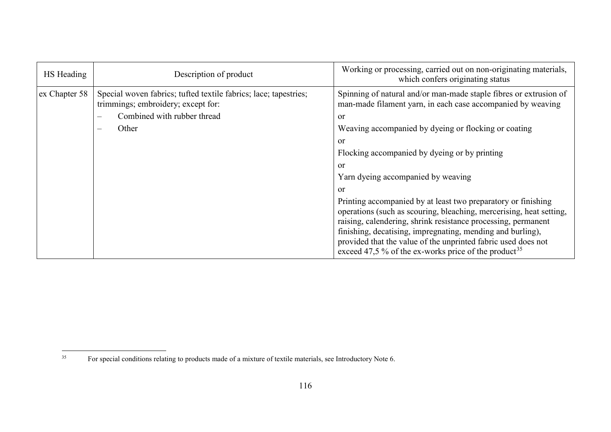<span id="page-115-0"></span>

| HS Heading    | Description of product                                                                                                                                                               | Working or processing, carried out on non-originating materials,<br>which confers originating status                                                                                                                                                                                                                                                                                                                                                                                                                                                                                                                                                                                                                                      |
|---------------|--------------------------------------------------------------------------------------------------------------------------------------------------------------------------------------|-------------------------------------------------------------------------------------------------------------------------------------------------------------------------------------------------------------------------------------------------------------------------------------------------------------------------------------------------------------------------------------------------------------------------------------------------------------------------------------------------------------------------------------------------------------------------------------------------------------------------------------------------------------------------------------------------------------------------------------------|
| ex Chapter 58 | Special woven fabrics; tufted textile fabrics; lace; tapestries;<br>trimmings; embroidery; except for:<br>Combined with rubber thread<br>$\sim$<br>Other<br>$\overline{\phantom{0}}$ | Spinning of natural and/or man-made staple fibres or extrusion of<br>man-made filament yarn, in each case accompanied by weaving<br>or<br>Weaving accompanied by dyeing or flocking or coating<br><sub>or</sub><br>Flocking accompanied by dyeing or by printing<br>or<br>Yarn dyeing accompanied by weaving<br><sub>or</sub><br>Printing accompanied by at least two preparatory or finishing<br>operations (such as scouring, bleaching, mercerising, heat setting,<br>raising, calendering, shrink resistance processing, permanent<br>finishing, decatising, impregnating, mending and burling),<br>provided that the value of the unprinted fabric used does not<br>exceed 47,5 % of the ex-works price of the product <sup>35</sup> |

 $35$ <sup>35</sup> For special conditions relating to products made of a mixture of textile materials, see Introductory Note 6.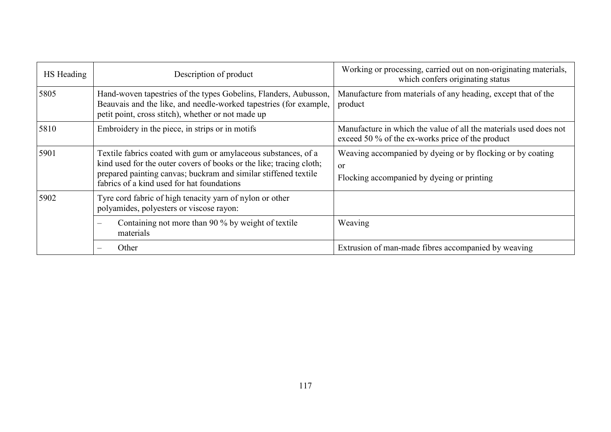| HS Heading | Description of product                                                                                                                                                                                                                                 | Working or processing, carried out on non-originating materials,<br>which confers originating status                      |
|------------|--------------------------------------------------------------------------------------------------------------------------------------------------------------------------------------------------------------------------------------------------------|---------------------------------------------------------------------------------------------------------------------------|
| 5805       | Hand-woven tapestries of the types Gobelins, Flanders, Aubusson,<br>Beauvais and the like, and needle-worked tapestries (for example,<br>petit point, cross stitch), whether or not made up                                                            | Manufacture from materials of any heading, except that of the<br>product                                                  |
| 5810       | Embroidery in the piece, in strips or in motifs                                                                                                                                                                                                        | Manufacture in which the value of all the materials used does not<br>exceed 50 % of the ex-works price of the product     |
| 5901       | Textile fabrics coated with gum or amylaceous substances, of a<br>kind used for the outer covers of books or the like; tracing cloth;<br>prepared painting canvas; buckram and similar stiffened textile<br>fabrics of a kind used for hat foundations | Weaving accompanied by dyeing or by flocking or by coating<br><sub>or</sub><br>Flocking accompanied by dyeing or printing |
| 5902       | Tyre cord fabric of high tenacity yarn of nylon or other<br>polyamides, polyesters or viscose rayon:                                                                                                                                                   |                                                                                                                           |
|            | Containing not more than 90 % by weight of textile<br>materials                                                                                                                                                                                        | Weaving                                                                                                                   |
|            | Other                                                                                                                                                                                                                                                  | Extrusion of man-made fibres accompanied by weaving                                                                       |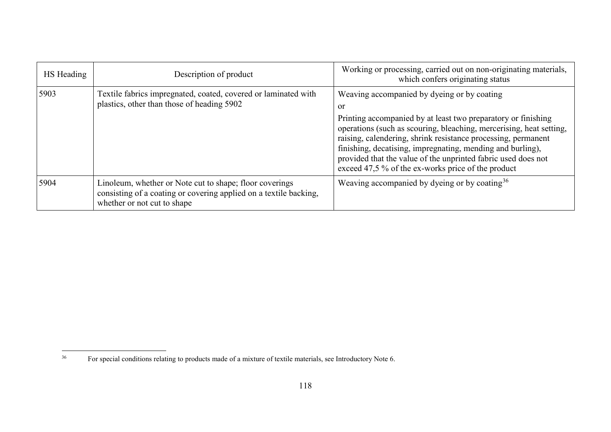<span id="page-117-0"></span>

| HS Heading | Description of product                                                                                                                                      | Working or processing, carried out on non-originating materials,<br>which confers originating status                                                                                                                                                                                                                                                                                                                                                       |
|------------|-------------------------------------------------------------------------------------------------------------------------------------------------------------|------------------------------------------------------------------------------------------------------------------------------------------------------------------------------------------------------------------------------------------------------------------------------------------------------------------------------------------------------------------------------------------------------------------------------------------------------------|
| 5903       | Textile fabrics impregnated, coated, covered or laminated with<br>plastics, other than those of heading 5902                                                | Weaving accompanied by dyeing or by coating<br><sub>or</sub><br>Printing accompanied by at least two preparatory or finishing<br>operations (such as scouring, bleaching, mercerising, heat setting,<br>raising, calendering, shrink resistance processing, permanent<br>finishing, decatising, impregnating, mending and burling),<br>provided that the value of the unprinted fabric used does not<br>exceed 47,5 % of the ex-works price of the product |
| 5904       | Linoleum, whether or Note cut to shape; floor coverings<br>consisting of a coating or covering applied on a textile backing,<br>whether or not cut to shape | Weaving accompanied by dyeing or by coating $36$                                                                                                                                                                                                                                                                                                                                                                                                           |

 $36\phantom{a}$ <sup>36</sup> For special conditions relating to products made of a mixture of textile materials, see Introductory Note 6.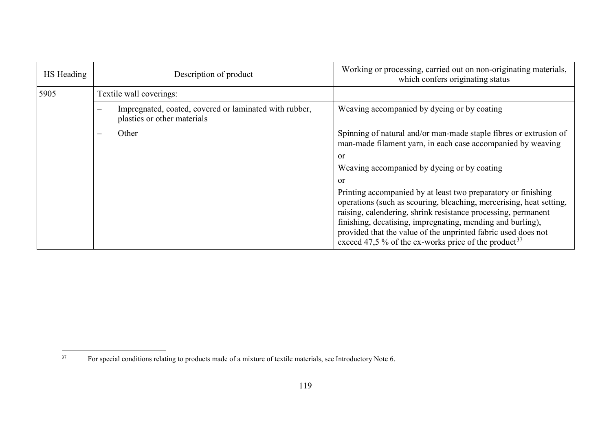<span id="page-118-0"></span>

| HS Heading | Description of product                                                                | Working or processing, carried out on non-originating materials,<br>which confers originating status                                                                                                                                                                                                                                                                                                     |
|------------|---------------------------------------------------------------------------------------|----------------------------------------------------------------------------------------------------------------------------------------------------------------------------------------------------------------------------------------------------------------------------------------------------------------------------------------------------------------------------------------------------------|
| 5905       | Textile wall coverings:                                                               |                                                                                                                                                                                                                                                                                                                                                                                                          |
|            | Impregnated, coated, covered or laminated with rubber,<br>plastics or other materials | Weaving accompanied by dyeing or by coating                                                                                                                                                                                                                                                                                                                                                              |
|            | Other                                                                                 | Spinning of natural and/or man-made staple fibres or extrusion of<br>man-made filament yarn, in each case accompanied by weaving                                                                                                                                                                                                                                                                         |
|            |                                                                                       | or                                                                                                                                                                                                                                                                                                                                                                                                       |
|            |                                                                                       | Weaving accompanied by dyeing or by coating                                                                                                                                                                                                                                                                                                                                                              |
|            |                                                                                       | <sub>or</sub>                                                                                                                                                                                                                                                                                                                                                                                            |
|            |                                                                                       | Printing accompanied by at least two preparatory or finishing<br>operations (such as scouring, bleaching, mercerising, heat setting,<br>raising, calendering, shrink resistance processing, permanent<br>finishing, decatising, impregnating, mending and burling),<br>provided that the value of the unprinted fabric used does not<br>exceed 47,5 % of the ex-works price of the product <sup>37</sup> |

 $37$ <sup>37</sup> For special conditions relating to products made of a mixture of textile materials, see Introductory Note 6.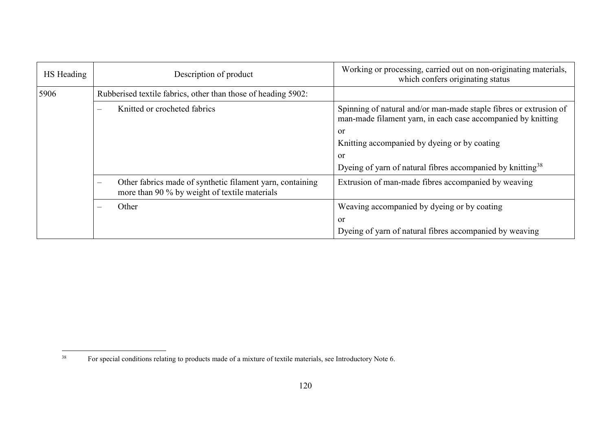<span id="page-119-0"></span>

| HS Heading | Description of product                                                                                                          | Working or processing, carried out on non-originating materials,<br>which confers originating status                              |
|------------|---------------------------------------------------------------------------------------------------------------------------------|-----------------------------------------------------------------------------------------------------------------------------------|
| 5906       | Rubberised textile fabrics, other than those of heading 5902:                                                                   |                                                                                                                                   |
|            | Knitted or crocheted fabrics<br>$\overline{\phantom{m}}$                                                                        | Spinning of natural and/or man-made staple fibres or extrusion of<br>man-made filament yarn, in each case accompanied by knitting |
|            |                                                                                                                                 | <sub>or</sub>                                                                                                                     |
|            |                                                                                                                                 | Knitting accompanied by dyeing or by coating                                                                                      |
|            |                                                                                                                                 | <sub>or</sub>                                                                                                                     |
|            |                                                                                                                                 | Dyeing of yarn of natural fibres accompanied by knitting <sup>38</sup>                                                            |
|            | Other fabrics made of synthetic filament yarn, containing<br>$\qquad \qquad -$<br>more than 90 % by weight of textile materials | Extrusion of man-made fibres accompanied by weaving                                                                               |
|            | Other<br>$\frac{1}{2}$                                                                                                          | Weaving accompanied by dyeing or by coating                                                                                       |
|            |                                                                                                                                 | or                                                                                                                                |
|            |                                                                                                                                 | Dyeing of yarn of natural fibres accompanied by weaving                                                                           |

 $38\,$ <sup>38</sup> For special conditions relating to products made of a mixture of textile materials, see Introductory Note 6.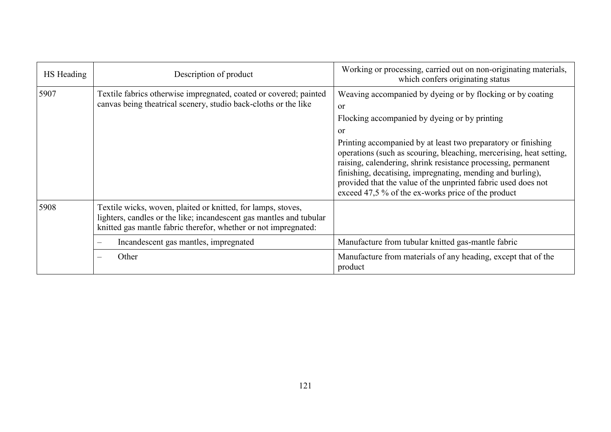| HS Heading | Description of product                                                                                                                                                                                 | Working or processing, carried out on non-originating materials,<br>which confers originating status                                                                                                                                                                                                                                                                                                                                                                                                                                        |
|------------|--------------------------------------------------------------------------------------------------------------------------------------------------------------------------------------------------------|---------------------------------------------------------------------------------------------------------------------------------------------------------------------------------------------------------------------------------------------------------------------------------------------------------------------------------------------------------------------------------------------------------------------------------------------------------------------------------------------------------------------------------------------|
| 5907       | Textile fabrics otherwise impregnated, coated or covered; painted<br>canvas being theatrical scenery, studio back-cloths or the like                                                                   | Weaving accompanied by dyeing or by flocking or by coating<br><sub>or</sub><br>Flocking accompanied by dyeing or by printing<br><sub>or</sub><br>Printing accompanied by at least two preparatory or finishing<br>operations (such as scouring, bleaching, mercerising, heat setting,<br>raising, calendering, shrink resistance processing, permanent<br>finishing, decatising, impregnating, mending and burling),<br>provided that the value of the unprinted fabric used does not<br>exceed 47,5 % of the ex-works price of the product |
| 5908       | Textile wicks, woven, plaited or knitted, for lamps, stoves,<br>lighters, candles or the like; incandescent gas mantles and tubular<br>knitted gas mantle fabric therefor, whether or not impregnated: |                                                                                                                                                                                                                                                                                                                                                                                                                                                                                                                                             |
|            | Incandescent gas mantles, impregnated<br>$\overline{\phantom{0}}$                                                                                                                                      | Manufacture from tubular knitted gas-mantle fabric                                                                                                                                                                                                                                                                                                                                                                                                                                                                                          |
|            | Other                                                                                                                                                                                                  | Manufacture from materials of any heading, except that of the<br>product                                                                                                                                                                                                                                                                                                                                                                                                                                                                    |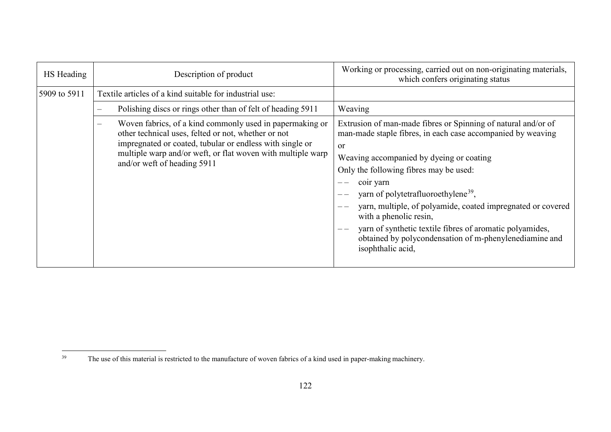<span id="page-121-0"></span>

| HS Heading   | Description of product                                                                                                                                                                                                                                                    | Working or processing, carried out on non-originating materials,<br>which confers originating status                                                                                                                                                                                                                                                                                                                                                                                                                                    |
|--------------|---------------------------------------------------------------------------------------------------------------------------------------------------------------------------------------------------------------------------------------------------------------------------|-----------------------------------------------------------------------------------------------------------------------------------------------------------------------------------------------------------------------------------------------------------------------------------------------------------------------------------------------------------------------------------------------------------------------------------------------------------------------------------------------------------------------------------------|
| 5909 to 5911 | Textile articles of a kind suitable for industrial use:                                                                                                                                                                                                                   |                                                                                                                                                                                                                                                                                                                                                                                                                                                                                                                                         |
|              | Polishing discs or rings other than of felt of heading 5911                                                                                                                                                                                                               | Weaving                                                                                                                                                                                                                                                                                                                                                                                                                                                                                                                                 |
|              | Woven fabrics, of a kind commonly used in papermaking or<br>other technical uses, felted or not, whether or not<br>impregnated or coated, tubular or endless with single or<br>multiple warp and/or weft, or flat woven with multiple warp<br>and/or weft of heading 5911 | Extrusion of man-made fibres or Spinning of natural and/or of<br>man-made staple fibres, in each case accompanied by weaving<br><sub>or</sub><br>Weaving accompanied by dyeing or coating<br>Only the following fibres may be used:<br>coir yarn<br>yarn of polytetrafluoroethylene <sup>39</sup> ,<br>yarn, multiple, of polyamide, coated impregnated or covered<br>with a phenolic resin,<br>yarn of synthetic textile fibres of aromatic polyamides,<br>obtained by polycondensation of m-phenylenediamine and<br>isophthalic acid, |

<sup>39</sup> The use of this material is restricted to the manufacture of woven fabrics of a kind used in paper-making machinery.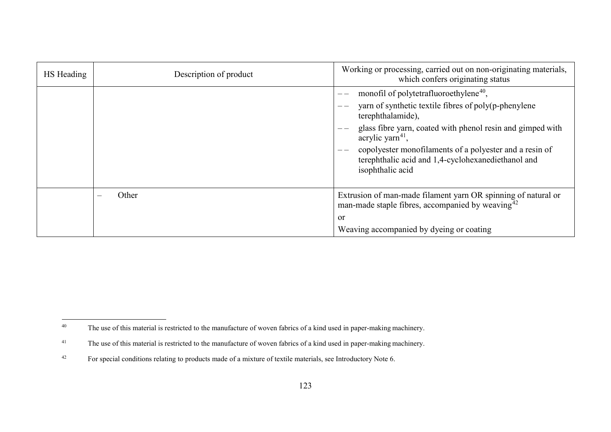<span id="page-122-2"></span><span id="page-122-1"></span><span id="page-122-0"></span>

| HS Heading | Description of product | Working or processing, carried out on non-originating materials,<br>which confers originating status                                                                                                                                                                                                                                                      |
|------------|------------------------|-----------------------------------------------------------------------------------------------------------------------------------------------------------------------------------------------------------------------------------------------------------------------------------------------------------------------------------------------------------|
|            |                        | monofil of polytetrafluoroethylene <sup>40</sup> ,<br>yarn of synthetic textile fibres of poly(p-phenylene<br>terephthalamide),<br>glass fibre yarn, coated with phenol resin and gimped with<br>acrylic yarn $41$ ,<br>copolyester monofilaments of a polyester and a resin of<br>terephthalic acid and 1,4-cyclohexanediethanol and<br>isophthalic acid |
|            | Other                  | Extrusion of man-made filament yarn OR spinning of natural or<br>man-made staple fibres, accompanied by weaving $42$<br><sub>or</sub><br>Weaving accompanied by dyeing or coating                                                                                                                                                                         |

 $40\,$ The use of this material is restricted to the manufacture of woven fabrics of a kind used in paper-making machinery.

<sup>&</sup>lt;sup>41</sup> The use of this material is restricted to the manufacture of woven fabrics of a kind used in paper-making machinery.

<sup>&</sup>lt;sup>42</sup> For special conditions relating to products made of a mixture of textile materials, see Introductory Note 6.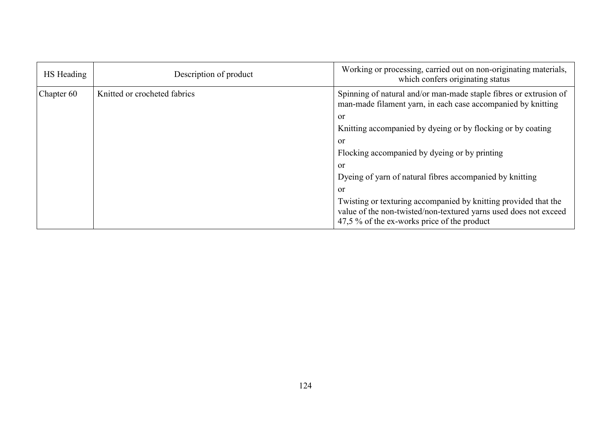| HS Heading | Description of product       | Working or processing, carried out on non-originating materials,<br>which confers originating status                                                                               |
|------------|------------------------------|------------------------------------------------------------------------------------------------------------------------------------------------------------------------------------|
| Chapter 60 | Knitted or crocheted fabrics | Spinning of natural and/or man-made staple fibres or extrusion of<br>man-made filament yarn, in each case accompanied by knitting                                                  |
|            |                              | or                                                                                                                                                                                 |
|            |                              | Knitting accompanied by dyeing or by flocking or by coating                                                                                                                        |
|            |                              | or                                                                                                                                                                                 |
|            |                              | Flocking accompanied by dyeing or by printing                                                                                                                                      |
|            |                              | or                                                                                                                                                                                 |
|            |                              | Dyeing of yarn of natural fibres accompanied by knitting                                                                                                                           |
|            |                              | or                                                                                                                                                                                 |
|            |                              | Twisting or texturing accompanied by knitting provided that the<br>value of the non-twisted/non-textured yarns used does not exceed<br>47,5 % of the ex-works price of the product |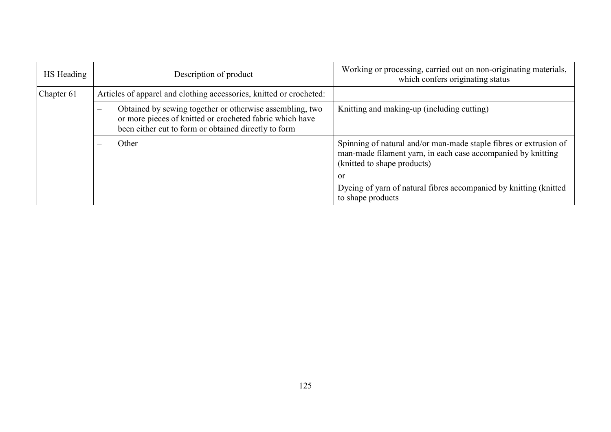| HS Heading | Description of product                                                                                                                                                                                   | Working or processing, carried out on non-originating materials,<br>which confers originating status                                                             |
|------------|----------------------------------------------------------------------------------------------------------------------------------------------------------------------------------------------------------|------------------------------------------------------------------------------------------------------------------------------------------------------------------|
| Chapter 61 | Articles of apparel and clothing accessories, knitted or crocheted:                                                                                                                                      |                                                                                                                                                                  |
|            | Obtained by sewing together or otherwise assembling, two<br>$\overline{\phantom{a}}$<br>or more pieces of knitted or crocheted fabric which have<br>been either cut to form or obtained directly to form | Knitting and making-up (including cutting)                                                                                                                       |
|            | Other                                                                                                                                                                                                    | Spinning of natural and/or man-made staple fibres or extrusion of<br>man-made filament yarn, in each case accompanied by knitting<br>(knitted to shape products) |
|            |                                                                                                                                                                                                          | or                                                                                                                                                               |
|            |                                                                                                                                                                                                          | Dyeing of yarn of natural fibres accompanied by knitting (knitted)<br>to shape products                                                                          |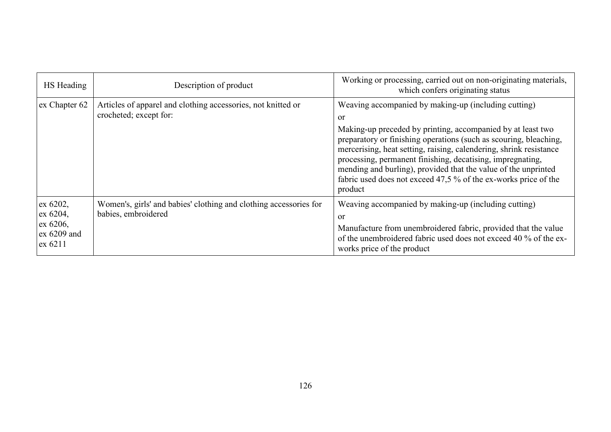| HS Heading                                                 | Description of product                                                                   | Working or processing, carried out on non-originating materials,<br>which confers originating status                                                                                                                                                                                                                                                                                                                                                                               |
|------------------------------------------------------------|------------------------------------------------------------------------------------------|------------------------------------------------------------------------------------------------------------------------------------------------------------------------------------------------------------------------------------------------------------------------------------------------------------------------------------------------------------------------------------------------------------------------------------------------------------------------------------|
| ex Chapter 62                                              | Articles of apparel and clothing accessories, not knitted or<br>crocheted; except for:   | Weaving accompanied by making-up (including cutting)<br>or<br>Making-up preceded by printing, accompanied by at least two<br>preparatory or finishing operations (such as scouring, bleaching,<br>mercerising, heat setting, raising, calendering, shrink resistance<br>processing, permanent finishing, decatising, impregnating,<br>mending and burling), provided that the value of the unprinted<br>fabric used does not exceed 47,5 % of the ex-works price of the<br>product |
| ex 6202,<br>ex 6204,<br>ex 6206,<br>ex 6209 and<br>ex 6211 | Women's, girls' and babies' clothing and clothing accessories for<br>babies, embroidered | Weaving accompanied by making-up (including cutting)<br>or<br>Manufacture from unembroidered fabric, provided that the value<br>of the unembroidered fabric used does not exceed 40 % of the ex-<br>works price of the product                                                                                                                                                                                                                                                     |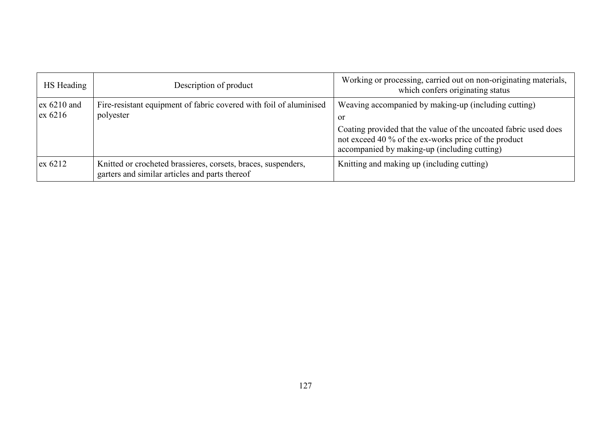| HS Heading                         | Description of product                                                                                          | Working or processing, carried out on non-originating materials,<br>which confers originating status                                                                                                                                   |
|------------------------------------|-----------------------------------------------------------------------------------------------------------------|----------------------------------------------------------------------------------------------------------------------------------------------------------------------------------------------------------------------------------------|
| $\alpha$ 6210 and<br>$\alpha$ 6216 | Fire-resistant equipment of fabric covered with foil of aluminised<br>polyester                                 | Weaving accompanied by making-up (including cutting)<br>or<br>Coating provided that the value of the uncoated fabric used does<br>not exceed 40 % of the ex-works price of the product<br>accompanied by making-up (including cutting) |
| $\alpha$ 6212                      | Knitted or crocheted brassieres, corsets, braces, suspenders,<br>garters and similar articles and parts thereof | Knitting and making up (including cutting)                                                                                                                                                                                             |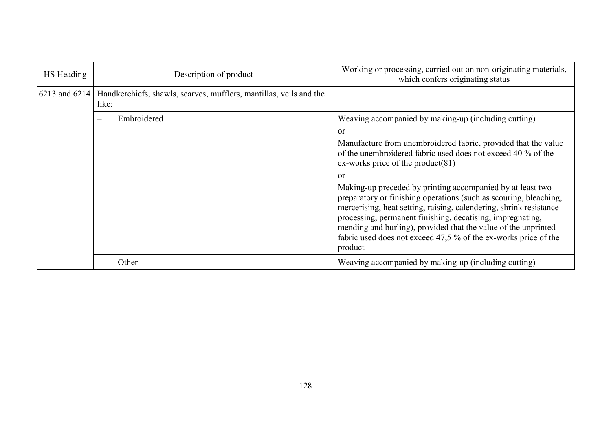| HS Heading    | Description of product                                                      | Working or processing, carried out on non-originating materials,<br>which confers originating status                                                                                                                                                                                                                                                                                                                |
|---------------|-----------------------------------------------------------------------------|---------------------------------------------------------------------------------------------------------------------------------------------------------------------------------------------------------------------------------------------------------------------------------------------------------------------------------------------------------------------------------------------------------------------|
| 6213 and 6214 | Handkerchiefs, shawls, scarves, mufflers, mantillas, veils and the<br>like: |                                                                                                                                                                                                                                                                                                                                                                                                                     |
|               | Embroidered                                                                 | Weaving accompanied by making-up (including cutting)                                                                                                                                                                                                                                                                                                                                                                |
|               |                                                                             | or<br>Manufacture from unembroidered fabric, provided that the value<br>of the unembroidered fabric used does not exceed 40 % of the                                                                                                                                                                                                                                                                                |
|               |                                                                             | ex-works price of the product(81)                                                                                                                                                                                                                                                                                                                                                                                   |
|               |                                                                             | or                                                                                                                                                                                                                                                                                                                                                                                                                  |
|               |                                                                             | Making-up preceded by printing accompanied by at least two<br>preparatory or finishing operations (such as scouring, bleaching,<br>mercerising, heat setting, raising, calendering, shrink resistance<br>processing, permanent finishing, decatising, impregnating,<br>mending and burling), provided that the value of the unprinted<br>fabric used does not exceed 47,5 % of the ex-works price of the<br>product |
|               | Other                                                                       | Weaving accompanied by making-up (including cutting)                                                                                                                                                                                                                                                                                                                                                                |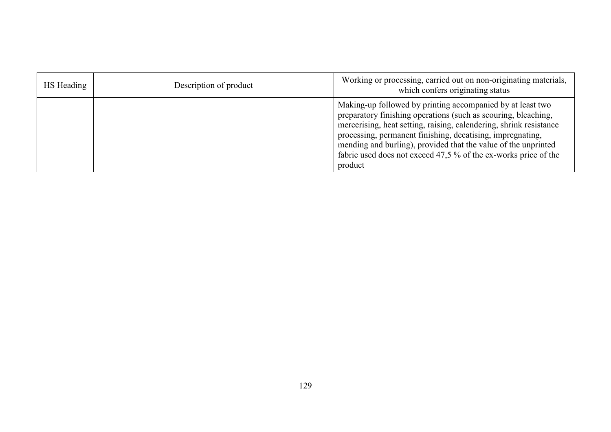| HS Heading | Description of product | Working or processing, carried out on non-originating materials,<br>which confers originating status                                                                                                                                                                                                                                                                                                             |
|------------|------------------------|------------------------------------------------------------------------------------------------------------------------------------------------------------------------------------------------------------------------------------------------------------------------------------------------------------------------------------------------------------------------------------------------------------------|
|            |                        | Making-up followed by printing accompanied by at least two<br>preparatory finishing operations (such as scouring, bleaching,<br>mercerising, heat setting, raising, calendering, shrink resistance<br>processing, permanent finishing, decatising, impregnating,<br>mending and burling), provided that the value of the unprinted<br>fabric used does not exceed 47,5 % of the ex-works price of the<br>product |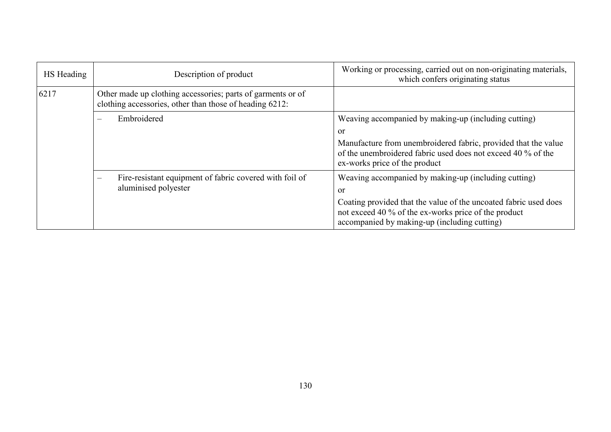| HS Heading | Description of product                                                                                                 | Working or processing, carried out on non-originating materials,<br>which confers originating status                                                                     |
|------------|------------------------------------------------------------------------------------------------------------------------|--------------------------------------------------------------------------------------------------------------------------------------------------------------------------|
| 6217       | Other made up clothing accessories; parts of garments or of<br>clothing accessories, other than those of heading 6212: |                                                                                                                                                                          |
|            | Embroidered<br>$\overline{\phantom{a}}$                                                                                | Weaving accompanied by making-up (including cutting)                                                                                                                     |
|            |                                                                                                                        | or                                                                                                                                                                       |
|            |                                                                                                                        | Manufacture from unembroidered fabric, provided that the value<br>of the unembroidered fabric used does not exceed 40 % of the<br>ex-works price of the product          |
|            | Fire-resistant equipment of fabric covered with foil of<br>$\overline{\phantom{a}}$<br>aluminised polyester            | Weaving accompanied by making-up (including cutting)                                                                                                                     |
|            |                                                                                                                        | <b>or</b>                                                                                                                                                                |
|            |                                                                                                                        | Coating provided that the value of the uncoated fabric used does<br>not exceed 40 % of the ex-works price of the product<br>accompanied by making-up (including cutting) |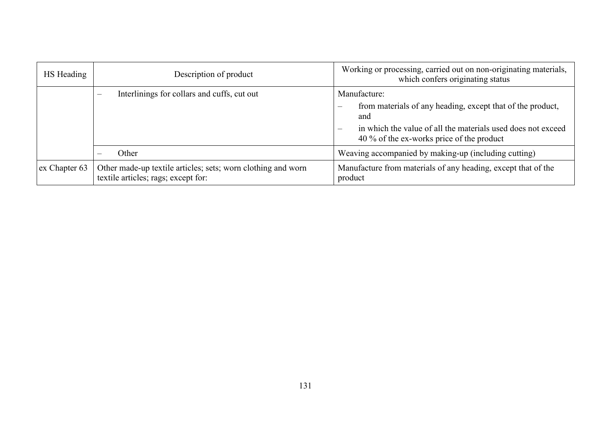| HS Heading    | Description of product                                                                              | Working or processing, carried out on non-originating materials,<br>which confers originating status                                                                                                                |
|---------------|-----------------------------------------------------------------------------------------------------|---------------------------------------------------------------------------------------------------------------------------------------------------------------------------------------------------------------------|
|               | Interlinings for collars and cuffs, cut out<br>$\equiv$                                             | Manufacture:<br>from materials of any heading, except that of the product,<br>$\qquad \qquad -$<br>and<br>in which the value of all the materials used does not exceed<br>40 % of the ex-works price of the product |
|               | Other                                                                                               | Weaving accompanied by making-up (including cutting)                                                                                                                                                                |
| ex Chapter 63 | Other made-up textile articles; sets; worn clothing and worn<br>textile articles; rags; except for: | Manufacture from materials of any heading, except that of the<br>product                                                                                                                                            |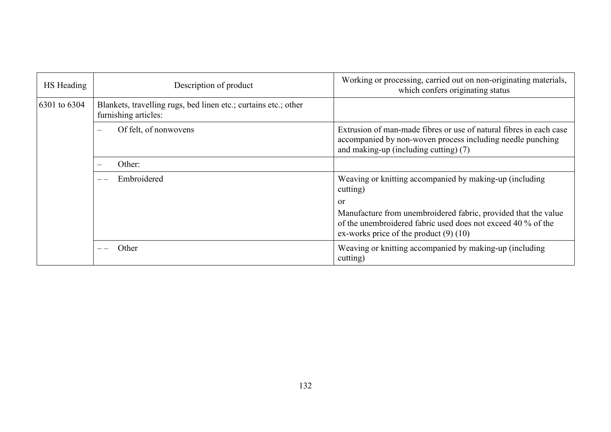| HS Heading   | Description of product                                                                  | Working or processing, carried out on non-originating materials,<br>which confers originating status                                                                         |
|--------------|-----------------------------------------------------------------------------------------|------------------------------------------------------------------------------------------------------------------------------------------------------------------------------|
| 6301 to 6304 | Blankets, travelling rugs, bed linen etc.; curtains etc.; other<br>furnishing articles: |                                                                                                                                                                              |
|              | Of felt, of nonwovens                                                                   | Extrusion of man-made fibres or use of natural fibres in each case<br>accompanied by non-woven process including needle punching<br>and making-up (including cutting) (7)    |
|              | Other:                                                                                  |                                                                                                                                                                              |
|              | Embroidered                                                                             | Weaving or knitting accompanied by making-up (including<br>cutting)                                                                                                          |
|              |                                                                                         | or                                                                                                                                                                           |
|              |                                                                                         | Manufacture from unembroidered fabric, provided that the value<br>of the unembroidered fabric used does not exceed 40 % of the<br>ex-works price of the product $(9)$ $(10)$ |
|              | Other                                                                                   | Weaving or knitting accompanied by making-up (including<br>cutting)                                                                                                          |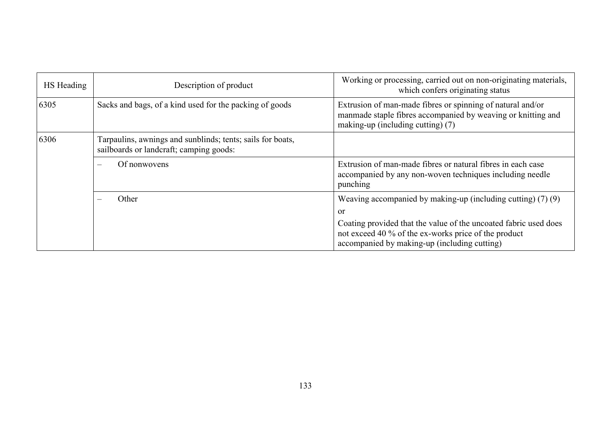| HS Heading | Description of product                                                                                | Working or processing, carried out on non-originating materials,<br>which confers originating status                                                                     |
|------------|-------------------------------------------------------------------------------------------------------|--------------------------------------------------------------------------------------------------------------------------------------------------------------------------|
| 6305       | Sacks and bags, of a kind used for the packing of goods                                               | Extrusion of man-made fibres or spinning of natural and/or<br>manmade staple fibres accompanied by weaving or knitting and<br>making-up (including cutting) (7)          |
| 6306       | Tarpaulins, awnings and sunblinds; tents; sails for boats,<br>sailboards or landcraft; camping goods: |                                                                                                                                                                          |
|            | Of nonwovens                                                                                          | Extrusion of man-made fibres or natural fibres in each case<br>accompanied by any non-woven techniques including needle<br>punching                                      |
|            | Other                                                                                                 | Weaving accompanied by making-up (including cutting) $(7)(9)$<br>or                                                                                                      |
|            |                                                                                                       | Coating provided that the value of the uncoated fabric used does<br>not exceed 40 % of the ex-works price of the product<br>accompanied by making-up (including cutting) |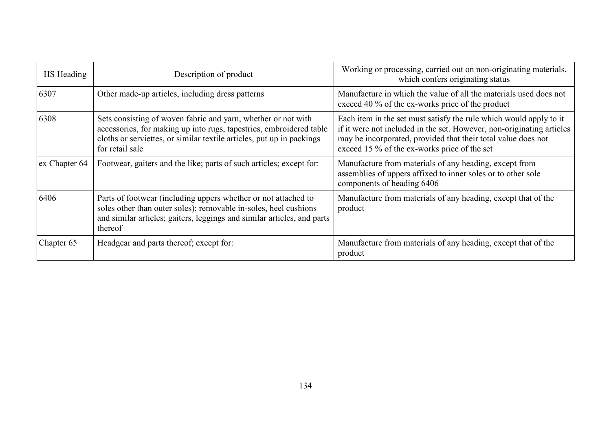| HS Heading    | Description of product                                                                                                                                                                                                           | Working or processing, carried out on non-originating materials,<br>which confers originating status                                                                                                                                                         |
|---------------|----------------------------------------------------------------------------------------------------------------------------------------------------------------------------------------------------------------------------------|--------------------------------------------------------------------------------------------------------------------------------------------------------------------------------------------------------------------------------------------------------------|
| 6307          | Other made-up articles, including dress patterns                                                                                                                                                                                 | Manufacture in which the value of all the materials used does not<br>exceed 40 % of the ex-works price of the product                                                                                                                                        |
| 6308          | Sets consisting of woven fabric and yarn, whether or not with<br>accessories, for making up into rugs, tapestries, embroidered table<br>cloths or serviettes, or similar textile articles, put up in packings<br>for retail sale | Each item in the set must satisfy the rule which would apply to it<br>if it were not included in the set. However, non-originating articles<br>may be incorporated, provided that their total value does not<br>exceed 15 % of the ex-works price of the set |
| ex Chapter 64 | Footwear, gaiters and the like; parts of such articles; except for:                                                                                                                                                              | Manufacture from materials of any heading, except from<br>assemblies of uppers affixed to inner soles or to other sole<br>components of heading 6406                                                                                                         |
| 6406          | Parts of footwear (including uppers whether or not attached to<br>soles other than outer soles); removable in-soles, heel cushions<br>and similar articles; gaiters, leggings and similar articles, and parts<br>thereof         | Manufacture from materials of any heading, except that of the<br>product                                                                                                                                                                                     |
| Chapter 65    | Headgear and parts thereof; except for:                                                                                                                                                                                          | Manufacture from materials of any heading, except that of the<br>product                                                                                                                                                                                     |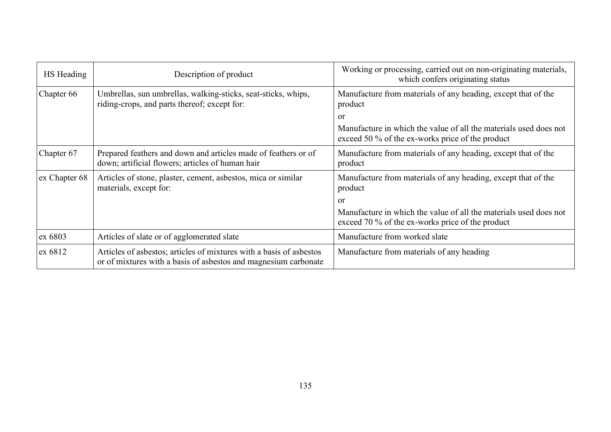| HS Heading    | Description of product                                                                                                                 | Working or processing, carried out on non-originating materials,<br>which confers originating status                  |
|---------------|----------------------------------------------------------------------------------------------------------------------------------------|-----------------------------------------------------------------------------------------------------------------------|
| Chapter 66    | Umbrellas, sun umbrellas, walking-sticks, seat-sticks, whips,<br>riding-crops, and parts thereof; except for:                          | Manufacture from materials of any heading, except that of the<br>product                                              |
|               |                                                                                                                                        | <sub>or</sub>                                                                                                         |
|               |                                                                                                                                        | Manufacture in which the value of all the materials used does not<br>exceed 50 % of the ex-works price of the product |
| Chapter 67    | Prepared feathers and down and articles made of feathers or of<br>down; artificial flowers; articles of human hair                     | Manufacture from materials of any heading, except that of the<br>product                                              |
| ex Chapter 68 | Articles of stone, plaster, cement, asbestos, mica or similar<br>materials, except for:                                                | Manufacture from materials of any heading, except that of the<br>product                                              |
|               |                                                                                                                                        | or                                                                                                                    |
|               |                                                                                                                                        | Manufacture in which the value of all the materials used does not<br>exceed 70 % of the ex-works price of the product |
| ex 6803       | Articles of slate or of agglomerated slate                                                                                             | Manufacture from worked slate                                                                                         |
| ex 6812       | Articles of asbestos; articles of mixtures with a basis of asbestos<br>or of mixtures with a basis of asbestos and magnesium carbonate | Manufacture from materials of any heading                                                                             |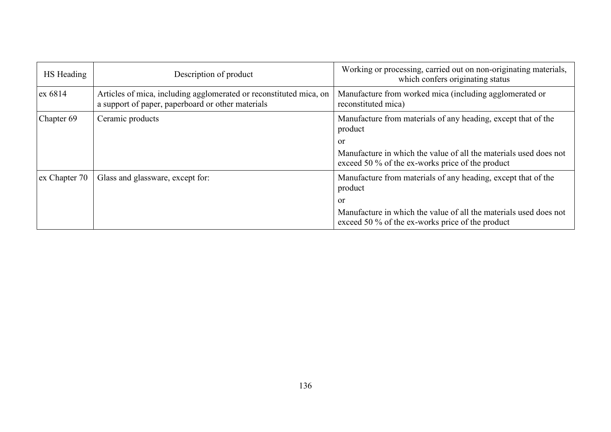| HS Heading    | Description of product                                                                                                  | Working or processing, carried out on non-originating materials,<br>which confers originating status                  |
|---------------|-------------------------------------------------------------------------------------------------------------------------|-----------------------------------------------------------------------------------------------------------------------|
| ex 6814       | Articles of mica, including agglomerated or reconstituted mica, on<br>a support of paper, paperboard or other materials | Manufacture from worked mica (including agglomerated or<br>reconstituted mica)                                        |
| Chapter 69    | Ceramic products                                                                                                        | Manufacture from materials of any heading, except that of the<br>product                                              |
|               |                                                                                                                         | or                                                                                                                    |
|               |                                                                                                                         | Manufacture in which the value of all the materials used does not<br>exceed 50 % of the ex-works price of the product |
| ex Chapter 70 | Glass and glassware, except for:                                                                                        | Manufacture from materials of any heading, except that of the<br>product                                              |
|               |                                                                                                                         | or                                                                                                                    |
|               |                                                                                                                         | Manufacture in which the value of all the materials used does not<br>exceed 50 % of the ex-works price of the product |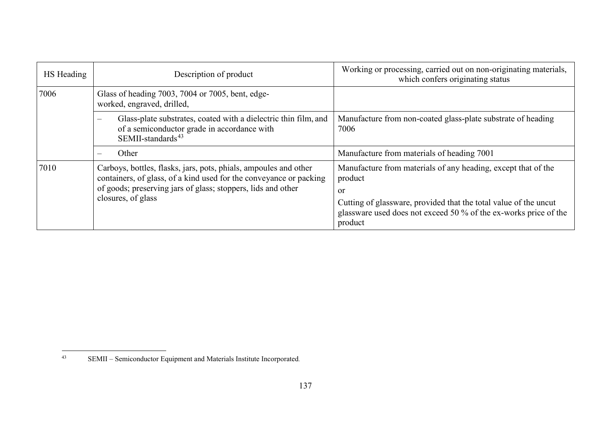<span id="page-136-0"></span>

| HS Heading | Description of product                                                                                                                                                                                                       | Working or processing, carried out on non-originating materials,<br>which confers originating status                                            |
|------------|------------------------------------------------------------------------------------------------------------------------------------------------------------------------------------------------------------------------------|-------------------------------------------------------------------------------------------------------------------------------------------------|
| 7006       | Glass of heading 7003, 7004 or 7005, bent, edge-<br>worked, engraved, drilled,                                                                                                                                               |                                                                                                                                                 |
|            | Glass-plate substrates, coated with a dielectric thin film, and<br>$\overline{\phantom{m}}$<br>of a semiconductor grade in accordance with<br>SEMII-standards <sup>43</sup>                                                  | Manufacture from non-coated glass-plate substrate of heading<br>7006                                                                            |
|            | Other<br>$\overline{\phantom{m}}$                                                                                                                                                                                            | Manufacture from materials of heading 7001                                                                                                      |
| 7010       | Carboys, bottles, flasks, jars, pots, phials, ampoules and other<br>containers, of glass, of a kind used for the conveyance or packing<br>of goods; preserving jars of glass; stoppers, lids and other<br>closures, of glass | Manufacture from materials of any heading, except that of the<br>product<br><sub>or</sub>                                                       |
|            |                                                                                                                                                                                                                              | Cutting of glassware, provided that the total value of the uncut<br>glassware used does not exceed 50 % of the ex-works price of the<br>product |

 $43$ SEMII – Semiconductor Equipment and Materials Institute Incorporated.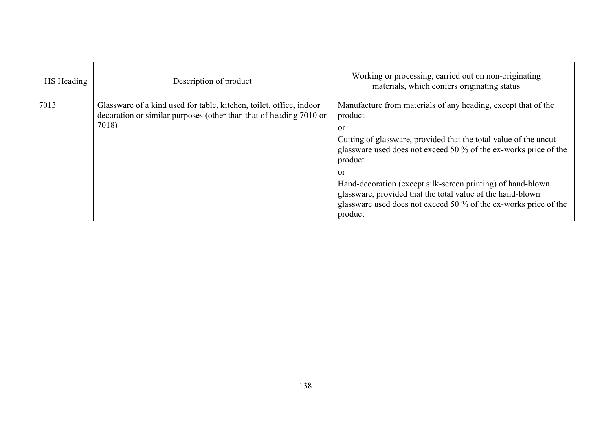| HS Heading | Description of product                                                                                                                             | Working or processing, carried out on non-originating<br>materials, which confers originating status                                                                                                                                                                                                                                                                                                                                                |
|------------|----------------------------------------------------------------------------------------------------------------------------------------------------|-----------------------------------------------------------------------------------------------------------------------------------------------------------------------------------------------------------------------------------------------------------------------------------------------------------------------------------------------------------------------------------------------------------------------------------------------------|
| 7013       | Glassware of a kind used for table, kitchen, toilet, office, indoor<br>decoration or similar purposes (other than that of heading 7010 or<br>7018) | Manufacture from materials of any heading, except that of the<br>product<br>or<br>Cutting of glassware, provided that the total value of the uncut<br>glassware used does not exceed 50 % of the ex-works price of the<br>product<br>or<br>Hand-decoration (except silk-screen printing) of hand-blown<br>glassware, provided that the total value of the hand-blown<br>glassware used does not exceed 50 % of the ex-works price of the<br>product |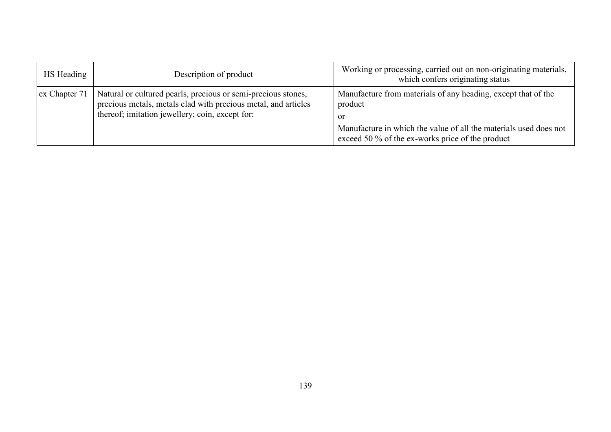| HS Heading    | Description of product                                                                                                                                                             | Working or processing, carried out on non-originating materials,<br>which confers originating status                                                                                                      |
|---------------|------------------------------------------------------------------------------------------------------------------------------------------------------------------------------------|-----------------------------------------------------------------------------------------------------------------------------------------------------------------------------------------------------------|
| ex Chapter 71 | Natural or cultured pearls, precious or semi-precious stones,<br>precious metals, metals clad with precious metal, and articles<br>thereof; imitation jewellery; coin, except for: | Manufacture from materials of any heading, except that of the<br>product<br>- or<br>Manufacture in which the value of all the materials used does not<br>exceed 50 % of the ex-works price of the product |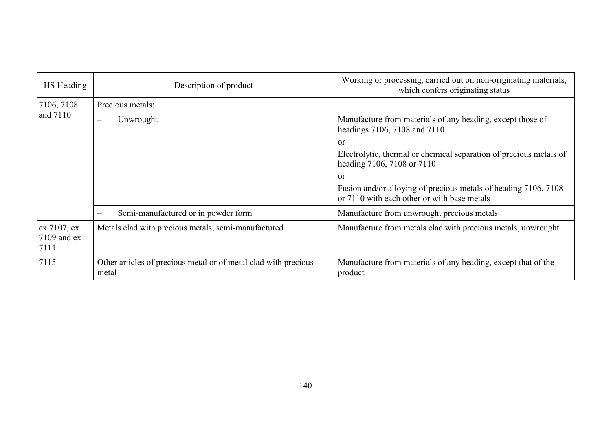| HS Heading                           | Description of product                                                   | Working or processing, carried out on non-originating materials,<br>which confers originating status           |
|--------------------------------------|--------------------------------------------------------------------------|----------------------------------------------------------------------------------------------------------------|
| 7106, 7108                           | Precious metals:                                                         |                                                                                                                |
| and 7110                             | Unwrought                                                                | Manufacture from materials of any heading, except those of<br>headings 7106, 7108 and 7110                     |
|                                      |                                                                          | or                                                                                                             |
|                                      |                                                                          | Electrolytic, thermal or chemical separation of precious metals of<br>heading 7106, 7108 or 7110               |
|                                      |                                                                          | <b>or</b>                                                                                                      |
|                                      |                                                                          | Fusion and/or alloying of precious metals of heading 7106, 7108<br>or 7110 with each other or with base metals |
|                                      | Semi-manufactured or in powder form                                      | Manufacture from unwrought precious metals                                                                     |
| ex 7107, ex<br>$7109$ and ex<br>7111 | Metals clad with precious metals, semi-manufactured                      | Manufacture from metals clad with precious metals, unwrought                                                   |
| 7115                                 | Other articles of precious metal or of metal clad with precious<br>metal | Manufacture from materials of any heading, except that of the<br>product                                       |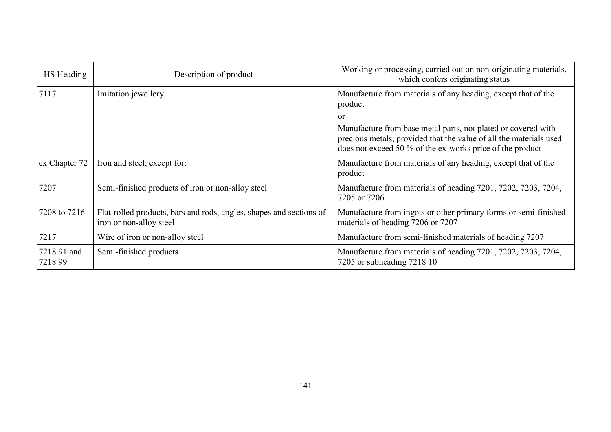| HS Heading            | Description of product                                                                         | Working or processing, carried out on non-originating materials,<br>which confers originating status                                                                                             |
|-----------------------|------------------------------------------------------------------------------------------------|--------------------------------------------------------------------------------------------------------------------------------------------------------------------------------------------------|
| 7117                  | Imitation jewellery                                                                            | Manufacture from materials of any heading, except that of the<br>product                                                                                                                         |
|                       |                                                                                                | <sub>or</sub>                                                                                                                                                                                    |
|                       |                                                                                                | Manufacture from base metal parts, not plated or covered with<br>precious metals, provided that the value of all the materials used<br>does not exceed 50 % of the ex-works price of the product |
| ex Chapter 72         | Iron and steel; except for:                                                                    | Manufacture from materials of any heading, except that of the<br>product                                                                                                                         |
| 7207                  | Semi-finished products of iron or non-alloy steel                                              | Manufacture from materials of heading 7201, 7202, 7203, 7204,<br>7205 or 7206                                                                                                                    |
| 7208 to 7216          | Flat-rolled products, bars and rods, angles, shapes and sections of<br>iron or non-alloy steel | Manufacture from ingots or other primary forms or semi-finished<br>materials of heading 7206 or 7207                                                                                             |
| 7217                  | Wire of iron or non-alloy steel                                                                | Manufacture from semi-finished materials of heading 7207                                                                                                                                         |
| 7218 91 and<br>721899 | Semi-finished products                                                                         | Manufacture from materials of heading 7201, 7202, 7203, 7204,<br>7205 or subheading 7218 10                                                                                                      |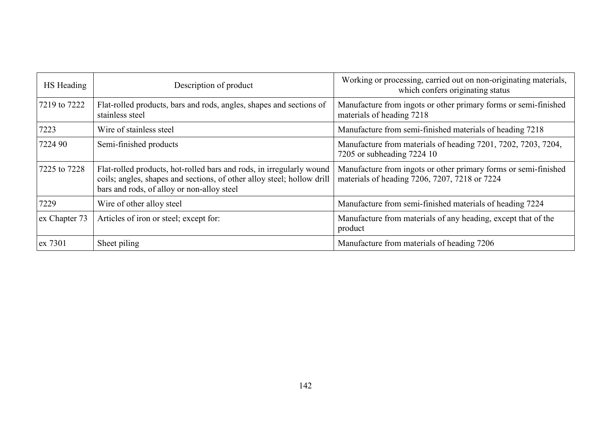| HS Heading    | Description of product                                                                                                                                                                       | Working or processing, carried out on non-originating materials,<br>which confers originating status             |
|---------------|----------------------------------------------------------------------------------------------------------------------------------------------------------------------------------------------|------------------------------------------------------------------------------------------------------------------|
| 7219 to 7222  | Flat-rolled products, bars and rods, angles, shapes and sections of<br>stainless steel                                                                                                       | Manufacture from ingots or other primary forms or semi-finished<br>materials of heading 7218                     |
| 7223          | Wire of stainless steel                                                                                                                                                                      | Manufacture from semi-finished materials of heading 7218                                                         |
| 7224 90       | Semi-finished products                                                                                                                                                                       | Manufacture from materials of heading 7201, 7202, 7203, 7204,<br>7205 or subheading 7224 10                      |
| 7225 to 7228  | Flat-rolled products, hot-rolled bars and rods, in irregularly wound<br>coils; angles, shapes and sections, of other alloy steel; hollow drill<br>bars and rods, of alloy or non-alloy steel | Manufacture from ingots or other primary forms or semi-finished<br>materials of heading 7206, 7207, 7218 or 7224 |
| 7229          | Wire of other alloy steel                                                                                                                                                                    | Manufacture from semi-finished materials of heading 7224                                                         |
| ex Chapter 73 | Articles of iron or steel; except for:                                                                                                                                                       | Manufacture from materials of any heading, except that of the<br>product                                         |
| ex 7301       | Sheet piling                                                                                                                                                                                 | Manufacture from materials of heading 7206                                                                       |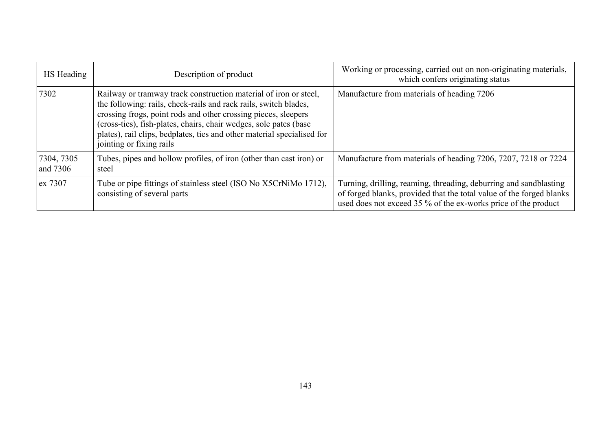| HS Heading             | Description of product                                                                                                                                                                                                                                                                                                                                                             | Working or processing, carried out on non-originating materials,<br>which confers originating status                                                                                                        |
|------------------------|------------------------------------------------------------------------------------------------------------------------------------------------------------------------------------------------------------------------------------------------------------------------------------------------------------------------------------------------------------------------------------|-------------------------------------------------------------------------------------------------------------------------------------------------------------------------------------------------------------|
| 7302                   | Railway or tramway track construction material of iron or steel,<br>the following: rails, check-rails and rack rails, switch blades,<br>crossing frogs, point rods and other crossing pieces, sleepers<br>(cross-ties), fish-plates, chairs, chair wedges, sole pates (base<br>plates), rail clips, bedplates, ties and other material specialised for<br>jointing or fixing rails | Manufacture from materials of heading 7206                                                                                                                                                                  |
| 7304, 7305<br>and 7306 | Tubes, pipes and hollow profiles, of iron (other than cast iron) or<br>steel                                                                                                                                                                                                                                                                                                       | Manufacture from materials of heading 7206, 7207, 7218 or 7224                                                                                                                                              |
| ex 7307                | Tube or pipe fittings of stainless steel (ISO No X5CrNiMo 1712),<br>consisting of several parts                                                                                                                                                                                                                                                                                    | Turning, drilling, reaming, threading, deburring and sandblasting<br>of forged blanks, provided that the total value of the forged blanks<br>used does not exceed 35 % of the ex-works price of the product |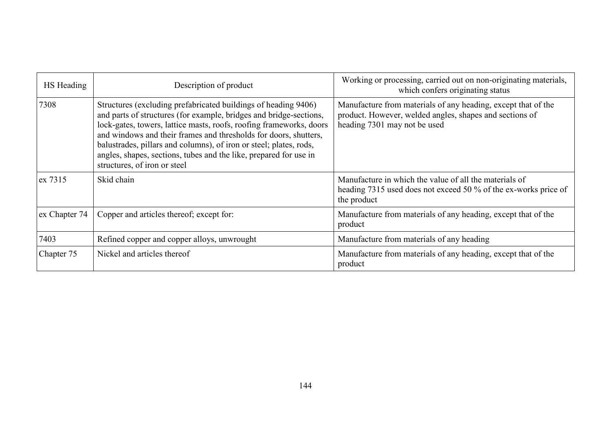| HS Heading    | Description of product                                                                                                                                                                                                                                                                                                                                                                                                                                     | Working or processing, carried out on non-originating materials,<br>which confers originating status                                                     |
|---------------|------------------------------------------------------------------------------------------------------------------------------------------------------------------------------------------------------------------------------------------------------------------------------------------------------------------------------------------------------------------------------------------------------------------------------------------------------------|----------------------------------------------------------------------------------------------------------------------------------------------------------|
| 7308          | Structures (excluding prefabricated buildings of heading 9406)<br>and parts of structures (for example, bridges and bridge-sections,<br>lock-gates, towers, lattice masts, roofs, roofing frameworks, doors<br>and windows and their frames and thresholds for doors, shutters,<br>balustrades, pillars and columns), of iron or steel; plates, rods,<br>angles, shapes, sections, tubes and the like, prepared for use in<br>structures, of iron or steel | Manufacture from materials of any heading, except that of the<br>product. However, welded angles, shapes and sections of<br>heading 7301 may not be used |
| ex 7315       | Skid chain                                                                                                                                                                                                                                                                                                                                                                                                                                                 | Manufacture in which the value of all the materials of<br>heading 7315 used does not exceed 50 % of the ex-works price of<br>the product                 |
| ex Chapter 74 | Copper and articles thereof; except for:                                                                                                                                                                                                                                                                                                                                                                                                                   | Manufacture from materials of any heading, except that of the<br>product                                                                                 |
| 7403          | Refined copper and copper alloys, unwrought                                                                                                                                                                                                                                                                                                                                                                                                                | Manufacture from materials of any heading                                                                                                                |
| Chapter 75    | Nickel and articles thereof                                                                                                                                                                                                                                                                                                                                                                                                                                | Manufacture from materials of any heading, except that of the<br>product                                                                                 |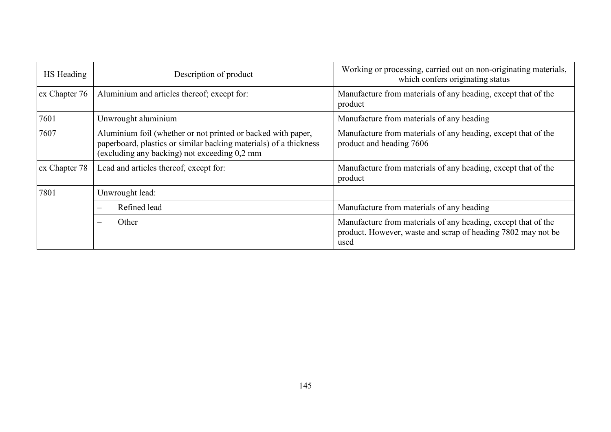| HS Heading    | Description of product                                                                                                                                                            | Working or processing, carried out on non-originating materials,<br>which confers originating status                                  |
|---------------|-----------------------------------------------------------------------------------------------------------------------------------------------------------------------------------|---------------------------------------------------------------------------------------------------------------------------------------|
| ex Chapter 76 | Aluminium and articles thereof; except for:                                                                                                                                       | Manufacture from materials of any heading, except that of the<br>product                                                              |
| 7601          | Unwrought aluminium                                                                                                                                                               | Manufacture from materials of any heading                                                                                             |
| 7607          | Aluminium foil (whether or not printed or backed with paper,<br>paperboard, plastics or similar backing materials) of a thickness<br>(excluding any backing) not exceeding 0,2 mm | Manufacture from materials of any heading, except that of the<br>product and heading 7606                                             |
| ex Chapter 78 | Lead and articles thereof, except for:                                                                                                                                            | Manufacture from materials of any heading, except that of the<br>product                                                              |
| 7801          | Unwrought lead:                                                                                                                                                                   |                                                                                                                                       |
|               | Refined lead<br>$\equiv$                                                                                                                                                          | Manufacture from materials of any heading                                                                                             |
|               | Other<br>$\overline{\phantom{0}}$                                                                                                                                                 | Manufacture from materials of any heading, except that of the<br>product. However, waste and scrap of heading 7802 may not be<br>used |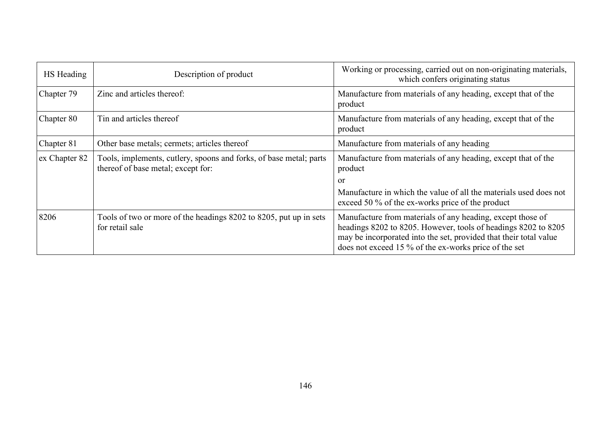| HS Heading    | Description of product                                                                                   | Working or processing, carried out on non-originating materials,<br>which confers originating status                                                                                                                                                       |
|---------------|----------------------------------------------------------------------------------------------------------|------------------------------------------------------------------------------------------------------------------------------------------------------------------------------------------------------------------------------------------------------------|
| Chapter 79    | Zinc and articles thereof:                                                                               | Manufacture from materials of any heading, except that of the<br>product                                                                                                                                                                                   |
| Chapter 80    | Tin and articles thereof                                                                                 | Manufacture from materials of any heading, except that of the<br>product                                                                                                                                                                                   |
| Chapter 81    | Other base metals; cermets; articles thereof                                                             | Manufacture from materials of any heading                                                                                                                                                                                                                  |
| ex Chapter 82 | Tools, implements, cutlery, spoons and forks, of base metal; parts<br>thereof of base metal; except for: | Manufacture from materials of any heading, except that of the<br>product                                                                                                                                                                                   |
|               |                                                                                                          | <sub>or</sub><br>Manufacture in which the value of all the materials used does not                                                                                                                                                                         |
|               |                                                                                                          | exceed 50 % of the ex-works price of the product                                                                                                                                                                                                           |
| 8206          | Tools of two or more of the headings 8202 to 8205, put up in sets<br>for retail sale                     | Manufacture from materials of any heading, except those of<br>headings 8202 to 8205. However, tools of headings 8202 to 8205<br>may be incorporated into the set, provided that their total value<br>does not exceed 15 % of the ex-works price of the set |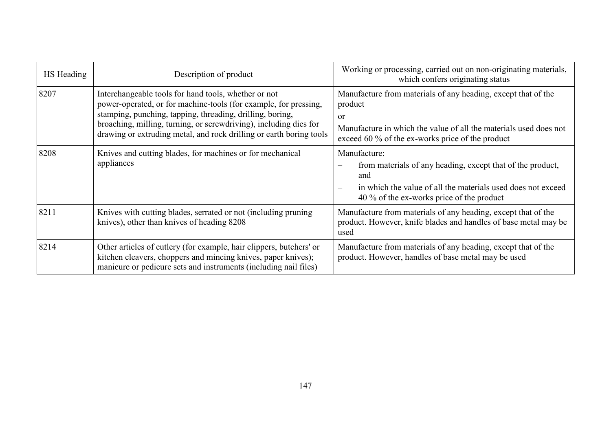| HS Heading | Description of product                                                                                                                                                                                                                                                                                                            | Working or processing, carried out on non-originating materials,<br>which confers originating status                                                                                                               |
|------------|-----------------------------------------------------------------------------------------------------------------------------------------------------------------------------------------------------------------------------------------------------------------------------------------------------------------------------------|--------------------------------------------------------------------------------------------------------------------------------------------------------------------------------------------------------------------|
| 8207       | Interchangeable tools for hand tools, whether or not<br>power-operated, or for machine-tools (for example, for pressing,<br>stamping, punching, tapping, threading, drilling, boring,<br>broaching, milling, turning, or screwdriving), including dies for<br>drawing or extruding metal, and rock drilling or earth boring tools | Manufacture from materials of any heading, except that of the<br>product<br><sub>or</sub><br>Manufacture in which the value of all the materials used does not<br>exceed 60 % of the ex-works price of the product |
| 8208       | Knives and cutting blades, for machines or for mechanical<br>appliances                                                                                                                                                                                                                                                           | Manufacture:<br>from materials of any heading, except that of the product,<br>and<br>in which the value of all the materials used does not exceed<br>$\equiv$<br>40 % of the ex-works price of the product         |
| 8211       | Knives with cutting blades, serrated or not (including pruning<br>knives), other than knives of heading 8208                                                                                                                                                                                                                      | Manufacture from materials of any heading, except that of the<br>product. However, knife blades and handles of base metal may be<br>used                                                                           |
| 8214       | Other articles of cutlery (for example, hair clippers, butchers' or<br>kitchen cleavers, choppers and mincing knives, paper knives);<br>manicure or pedicure sets and instruments (including nail files)                                                                                                                          | Manufacture from materials of any heading, except that of the<br>product. However, handles of base metal may be used                                                                                               |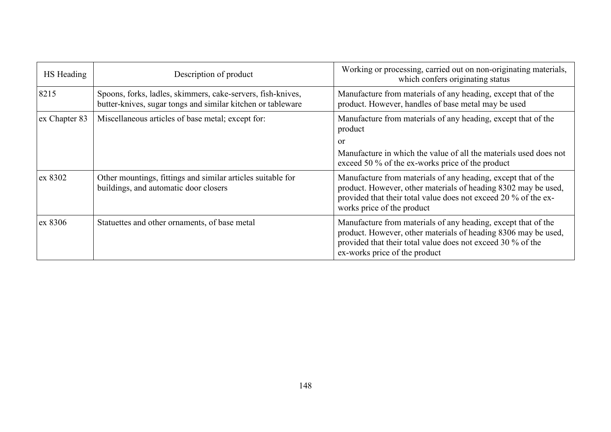| HS Heading    | Description of product                                                                                                     | Working or processing, carried out on non-originating materials,<br>which confers originating status                                                                                                                             |
|---------------|----------------------------------------------------------------------------------------------------------------------------|----------------------------------------------------------------------------------------------------------------------------------------------------------------------------------------------------------------------------------|
| 8215          | Spoons, forks, ladles, skimmers, cake-servers, fish-knives,<br>butter-knives, sugar tongs and similar kitchen or tableware | Manufacture from materials of any heading, except that of the<br>product. However, handles of base metal may be used                                                                                                             |
| ex Chapter 83 | Miscellaneous articles of base metal; except for:                                                                          | Manufacture from materials of any heading, except that of the<br>product                                                                                                                                                         |
|               |                                                                                                                            | or                                                                                                                                                                                                                               |
|               |                                                                                                                            | Manufacture in which the value of all the materials used does not<br>exceed 50 % of the ex-works price of the product                                                                                                            |
| ex 8302       | Other mountings, fittings and similar articles suitable for<br>buildings, and automatic door closers                       | Manufacture from materials of any heading, except that of the<br>product. However, other materials of heading 8302 may be used,<br>provided that their total value does not exceed 20 % of the ex-<br>works price of the product |
| ex 8306       | Statuettes and other ornaments, of base metal                                                                              | Manufacture from materials of any heading, except that of the<br>product. However, other materials of heading 8306 may be used,<br>provided that their total value does not exceed 30 % of the<br>ex-works price of the product  |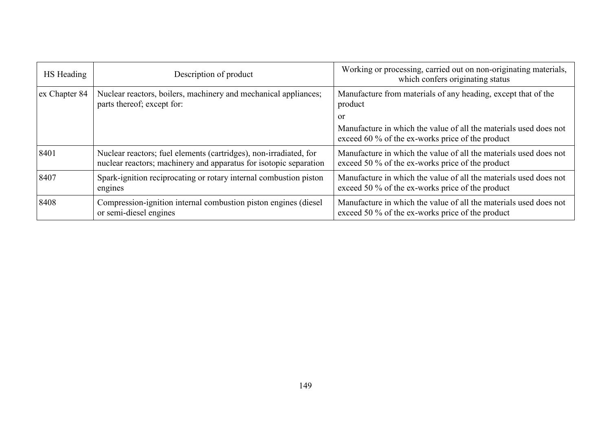| HS Heading    | Description of product                                                                                                                 | Working or processing, carried out on non-originating materials,<br>which confers originating status                     |
|---------------|----------------------------------------------------------------------------------------------------------------------------------------|--------------------------------------------------------------------------------------------------------------------------|
| ex Chapter 84 | Nuclear reactors, boilers, machinery and mechanical appliances;<br>parts thereof; except for:                                          | Manufacture from materials of any heading, except that of the<br>product                                                 |
|               |                                                                                                                                        | or                                                                                                                       |
|               |                                                                                                                                        | Manufacture in which the value of all the materials used does not<br>exceed 60 $\%$ of the ex-works price of the product |
| 8401          | Nuclear reactors; fuel elements (cartridges), non-irradiated, for<br>nuclear reactors; machinery and apparatus for isotopic separation | Manufacture in which the value of all the materials used does not<br>exceed 50 % of the ex-works price of the product    |
| 8407          | Spark-ignition reciprocating or rotary internal combustion piston<br>engines                                                           | Manufacture in which the value of all the materials used does not<br>exceed 50 % of the ex-works price of the product    |
| 8408          | Compression-ignition internal combustion piston engines (diesel)<br>or semi-diesel engines                                             | Manufacture in which the value of all the materials used does not<br>exceed 50 % of the ex-works price of the product    |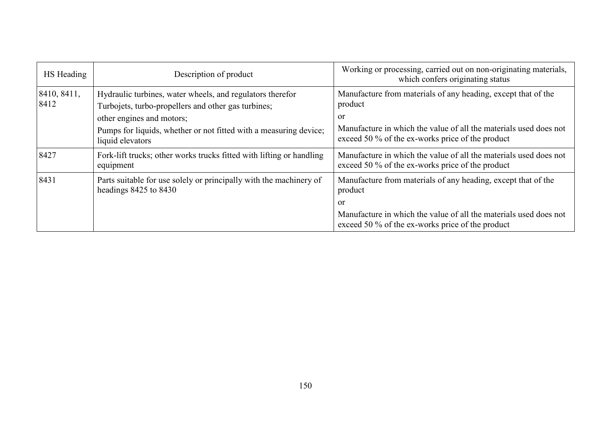| HS Heading          | Description of product                                                                                                                                                                                                                 | Working or processing, carried out on non-originating materials,<br>which confers originating status                                                                                                    |
|---------------------|----------------------------------------------------------------------------------------------------------------------------------------------------------------------------------------------------------------------------------------|---------------------------------------------------------------------------------------------------------------------------------------------------------------------------------------------------------|
| 8410, 8411,<br>8412 | Hydraulic turbines, water wheels, and regulators therefor<br>Turbojets, turbo-propellers and other gas turbines;<br>other engines and motors;<br>Pumps for liquids, whether or not fitted with a measuring device;<br>liquid elevators | Manufacture from materials of any heading, except that of the<br>product<br>or<br>Manufacture in which the value of all the materials used does not<br>exceed 50 % of the ex-works price of the product |
| 8427                | Fork-lift trucks; other works trucks fitted with lifting or handling<br>equipment                                                                                                                                                      | Manufacture in which the value of all the materials used does not<br>exceed 50 % of the ex-works price of the product                                                                                   |
| 8431                | Parts suitable for use solely or principally with the machinery of<br>headings $8425$ to $8430$                                                                                                                                        | Manufacture from materials of any heading, except that of the<br>product<br>or                                                                                                                          |
|                     |                                                                                                                                                                                                                                        | Manufacture in which the value of all the materials used does not<br>exceed 50 % of the ex-works price of the product                                                                                   |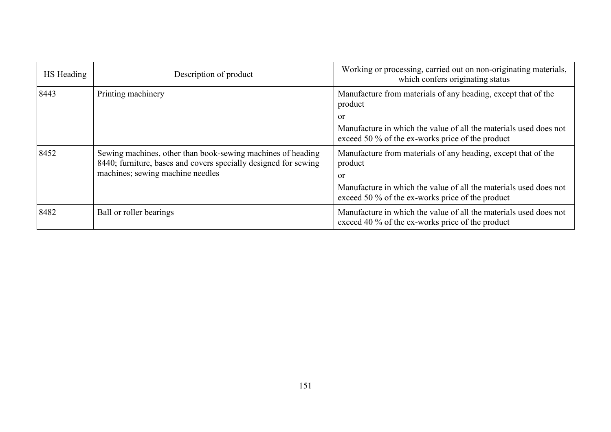| HS Heading | Description of product                                                                                                                                             | Working or processing, carried out on non-originating materials,<br>which confers originating status                  |
|------------|--------------------------------------------------------------------------------------------------------------------------------------------------------------------|-----------------------------------------------------------------------------------------------------------------------|
| 8443       | Printing machinery                                                                                                                                                 | Manufacture from materials of any heading, except that of the<br>product                                              |
|            |                                                                                                                                                                    | or                                                                                                                    |
|            |                                                                                                                                                                    | Manufacture in which the value of all the materials used does not<br>exceed 50 % of the ex-works price of the product |
| 8452       | Sewing machines, other than book-sewing machines of heading<br>8440; furniture, bases and covers specially designed for sewing<br>machines; sewing machine needles | Manufacture from materials of any heading, except that of the<br>product                                              |
|            |                                                                                                                                                                    | or                                                                                                                    |
|            |                                                                                                                                                                    | Manufacture in which the value of all the materials used does not<br>exceed 50 % of the ex-works price of the product |
| 8482       | Ball or roller bearings                                                                                                                                            | Manufacture in which the value of all the materials used does not<br>exceed 40 % of the ex-works price of the product |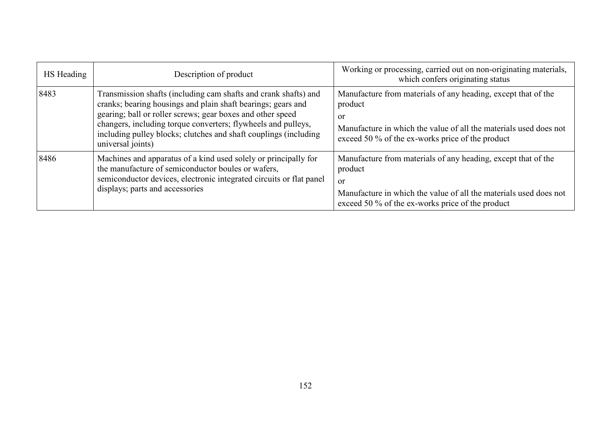| HS Heading | Description of product                                                                                                                                                                                                                                                                                                                                  | Working or processing, carried out on non-originating materials,<br>which confers originating status                                                                                                               |
|------------|---------------------------------------------------------------------------------------------------------------------------------------------------------------------------------------------------------------------------------------------------------------------------------------------------------------------------------------------------------|--------------------------------------------------------------------------------------------------------------------------------------------------------------------------------------------------------------------|
| 8483       | Transmission shafts (including cam shafts and crank shafts) and<br>cranks; bearing housings and plain shaft bearings; gears and<br>gearing; ball or roller screws; gear boxes and other speed<br>changers, including torque converters; flywheels and pulleys,<br>including pulley blocks; clutches and shaft couplings (including<br>universal joints) | Manufacture from materials of any heading, except that of the<br>product<br><sub>or</sub><br>Manufacture in which the value of all the materials used does not<br>exceed 50 % of the ex-works price of the product |
| 8486       | Machines and apparatus of a kind used solely or principally for<br>the manufacture of semiconductor boules or wafers,<br>semiconductor devices, electronic integrated circuits or flat panel<br>displays; parts and accessories                                                                                                                         | Manufacture from materials of any heading, except that of the<br>product<br><sub>or</sub><br>Manufacture in which the value of all the materials used does not<br>exceed 50 % of the ex-works price of the product |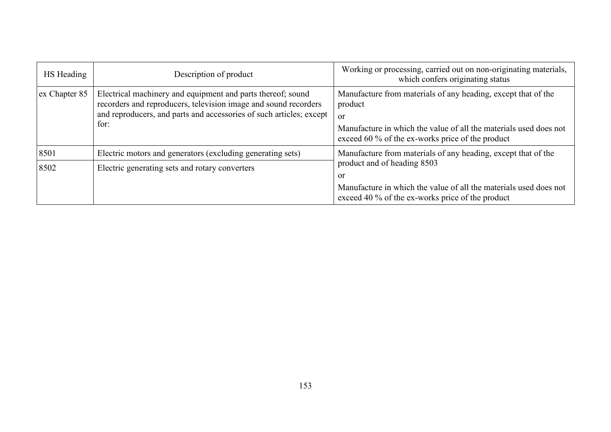| HS Heading    | Description of product                                                                                                                                                                                        | Working or processing, carried out on non-originating materials,<br>which confers originating status                                                                                                    |
|---------------|---------------------------------------------------------------------------------------------------------------------------------------------------------------------------------------------------------------|---------------------------------------------------------------------------------------------------------------------------------------------------------------------------------------------------------|
| ex Chapter 85 | Electrical machinery and equipment and parts thereof; sound<br>recorders and reproducers, television image and sound recorders<br>and reproducers, and parts and accessories of such articles; except<br>for: | Manufacture from materials of any heading, except that of the<br>product<br>or<br>Manufacture in which the value of all the materials used does not<br>exceed 60 % of the ex-works price of the product |
| 8501          | Electric motors and generators (excluding generating sets)                                                                                                                                                    | Manufacture from materials of any heading, except that of the                                                                                                                                           |
| 8502          | Electric generating sets and rotary converters                                                                                                                                                                | product and of heading 8503<br><b>or</b><br>Manufacture in which the value of all the materials used does not<br>exceed 40 % of the ex-works price of the product                                       |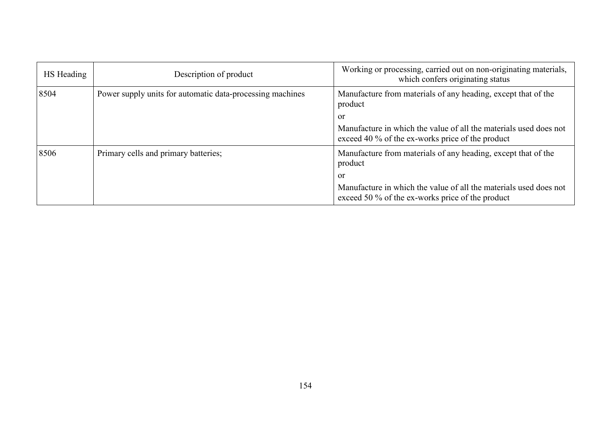| HS Heading | Description of product                                    | Working or processing, carried out on non-originating materials,<br>which confers originating status                  |
|------------|-----------------------------------------------------------|-----------------------------------------------------------------------------------------------------------------------|
| 8504       | Power supply units for automatic data-processing machines | Manufacture from materials of any heading, except that of the<br>product                                              |
|            |                                                           | or                                                                                                                    |
|            |                                                           | Manufacture in which the value of all the materials used does not<br>exceed 40 % of the ex-works price of the product |
| 8506       | Primary cells and primary batteries;                      | Manufacture from materials of any heading, except that of the<br>product                                              |
|            |                                                           | or                                                                                                                    |
|            |                                                           | Manufacture in which the value of all the materials used does not<br>exceed 50 % of the ex-works price of the product |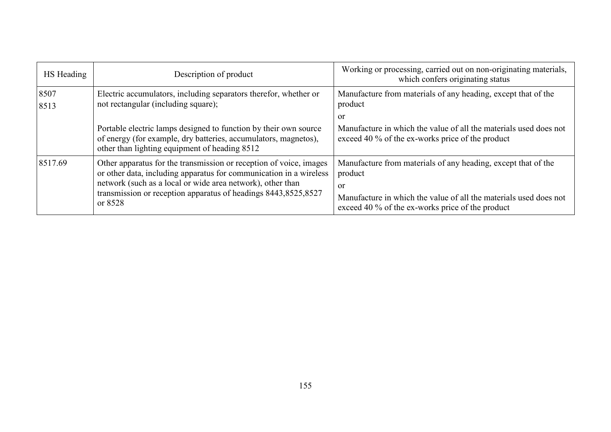| HS Heading   | Description of product                                                                                                                                                                                                                                                              | Working or processing, carried out on non-originating materials,<br>which confers originating status                                                                                                    |
|--------------|-------------------------------------------------------------------------------------------------------------------------------------------------------------------------------------------------------------------------------------------------------------------------------------|---------------------------------------------------------------------------------------------------------------------------------------------------------------------------------------------------------|
| 8507<br>8513 | Electric accumulators, including separators therefor, whether or<br>not rectangular (including square);                                                                                                                                                                             | Manufacture from materials of any heading, except that of the<br>product<br>or                                                                                                                          |
|              | Portable electric lamps designed to function by their own source<br>of energy (for example, dry batteries, accumulators, magnetos),<br>other than lighting equipment of heading 8512                                                                                                | Manufacture in which the value of all the materials used does not<br>exceed 40 % of the ex-works price of the product                                                                                   |
| 8517.69      | Other apparatus for the transmission or reception of voice, images<br>or other data, including apparatus for communication in a wireless<br>network (such as a local or wide area network), other than<br>transmission or reception apparatus of headings 8443,8525,8527<br>or 8528 | Manufacture from materials of any heading, except that of the<br>product<br>or<br>Manufacture in which the value of all the materials used does not<br>exceed 40 % of the ex-works price of the product |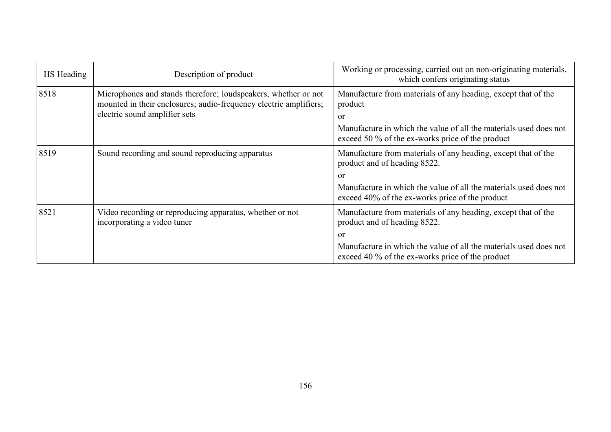| HS Heading | Description of product                                                                                                                                               | Working or processing, carried out on non-originating materials,<br>which confers originating status                  |
|------------|----------------------------------------------------------------------------------------------------------------------------------------------------------------------|-----------------------------------------------------------------------------------------------------------------------|
| 8518       | Microphones and stands therefore; loudspeakers, whether or not<br>mounted in their enclosures; audio-frequency electric amplifiers;<br>electric sound amplifier sets | Manufacture from materials of any heading, except that of the<br>product<br>or                                        |
|            |                                                                                                                                                                      | Manufacture in which the value of all the materials used does not<br>exceed 50 % of the ex-works price of the product |
| 8519       | Sound recording and sound reproducing apparatus                                                                                                                      | Manufacture from materials of any heading, except that of the<br>product and of heading 8522.<br>or                   |
|            |                                                                                                                                                                      | Manufacture in which the value of all the materials used does not<br>exceed 40% of the ex-works price of the product  |
| 8521       | Video recording or reproducing apparatus, whether or not<br>incorporating a video tuner                                                                              | Manufacture from materials of any heading, except that of the<br>product and of heading 8522.                         |
|            |                                                                                                                                                                      | or                                                                                                                    |
|            |                                                                                                                                                                      | Manufacture in which the value of all the materials used does not<br>exceed 40 % of the ex-works price of the product |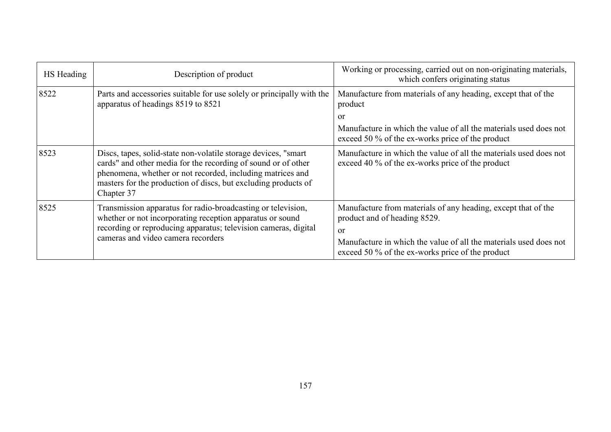| HS Heading | Description of product                                                                                                                                                                                                                                                        | Working or processing, carried out on non-originating materials,<br>which confers originating status                                                                                                                         |
|------------|-------------------------------------------------------------------------------------------------------------------------------------------------------------------------------------------------------------------------------------------------------------------------------|------------------------------------------------------------------------------------------------------------------------------------------------------------------------------------------------------------------------------|
| 8522       | Parts and accessories suitable for use solely or principally with the<br>apparatus of headings 8519 to 8521                                                                                                                                                                   | Manufacture from materials of any heading, except that of the<br>product                                                                                                                                                     |
|            |                                                                                                                                                                                                                                                                               | or                                                                                                                                                                                                                           |
|            |                                                                                                                                                                                                                                                                               | Manufacture in which the value of all the materials used does not<br>exceed 50 % of the ex-works price of the product                                                                                                        |
| 8523       | Discs, tapes, solid-state non-volatile storage devices, "smart<br>cards" and other media for the recording of sound or of other<br>phenomena, whether or not recorded, including matrices and<br>masters for the production of discs, but excluding products of<br>Chapter 37 | Manufacture in which the value of all the materials used does not<br>exceed 40 % of the ex-works price of the product                                                                                                        |
| 8525       | Transmission apparatus for radio-broadcasting or television,<br>whether or not incorporating reception apparatus or sound<br>recording or reproducing apparatus; television cameras, digital<br>cameras and video camera recorders                                            | Manufacture from materials of any heading, except that of the<br>product and of heading 8529.<br>or<br>Manufacture in which the value of all the materials used does not<br>exceed 50 % of the ex-works price of the product |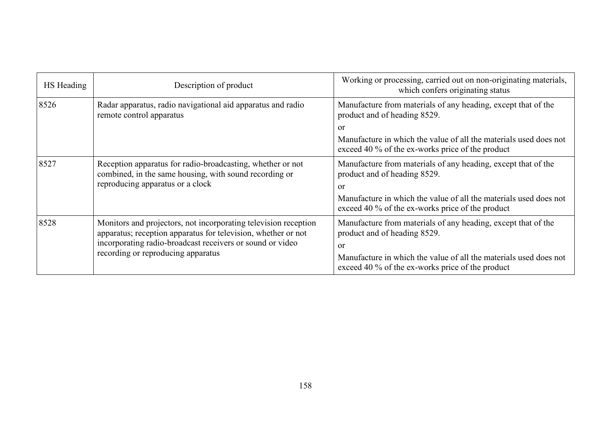| HS Heading | Description of product                                                                                                                                                                                                              | Working or processing, carried out on non-originating materials,<br>which confers originating status                  |
|------------|-------------------------------------------------------------------------------------------------------------------------------------------------------------------------------------------------------------------------------------|-----------------------------------------------------------------------------------------------------------------------|
| 8526       | Radar apparatus, radio navigational aid apparatus and radio<br>remote control apparatus                                                                                                                                             | Manufacture from materials of any heading, except that of the<br>product and of heading 8529.                         |
|            |                                                                                                                                                                                                                                     | <sub>or</sub>                                                                                                         |
|            |                                                                                                                                                                                                                                     | Manufacture in which the value of all the materials used does not<br>exceed 40 % of the ex-works price of the product |
| 8527       | Reception apparatus for radio-broadcasting, whether or not<br>combined, in the same housing, with sound recording or<br>reproducing apparatus or a clock                                                                            | Manufacture from materials of any heading, except that of the<br>product and of heading 8529.<br><sub>or</sub>        |
|            |                                                                                                                                                                                                                                     | Manufacture in which the value of all the materials used does not<br>exceed 40 % of the ex-works price of the product |
| 8528       | Monitors and projectors, not incorporating television reception<br>apparatus; reception apparatus for television, whether or not<br>incorporating radio-broadcast receivers or sound or video<br>recording or reproducing apparatus | Manufacture from materials of any heading, except that of the<br>product and of heading 8529.<br><sub>or</sub>        |
|            |                                                                                                                                                                                                                                     | Manufacture in which the value of all the materials used does not<br>exceed 40 % of the ex-works price of the product |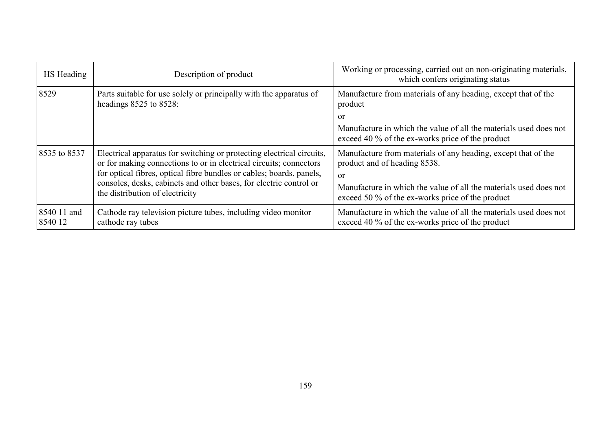| HS Heading             | Description of product                                                                                                                                                                                                                                                                                                       | Working or processing, carried out on non-originating materials,<br>which confers originating status                                                                                                                                    |
|------------------------|------------------------------------------------------------------------------------------------------------------------------------------------------------------------------------------------------------------------------------------------------------------------------------------------------------------------------|-----------------------------------------------------------------------------------------------------------------------------------------------------------------------------------------------------------------------------------------|
| 8529                   | Parts suitable for use solely or principally with the apparatus of<br>headings $8525$ to $8528$ :                                                                                                                                                                                                                            | Manufacture from materials of any heading, except that of the<br>product<br>or<br>Manufacture in which the value of all the materials used does not<br>exceed 40 % of the ex-works price of the product                                 |
| 8535 to 8537           | Electrical apparatus for switching or protecting electrical circuits,<br>or for making connections to or in electrical circuits; connectors<br>for optical fibres, optical fibre bundles or cables; boards, panels,<br>consoles, desks, cabinets and other bases, for electric control or<br>the distribution of electricity | Manufacture from materials of any heading, except that of the<br>product and of heading 8538.<br><sub>or</sub><br>Manufacture in which the value of all the materials used does not<br>exceed 50 % of the ex-works price of the product |
| 8540 11 and<br>8540 12 | Cathode ray television picture tubes, including video monitor<br>cathode ray tubes                                                                                                                                                                                                                                           | Manufacture in which the value of all the materials used does not<br>exceed 40 % of the ex-works price of the product                                                                                                                   |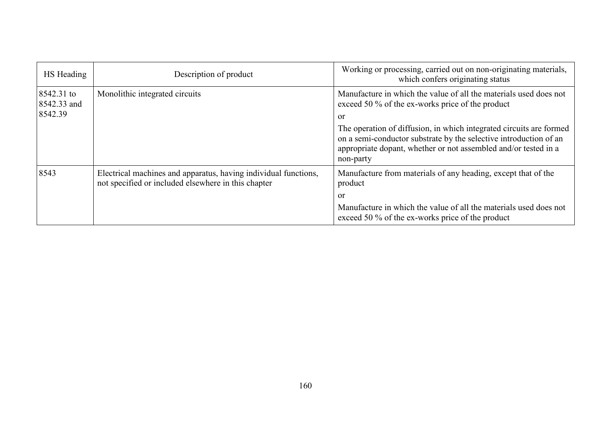| HS Heading                           | Description of product                                                                                                 | Working or processing, carried out on non-originating materials,<br>which confers originating status                                                                                                                     |
|--------------------------------------|------------------------------------------------------------------------------------------------------------------------|--------------------------------------------------------------------------------------------------------------------------------------------------------------------------------------------------------------------------|
| 8542.31 to<br>8542.33 and<br>8542.39 | Monolithic integrated circuits                                                                                         | Manufacture in which the value of all the materials used does not<br>exceed 50 % of the ex-works price of the product<br><sub>or</sub>                                                                                   |
|                                      |                                                                                                                        | The operation of diffusion, in which integrated circuits are formed<br>on a semi-conductor substrate by the selective introduction of an<br>appropriate dopant, whether or not assembled and/or tested in a<br>non-party |
| 8543                                 | Electrical machines and apparatus, having individual functions,<br>not specified or included elsewhere in this chapter | Manufacture from materials of any heading, except that of the<br>product<br><sub>or</sub>                                                                                                                                |
|                                      |                                                                                                                        | Manufacture in which the value of all the materials used does not<br>exceed 50 % of the ex-works price of the product                                                                                                    |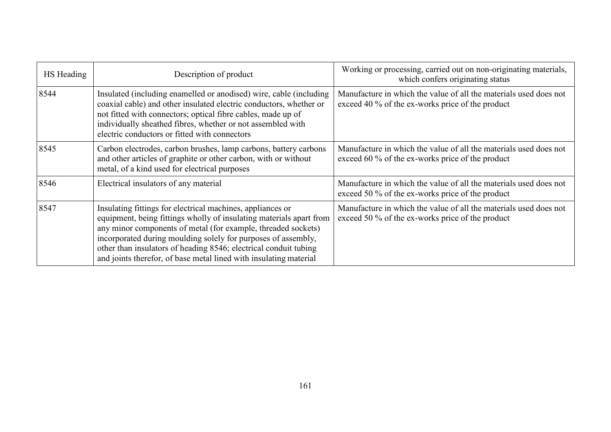| HS Heading | Description of product                                                                                                                                                                                                                                                                                                                                                                                       | Working or processing, carried out on non-originating materials,<br>which confers originating status                  |
|------------|--------------------------------------------------------------------------------------------------------------------------------------------------------------------------------------------------------------------------------------------------------------------------------------------------------------------------------------------------------------------------------------------------------------|-----------------------------------------------------------------------------------------------------------------------|
| 8544       | Insulated (including enamelled or anodised) wire, cable (including<br>coaxial cable) and other insulated electric conductors, whether or<br>not fitted with connectors; optical fibre cables, made up of<br>individually sheathed fibres, whether or not assembled with<br>electric conductors or fitted with connectors                                                                                     | Manufacture in which the value of all the materials used does not<br>exceed 40 % of the ex-works price of the product |
| 8545       | Carbon electrodes, carbon brushes, lamp carbons, battery carbons<br>and other articles of graphite or other carbon, with or without<br>metal, of a kind used for electrical purposes                                                                                                                                                                                                                         | Manufacture in which the value of all the materials used does not<br>exceed 60 % of the ex-works price of the product |
| 8546       | Electrical insulators of any material                                                                                                                                                                                                                                                                                                                                                                        | Manufacture in which the value of all the materials used does not<br>exceed 50 % of the ex-works price of the product |
| 8547       | Insulating fittings for electrical machines, appliances or<br>equipment, being fittings wholly of insulating materials apart from<br>any minor components of metal (for example, threaded sockets)<br>incorporated during moulding solely for purposes of assembly,<br>other than insulators of heading 8546; electrical conduit tubing<br>and joints therefor, of base metal lined with insulating material | Manufacture in which the value of all the materials used does not<br>exceed 50 % of the ex-works price of the product |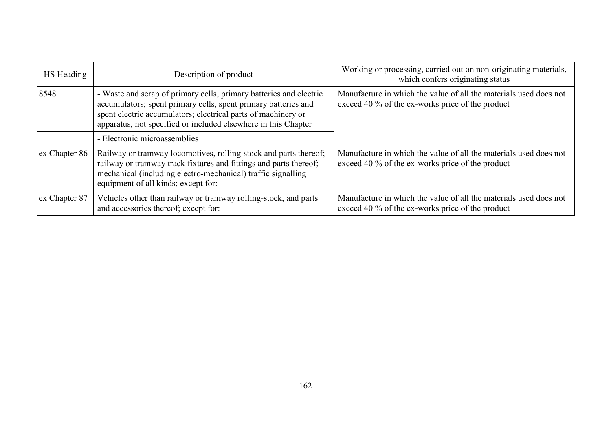| HS Heading    | Description of product                                                                                                                                                                                                                                                  | Working or processing, carried out on non-originating materials,<br>which confers originating status                  |
|---------------|-------------------------------------------------------------------------------------------------------------------------------------------------------------------------------------------------------------------------------------------------------------------------|-----------------------------------------------------------------------------------------------------------------------|
| 8548          | - Waste and scrap of primary cells, primary batteries and electric<br>accumulators; spent primary cells, spent primary batteries and<br>spent electric accumulators; electrical parts of machinery or<br>apparatus, not specified or included elsewhere in this Chapter | Manufacture in which the value of all the materials used does not<br>exceed 40 % of the ex-works price of the product |
|               | - Electronic microassemblies                                                                                                                                                                                                                                            |                                                                                                                       |
| ex Chapter 86 | Railway or tramway locomotives, rolling-stock and parts thereof;<br>railway or tramway track fixtures and fittings and parts thereof;<br>mechanical (including electro-mechanical) traffic signalling<br>equipment of all kinds; except for:                            | Manufacture in which the value of all the materials used does not<br>exceed 40 % of the ex-works price of the product |
| ex Chapter 87 | Vehicles other than railway or tramway rolling-stock, and parts<br>and accessories thereof; except for:                                                                                                                                                                 | Manufacture in which the value of all the materials used does not<br>exceed 40 % of the ex-works price of the product |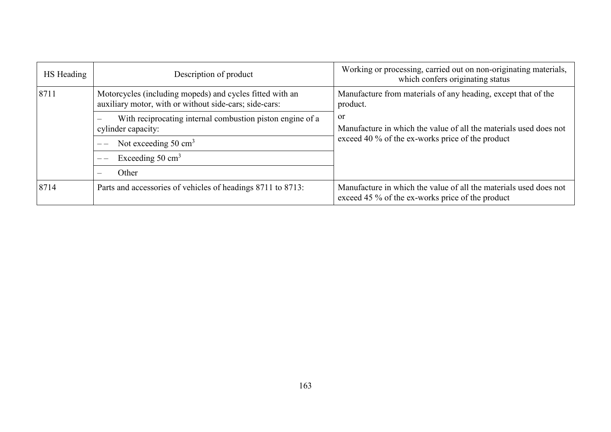| HS Heading | Description of product                                                                                             | Working or processing, carried out on non-originating materials,<br>which confers originating status                  |
|------------|--------------------------------------------------------------------------------------------------------------------|-----------------------------------------------------------------------------------------------------------------------|
| 8711       | Motorcycles (including mopeds) and cycles fitted with an<br>auxiliary motor, with or without side-cars; side-cars: | Manufacture from materials of any heading, except that of the<br>product.                                             |
|            | <sub>or</sub><br>With reciprocating internal combustion piston engine of a<br>cylinder capacity:                   | Manufacture in which the value of all the materials used does not                                                     |
|            | Not exceeding $50 \text{ cm}^3$                                                                                    | exceed 40 % of the ex-works price of the product                                                                      |
|            | Exceeding $50 \text{ cm}^3$                                                                                        |                                                                                                                       |
|            | Other                                                                                                              |                                                                                                                       |
| 8714       | Parts and accessories of vehicles of headings 8711 to 8713:                                                        | Manufacture in which the value of all the materials used does not<br>exceed 45 % of the ex-works price of the product |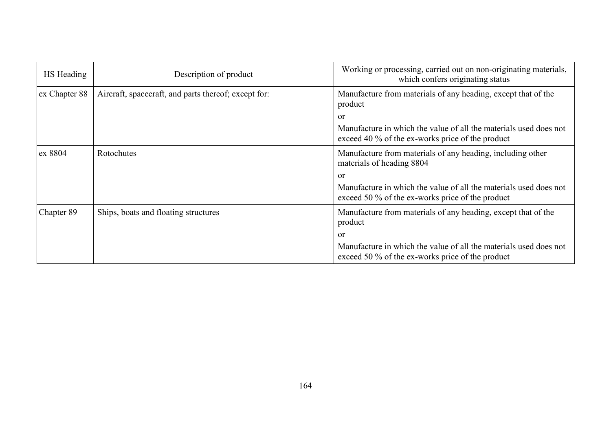| HS Heading    | Description of product                               | Working or processing, carried out on non-originating materials,<br>which confers originating status                  |
|---------------|------------------------------------------------------|-----------------------------------------------------------------------------------------------------------------------|
| ex Chapter 88 | Aircraft, spacecraft, and parts thereof; except for: | Manufacture from materials of any heading, except that of the<br>product                                              |
|               |                                                      | or                                                                                                                    |
|               |                                                      | Manufacture in which the value of all the materials used does not<br>exceed 40 % of the ex-works price of the product |
| ex 8804       | Rotochutes                                           | Manufacture from materials of any heading, including other<br>materials of heading 8804                               |
|               |                                                      | or                                                                                                                    |
|               |                                                      | Manufacture in which the value of all the materials used does not<br>exceed 50 % of the ex-works price of the product |
| Chapter 89    | Ships, boats and floating structures                 | Manufacture from materials of any heading, except that of the<br>product                                              |
|               |                                                      | or                                                                                                                    |
|               |                                                      | Manufacture in which the value of all the materials used does not<br>exceed 50 % of the ex-works price of the product |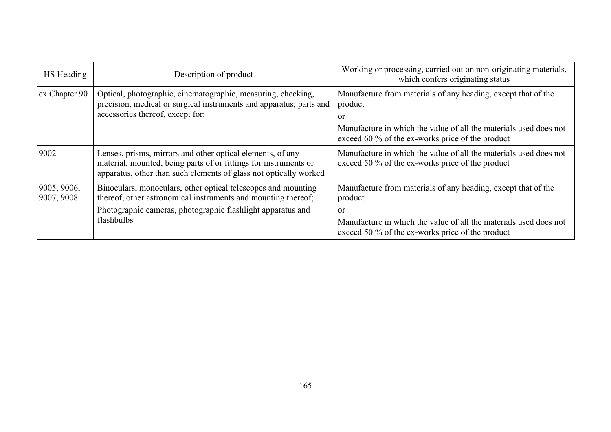| HS Heading                | Description of product                                                                                                                                                                              | Working or processing, carried out on non-originating materials,<br>which confers originating status                        |
|---------------------------|-----------------------------------------------------------------------------------------------------------------------------------------------------------------------------------------------------|-----------------------------------------------------------------------------------------------------------------------------|
| ex Chapter 90             | Optical, photographic, cinematographic, measuring, checking,<br>precision, medical or surgical instruments and apparatus; parts and<br>accessories thereof, except for:                             | Manufacture from materials of any heading, except that of the<br>product<br>or                                              |
|                           |                                                                                                                                                                                                     | Manufacture in which the value of all the materials used does not<br>exceed 60 % of the ex-works price of the product       |
| 9002                      | Lenses, prisms, mirrors and other optical elements, of any<br>material, mounted, being parts of or fittings for instruments or<br>apparatus, other than such elements of glass not optically worked | Manufacture in which the value of all the materials used does not<br>exceed 50 % of the ex-works price of the product       |
| 9005, 9006,<br>9007, 9008 | Binoculars, monoculars, other optical telescopes and mounting<br>thereof, other astronomical instruments and mounting thereof;                                                                      | Manufacture from materials of any heading, except that of the<br>product                                                    |
|                           | Photographic cameras, photographic flashlight apparatus and<br>flashbulbs                                                                                                                           | or<br>Manufacture in which the value of all the materials used does not<br>exceed 50 % of the ex-works price of the product |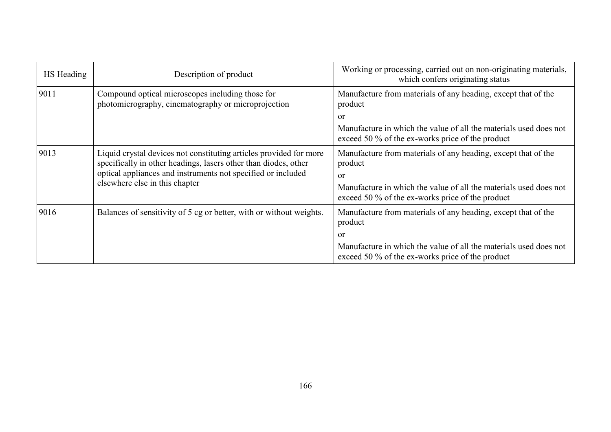| HS Heading | Description of product                                                                                                                                                                                                                  | Working or processing, carried out on non-originating materials,<br>which confers originating status                                                                                                               |
|------------|-----------------------------------------------------------------------------------------------------------------------------------------------------------------------------------------------------------------------------------------|--------------------------------------------------------------------------------------------------------------------------------------------------------------------------------------------------------------------|
| 9011       | Compound optical microscopes including those for<br>photomicrography, cinematography or microprojection                                                                                                                                 | Manufacture from materials of any heading, except that of the<br>product                                                                                                                                           |
|            |                                                                                                                                                                                                                                         | or                                                                                                                                                                                                                 |
|            |                                                                                                                                                                                                                                         | Manufacture in which the value of all the materials used does not<br>exceed 50 % of the ex-works price of the product                                                                                              |
| 9013       | Liquid crystal devices not constituting articles provided for more<br>specifically in other headings, lasers other than diodes, other<br>optical appliances and instruments not specified or included<br>elsewhere else in this chapter | Manufacture from materials of any heading, except that of the<br>product<br><sub>or</sub><br>Manufacture in which the value of all the materials used does not<br>exceed 50 % of the ex-works price of the product |
| 9016       | Balances of sensitivity of 5 cg or better, with or without weights.                                                                                                                                                                     | Manufacture from materials of any heading, except that of the<br>product<br>or<br>Manufacture in which the value of all the materials used does not<br>exceed 50 % of the ex-works price of the product            |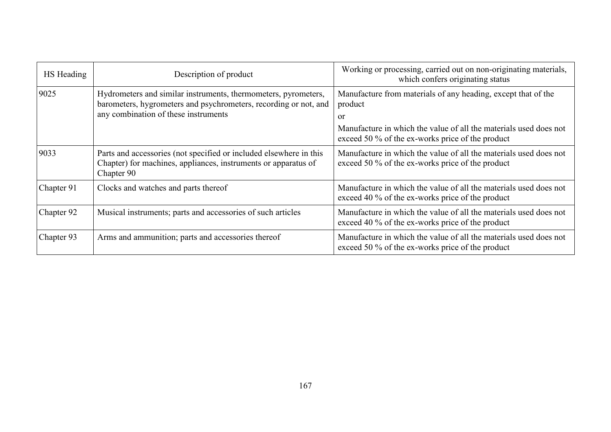| HS Heading | Description of product                                                                                                                                                     | Working or processing, carried out on non-originating materials,<br>which confers originating status                                                                                                    |
|------------|----------------------------------------------------------------------------------------------------------------------------------------------------------------------------|---------------------------------------------------------------------------------------------------------------------------------------------------------------------------------------------------------|
| 9025       | Hydrometers and similar instruments, thermometers, pyrometers,<br>barometers, hygrometers and psychrometers, recording or not, and<br>any combination of these instruments | Manufacture from materials of any heading, except that of the<br>product<br>or<br>Manufacture in which the value of all the materials used does not<br>exceed 50 % of the ex-works price of the product |
| 9033       | Parts and accessories (not specified or included elsewhere in this<br>Chapter) for machines, appliances, instruments or apparatus of<br>Chapter 90                         | Manufacture in which the value of all the materials used does not<br>exceed 50 % of the ex-works price of the product                                                                                   |
| Chapter 91 | Clocks and watches and parts thereof                                                                                                                                       | Manufacture in which the value of all the materials used does not<br>exceed 40 % of the ex-works price of the product                                                                                   |
| Chapter 92 | Musical instruments; parts and accessories of such articles                                                                                                                | Manufacture in which the value of all the materials used does not<br>exceed 40 % of the ex-works price of the product                                                                                   |
| Chapter 93 | Arms and ammunition; parts and accessories thereof                                                                                                                         | Manufacture in which the value of all the materials used does not<br>exceed 50 % of the ex-works price of the product                                                                                   |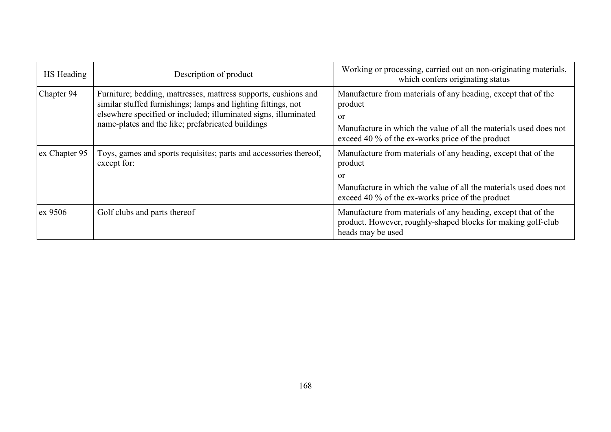| HS Heading    | Description of product                                                                                                                                                                                                                                   | Working or processing, carried out on non-originating materials,<br>which confers originating status                                                                                                               |
|---------------|----------------------------------------------------------------------------------------------------------------------------------------------------------------------------------------------------------------------------------------------------------|--------------------------------------------------------------------------------------------------------------------------------------------------------------------------------------------------------------------|
| Chapter 94    | Furniture; bedding, mattresses, mattress supports, cushions and<br>similar stuffed furnishings; lamps and lighting fittings, not<br>elsewhere specified or included; illuminated signs, illuminated<br>name-plates and the like; prefabricated buildings | Manufacture from materials of any heading, except that of the<br>product<br><sub>or</sub><br>Manufacture in which the value of all the materials used does not<br>exceed 40 % of the ex-works price of the product |
| ex Chapter 95 | Toys, games and sports requisites; parts and accessories thereof,<br>except for:                                                                                                                                                                         | Manufacture from materials of any heading, except that of the<br>product<br>or<br>Manufacture in which the value of all the materials used does not<br>exceed 40 % of the ex-works price of the product            |
| ex 9506       | Golf clubs and parts thereof                                                                                                                                                                                                                             | Manufacture from materials of any heading, except that of the<br>product. However, roughly-shaped blocks for making golf-club<br>heads may be used                                                                 |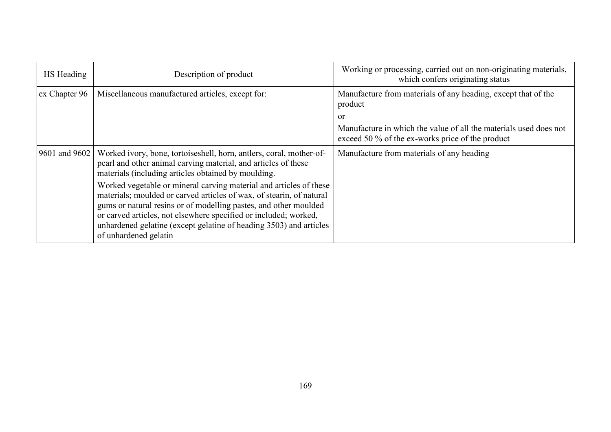| HS Heading    | Description of product                                                                                                                                                                                                                                                                                                                                                            | Working or processing, carried out on non-originating materials,<br>which confers originating status                  |
|---------------|-----------------------------------------------------------------------------------------------------------------------------------------------------------------------------------------------------------------------------------------------------------------------------------------------------------------------------------------------------------------------------------|-----------------------------------------------------------------------------------------------------------------------|
| ex Chapter 96 | Miscellaneous manufactured articles, except for:                                                                                                                                                                                                                                                                                                                                  | Manufacture from materials of any heading, except that of the<br>product                                              |
|               |                                                                                                                                                                                                                                                                                                                                                                                   | or                                                                                                                    |
|               |                                                                                                                                                                                                                                                                                                                                                                                   | Manufacture in which the value of all the materials used does not<br>exceed 50 % of the ex-works price of the product |
| 9601 and 9602 | Worked ivory, bone, tortoiseshell, horn, antlers, coral, mother-of-<br>pearl and other animal carving material, and articles of these<br>materials (including articles obtained by moulding.                                                                                                                                                                                      | Manufacture from materials of any heading                                                                             |
|               | Worked vegetable or mineral carving material and articles of these<br>materials; moulded or carved articles of wax, of stearin, of natural<br>gums or natural resins or of modelling pastes, and other moulded<br>or carved articles, not elsewhere specified or included; worked,<br>unhardened gelatine (except gelatine of heading 3503) and articles<br>of unhardened gelatin |                                                                                                                       |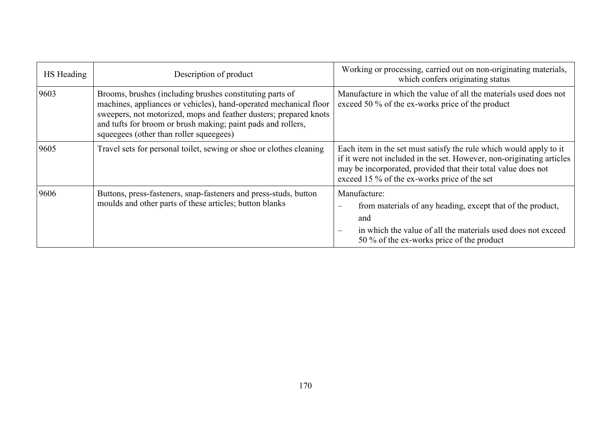| HS Heading | Description of product                                                                                                                                                                                                                                                                                        | Working or processing, carried out on non-originating materials,<br>which confers originating status                                                                                                                                                         |
|------------|---------------------------------------------------------------------------------------------------------------------------------------------------------------------------------------------------------------------------------------------------------------------------------------------------------------|--------------------------------------------------------------------------------------------------------------------------------------------------------------------------------------------------------------------------------------------------------------|
| 9603       | Brooms, brushes (including brushes constituting parts of<br>machines, appliances or vehicles), hand-operated mechanical floor<br>sweepers, not motorized, mops and feather dusters; prepared knots<br>and tufts for broom or brush making; paint pads and rollers,<br>squeegees (other than roller squeegees) | Manufacture in which the value of all the materials used does not<br>exceed 50 % of the ex-works price of the product                                                                                                                                        |
| 9605       | Travel sets for personal toilet, sewing or shoe or clothes cleaning                                                                                                                                                                                                                                           | Each item in the set must satisfy the rule which would apply to it<br>if it were not included in the set. However, non-originating articles<br>may be incorporated, provided that their total value does not<br>exceed 15 % of the ex-works price of the set |
| 9606       | Buttons, press-fasteners, snap-fasteners and press-studs, button<br>moulds and other parts of these articles; button blanks                                                                                                                                                                                   | Manufacture:<br>from materials of any heading, except that of the product,<br>$\overline{\phantom{m}}$<br>and<br>in which the value of all the materials used does not exceed<br>$\overline{\phantom{a}}$<br>50 % of the ex-works price of the product       |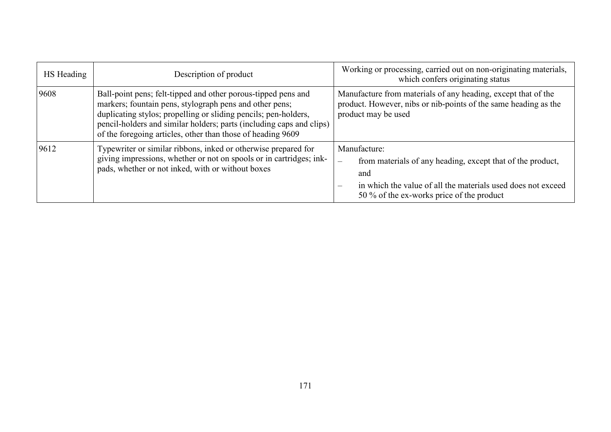| HS Heading | Description of product                                                                                                                                                                                                                                                                                                             | Working or processing, carried out on non-originating materials,<br>which confers originating status                                                                                                                       |  |
|------------|------------------------------------------------------------------------------------------------------------------------------------------------------------------------------------------------------------------------------------------------------------------------------------------------------------------------------------|----------------------------------------------------------------------------------------------------------------------------------------------------------------------------------------------------------------------------|--|
| 9608       | Ball-point pens; felt-tipped and other porous-tipped pens and<br>markers; fountain pens, stylograph pens and other pens;<br>duplicating stylos; propelling or sliding pencils; pen-holders,<br>pencil-holders and similar holders; parts (including caps and clips)<br>of the foregoing articles, other than those of heading 9609 | Manufacture from materials of any heading, except that of the<br>product. However, nibs or nib-points of the same heading as the<br>product may be used                                                                    |  |
| 9612       | Typewriter or similar ribbons, inked or otherwise prepared for<br>giving impressions, whether or not on spools or in cartridges; ink-<br>pads, whether or not inked, with or without boxes                                                                                                                                         | Manufacture:<br>from materials of any heading, except that of the product,<br>$\overline{\phantom{m}}$<br>and<br>in which the value of all the materials used does not exceed<br>50 % of the ex-works price of the product |  |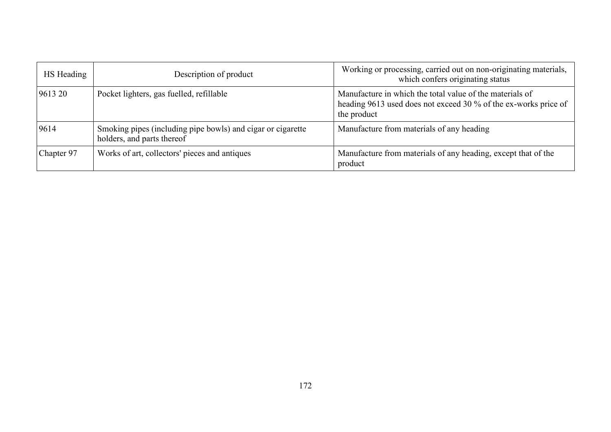| HS Heading | Description of product                                                                    | Working or processing, carried out on non-originating materials,<br>which confers originating status                                       |
|------------|-------------------------------------------------------------------------------------------|--------------------------------------------------------------------------------------------------------------------------------------------|
| 9613 20    | Pocket lighters, gas fuelled, refillable                                                  | Manufacture in which the total value of the materials of<br>heading 9613 used does not exceed 30 % of the ex-works price of<br>the product |
| 9614       | Smoking pipes (including pipe bowls) and cigar or cigarette<br>holders, and parts thereof | Manufacture from materials of any heading                                                                                                  |
| Chapter 97 | Works of art, collectors' pieces and antiques                                             | Manufacture from materials of any heading, except that of the<br>product                                                                   |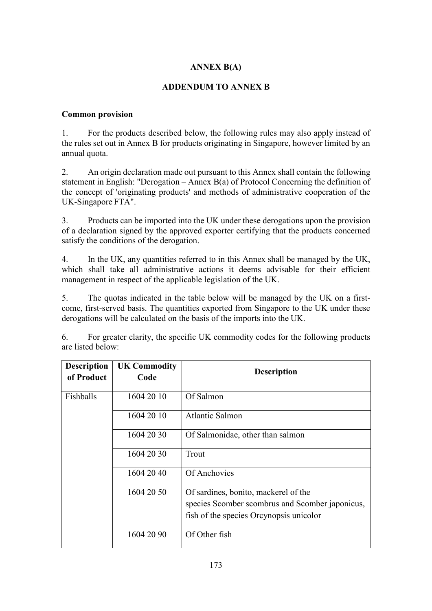# **ANNEX B(A)**

## **ADDENDUM TO ANNEX B**

#### **Common provision**

1. For the products described below, the following rules may also apply instead of the rules set out in Annex B for products originating in Singapore, however limited by an annual quota.

2. An origin declaration made out pursuant to this Annex shall contain the following statement in English: "Derogation – Annex  $B(a)$  of Protocol Concerning the definition of the concept of 'originating products' and methods of administrative cooperation of the UK-Singapore FTA".

3. Products can be imported into the UK under these derogations upon the provision of a declaration signed by the approved exporter certifying that the products concerned satisfy the conditions of the derogation.

4. In the UK, any quantities referred to in this Annex shall be managed by the UK, which shall take all administrative actions it deems advisable for their efficient management in respect of the applicable legislation of the UK.

5. The quotas indicated in the table below will be managed by the UK on a firstcome, first-served basis. The quantities exported from Singapore to the UK under these derogations will be calculated on the basis of the imports into the UK.

6. For greater clarity, the specific UK commodity codes for the following products are listed below:

| <b>Description</b><br>of Product | <b>UK Commodity</b><br>Code | <b>Description</b>                                                                                                                 |
|----------------------------------|-----------------------------|------------------------------------------------------------------------------------------------------------------------------------|
| Fishballs                        | 1604 20 10                  | Of Salmon                                                                                                                          |
|                                  | 1604 20 10                  | Atlantic Salmon                                                                                                                    |
|                                  | 1604 20 30                  | Of Salmonidae, other than salmon                                                                                                   |
|                                  | 1604 20 30                  | Trout                                                                                                                              |
|                                  | 1604 20 40                  | Of Anchovies                                                                                                                       |
|                                  | 1604 20 50                  | Of sardines, bonito, mackerel of the<br>species Scomber scombrus and Scomber japonicus,<br>fish of the species Orcynopsis unicolor |
|                                  | 1604 20 90                  | Of Other fish                                                                                                                      |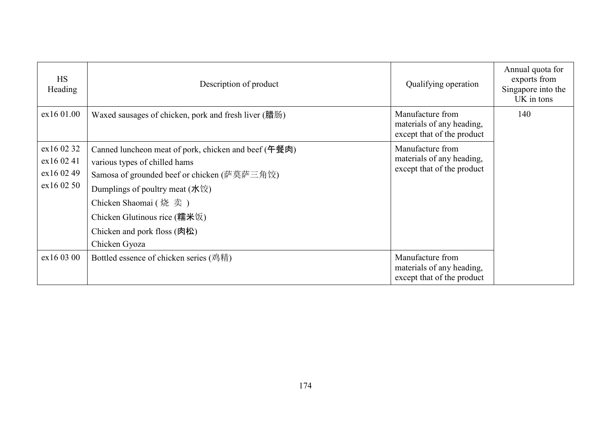| <b>HS</b><br>Heading                                 | Description of product                                                                                                                                                                                                                                                                             | Qualifying operation                                                        | Annual quota for<br>exports from<br>Singapore into the<br>UK in tons |
|------------------------------------------------------|----------------------------------------------------------------------------------------------------------------------------------------------------------------------------------------------------------------------------------------------------------------------------------------------------|-----------------------------------------------------------------------------|----------------------------------------------------------------------|
| ex16 01.00                                           | Waxed sausages of chicken, pork and fresh liver (腊肠)                                                                                                                                                                                                                                               | Manufacture from<br>materials of any heading,<br>except that of the product | 140                                                                  |
| ex16 02 32<br>ex16 02 41<br>ex16 02 49<br>ex16 02 50 | Canned luncheon meat of pork, chicken and beef (午餐肉)<br>various types of chilled hams<br>Samosa of grounded beef or chicken (萨莫萨三角饺)<br>Dumplings of poultry meat $(\text{K}\,\text{\&}$ )<br>Chicken Shaomai (烧卖)<br>Chicken Glutinous rice (糯米饭)<br>Chicken and pork floss (肉松)<br>Chicken Gyoza | Manufacture from<br>materials of any heading,<br>except that of the product |                                                                      |
| ex160300                                             | Bottled essence of chicken series (鸡精)                                                                                                                                                                                                                                                             | Manufacture from<br>materials of any heading,<br>except that of the product |                                                                      |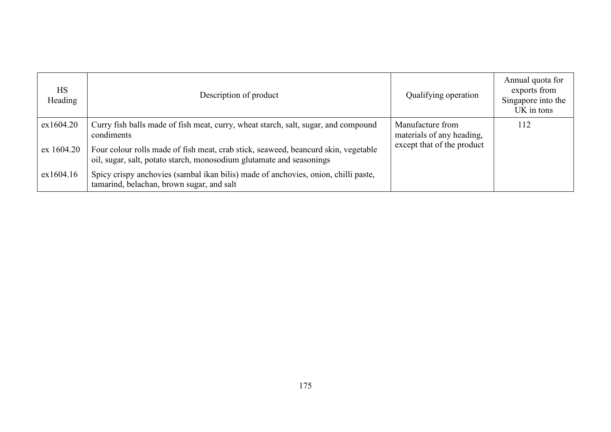| <b>HS</b><br>Heading | Description of product                                                                                                                                     | Qualifying operation                          | Annual quota for<br>exports from<br>Singapore into the<br>UK in tons |
|----------------------|------------------------------------------------------------------------------------------------------------------------------------------------------------|-----------------------------------------------|----------------------------------------------------------------------|
| ex1604.20            | Curry fish balls made of fish meat, curry, wheat starch, salt, sugar, and compound<br>condiments                                                           | Manufacture from<br>materials of any heading, | 112                                                                  |
| ex 1604.20           | Four colour rolls made of fish meat, crab stick, seaweed, beancurd skin, vegetable<br>oil, sugar, salt, potato starch, monosodium glutamate and seasonings | except that of the product                    |                                                                      |
| ex1604.16            | Spicy crispy anchovies (sambal ikan bilis) made of anchovies, onion, chilli paste,<br>tamarind, belachan, brown sugar, and salt                            |                                               |                                                                      |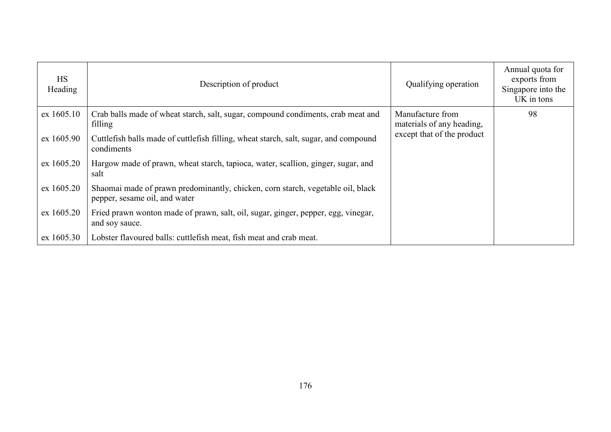| <b>HS</b><br>Heading | Description of product                                                                                           | Qualifying operation                          | Annual quota for<br>exports from<br>Singapore into the<br>UK in tons |
|----------------------|------------------------------------------------------------------------------------------------------------------|-----------------------------------------------|----------------------------------------------------------------------|
| ex 1605.10           | Crab balls made of wheat starch, salt, sugar, compound condiments, crab meat and<br>filling                      | Manufacture from<br>materials of any heading, | 98                                                                   |
| ex 1605.90           | Cuttlefish balls made of cuttlefish filling, wheat starch, salt, sugar, and compound<br>condiments               | except that of the product                    |                                                                      |
| ex 1605.20           | Hargow made of prawn, wheat starch, tapioca, water, scallion, ginger, sugar, and<br>salt                         |                                               |                                                                      |
| ex 1605.20           | Shaomai made of prawn predominantly, chicken, corn starch, vegetable oil, black<br>pepper, sesame oil, and water |                                               |                                                                      |
| ex 1605.20           | Fried prawn wonton made of prawn, salt, oil, sugar, ginger, pepper, egg, vinegar,<br>and soy sauce.              |                                               |                                                                      |
| ex 1605.30           | Lobster flavoured balls: cuttlefish meat, fish meat and crab meat.                                               |                                               |                                                                      |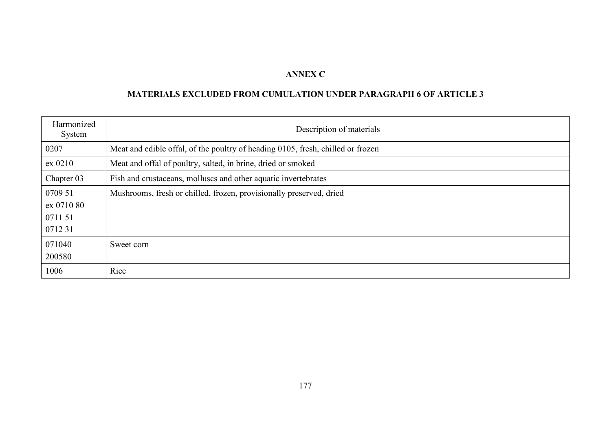## **ANNEX C**

# **MATERIALS EXCLUDED FROM CUMULATION UNDER PARAGRAPH 6 OF ARTICLE 3**

| Harmonized<br>System | Description of materials                                                        |
|----------------------|---------------------------------------------------------------------------------|
| 0207                 | Meat and edible offal, of the poultry of heading 0105, fresh, chilled or frozen |
| ex 0210              | Meat and offal of poultry, salted, in brine, dried or smoked                    |
| Chapter 03           | Fish and crustaceans, molluscs and other aquatic invertebrates                  |
| 0709 51              | Mushrooms, fresh or chilled, frozen, provisionally preserved, dried             |
| ex 0710 80           |                                                                                 |
| 0711 51              |                                                                                 |
| 071231               |                                                                                 |
| 071040               | Sweet corn                                                                      |
| 200580               |                                                                                 |
| 1006                 | Rice                                                                            |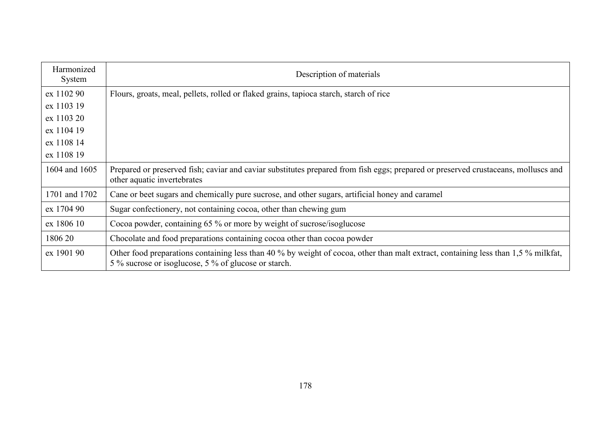| Harmonized<br>System | Description of materials                                                                                                                                                                   |
|----------------------|--------------------------------------------------------------------------------------------------------------------------------------------------------------------------------------------|
| ex 1102 90           | Flours, groats, meal, pellets, rolled or flaked grains, tapioca starch, starch of rice                                                                                                     |
| ex 1103 19           |                                                                                                                                                                                            |
| ex 1103 20           |                                                                                                                                                                                            |
| ex 1104 19           |                                                                                                                                                                                            |
| ex 1108 14           |                                                                                                                                                                                            |
| ex 1108 19           |                                                                                                                                                                                            |
| 1604 and 1605        | Prepared or preserved fish; caviar and caviar substitutes prepared from fish eggs; prepared or preserved crustaceans, molluscs and<br>other aquatic invertebrates                          |
| 1701 and 1702        | Cane or beet sugars and chemically pure sucrose, and other sugars, artificial honey and caramel                                                                                            |
| ex 1704 90           | Sugar confectionery, not containing cocoa, other than chewing gum                                                                                                                          |
| ex 1806 10           | Cocoa powder, containing 65 % or more by weight of sucrose/isoglucose                                                                                                                      |
| 1806 20              | Chocolate and food preparations containing cocoa other than cocoa powder                                                                                                                   |
| ex 1901 90           | Other food preparations containing less than 40 % by weight of cocoa, other than malt extract, containing less than 1,5 % milkfat,<br>5 % sucrose or isoglucose, 5 % of glucose or starch. |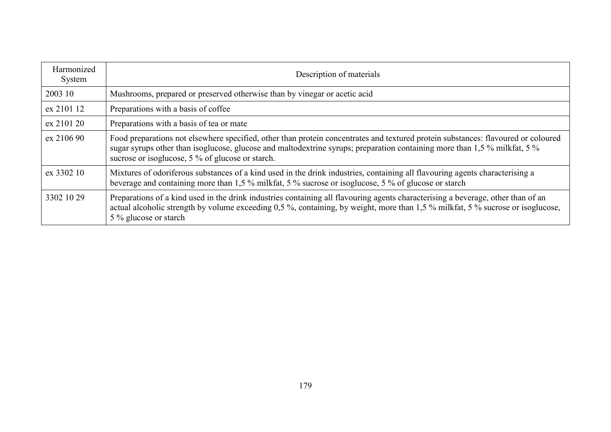| Harmonized<br>System | Description of materials                                                                                                                                                                                                                                                                                           |
|----------------------|--------------------------------------------------------------------------------------------------------------------------------------------------------------------------------------------------------------------------------------------------------------------------------------------------------------------|
| 2003 10              | Mushrooms, prepared or preserved otherwise than by vinegar or acetic acid                                                                                                                                                                                                                                          |
| ex 2101 12           | Preparations with a basis of coffee                                                                                                                                                                                                                                                                                |
| ex 2101 20           | Preparations with a basis of tea or mate                                                                                                                                                                                                                                                                           |
| ex 2106 90           | Food preparations not elsewhere specified, other than protein concentrates and textured protein substances: flavoured or coloured<br>sugar syrups other than isoglucose, glucose and maltodextrine syrups; preparation containing more than 1,5 % milkfat, 5 %<br>sucrose or isoglucose, 5 % of glucose or starch. |
| ex 3302 10           | Mixtures of odoriferous substances of a kind used in the drink industries, containing all flavouring agents characterising a<br>beverage and containing more than 1,5 % milkfat, 5 % sucrose or isoglucose, 5 % of glucose or starch                                                                               |
| 3302 10 29           | Preparations of a kind used in the drink industries containing all flavouring agents characterising a beverage, other than of an<br>actual alcoholic strength by volume exceeding 0,5 %, containing, by weight, more than 1,5 % milkfat, 5 % sucrose or isoglucose,<br>5 % glucose or starch                       |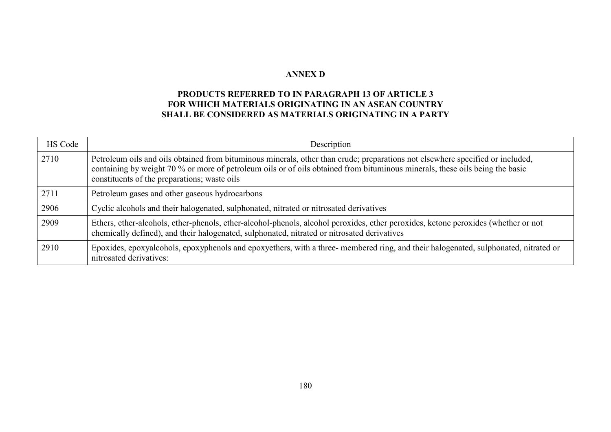#### **ANNEX D**

## **PRODUCTS REFERRED TO IN PARAGRAPH 13 OF ARTICLE 3 FOR WHICH MATERIALS ORIGINATING IN AN ASEAN COUNTRY SHALL BE CONSIDERED AS MATERIALS ORIGINATING IN A PARTY**

| HS Code | Description                                                                                                                                                                                                                                                                                                    |
|---------|----------------------------------------------------------------------------------------------------------------------------------------------------------------------------------------------------------------------------------------------------------------------------------------------------------------|
| 2710    | Petroleum oils and oils obtained from bituminous minerals, other than crude; preparations not elsewhere specified or included,<br>containing by weight 70 % or more of petroleum oils or of oils obtained from bituminous minerals, these oils being the basic<br>constituents of the preparations; waste oils |
| 2711    | Petroleum gases and other gaseous hydrocarbons                                                                                                                                                                                                                                                                 |
| 2906    | Cyclic alcohols and their halogenated, sulphonated, nitrated or nitrosated derivatives                                                                                                                                                                                                                         |
| 2909    | Ethers, ether-alcohols, ether-phenols, ether-alcohol-phenols, alcohol peroxides, ether peroxides, ketone peroxides (whether or not<br>chemically defined), and their halogenated, sulphonated, nitrated or nitrosated derivatives                                                                              |
| 2910    | Epoxides, epoxyalcohols, epoxyphenols and epoxyethers, with a three-membered ring, and their halogenated, sulphonated, nitrated or<br>nitrosated derivatives:                                                                                                                                                  |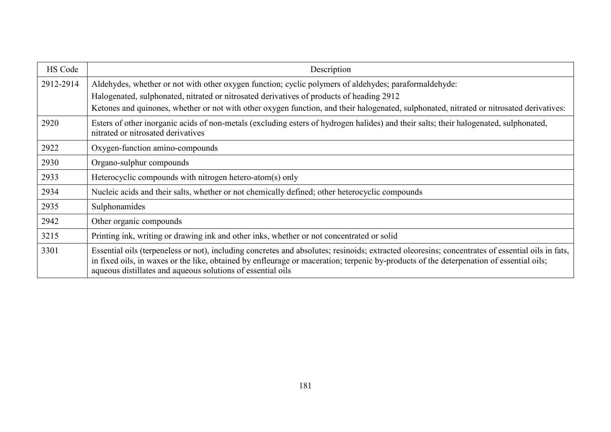| HS Code   | Description                                                                                                                                                                                                                                                                                                                                                |
|-----------|------------------------------------------------------------------------------------------------------------------------------------------------------------------------------------------------------------------------------------------------------------------------------------------------------------------------------------------------------------|
| 2912-2914 | Aldehydes, whether or not with other oxygen function; cyclic polymers of aldehydes; paraformaldehyde:                                                                                                                                                                                                                                                      |
|           | Halogenated, sulphonated, nitrated or nitrosated derivatives of products of heading 2912                                                                                                                                                                                                                                                                   |
|           | Ketones and quinones, whether or not with other oxygen function, and their halogenated, sulphonated, nitrated or nitrosated derivatives:                                                                                                                                                                                                                   |
| 2920      | Esters of other inorganic acids of non-metals (excluding esters of hydrogen halides) and their salts; their halogenated, sulphonated,<br>nitrated or nitrosated derivatives                                                                                                                                                                                |
| 2922      | Oxygen-function amino-compounds                                                                                                                                                                                                                                                                                                                            |
| 2930      | Organo-sulphur compounds                                                                                                                                                                                                                                                                                                                                   |
| 2933      | Heterocyclic compounds with nitrogen hetero-atom(s) only                                                                                                                                                                                                                                                                                                   |
| 2934      | Nucleic acids and their salts, whether or not chemically defined; other heterocyclic compounds                                                                                                                                                                                                                                                             |
| 2935      | Sulphonamides                                                                                                                                                                                                                                                                                                                                              |
| 2942      | Other organic compounds                                                                                                                                                                                                                                                                                                                                    |
| 3215      | Printing ink, writing or drawing ink and other inks, whether or not concentrated or solid                                                                                                                                                                                                                                                                  |
| 3301      | Essential oils (terpeneless or not), including concretes and absolutes; resinoids; extracted oleoresins; concentrates of essential oils in fats,<br>in fixed oils, in waxes or the like, obtained by enfleurage or maceration; terpenic by-products of the deterpenation of essential oils;<br>aqueous distillates and aqueous solutions of essential oils |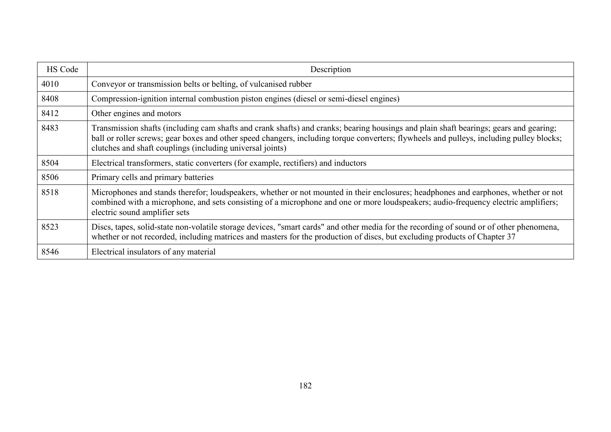| HS Code | Description                                                                                                                                                                                                                                                                                                                                    |
|---------|------------------------------------------------------------------------------------------------------------------------------------------------------------------------------------------------------------------------------------------------------------------------------------------------------------------------------------------------|
| 4010    | Conveyor or transmission belts or belting, of vulcanised rubber                                                                                                                                                                                                                                                                                |
| 8408    | Compression-ignition internal combustion piston engines (diesel or semi-diesel engines)                                                                                                                                                                                                                                                        |
| 8412    | Other engines and motors                                                                                                                                                                                                                                                                                                                       |
| 8483    | Transmission shafts (including cam shafts and crank shafts) and cranks; bearing housings and plain shaft bearings; gears and gearing;<br>ball or roller screws; gear boxes and other speed changers, including torque converters; flywheels and pulleys, including pulley blocks;<br>clutches and shaft couplings (including universal joints) |
| 8504    | Electrical transformers, static converters (for example, rectifiers) and inductors                                                                                                                                                                                                                                                             |
| 8506    | Primary cells and primary batteries                                                                                                                                                                                                                                                                                                            |
| 8518    | Microphones and stands therefor; loudspeakers, whether or not mounted in their enclosures; headphones and earphones, whether or not<br>combined with a microphone, and sets consisting of a microphone and one or more loudspeakers; audio-frequency electric amplifiers;<br>electric sound amplifier sets                                     |
| 8523    | Discs, tapes, solid-state non-volatile storage devices, "smart cards" and other media for the recording of sound or of other phenomena,<br>whether or not recorded, including matrices and masters for the production of discs, but excluding products of Chapter 37                                                                           |
| 8546    | Electrical insulators of any material                                                                                                                                                                                                                                                                                                          |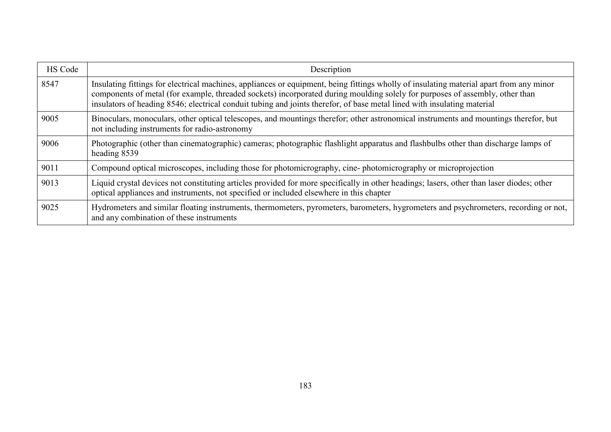| HS Code | Description                                                                                                                                                                                                                                                                                                                                                                                        |
|---------|----------------------------------------------------------------------------------------------------------------------------------------------------------------------------------------------------------------------------------------------------------------------------------------------------------------------------------------------------------------------------------------------------|
| 8547    | Insulating fittings for electrical machines, appliances or equipment, being fittings wholly of insulating material apart from any minor<br>components of metal (for example, threaded sockets) incorporated during moulding solely for purposes of assembly, other than<br>insulators of heading 8546; electrical conduit tubing and joints therefor, of base metal lined with insulating material |
| 9005    | Binoculars, monoculars, other optical telescopes, and mountings therefor; other astronomical instruments and mountings therefor, but<br>not including instruments for radio-astronomy                                                                                                                                                                                                              |
| 9006    | Photographic (other than cinematographic) cameras; photographic flashlight apparatus and flashbulbs other than discharge lamps of<br>heading 8539                                                                                                                                                                                                                                                  |
| 9011    | Compound optical microscopes, including those for photomicrography, cine-photomicrography or microprojection                                                                                                                                                                                                                                                                                       |
| 9013    | Liquid crystal devices not constituting articles provided for more specifically in other headings; lasers, other than laser diodes; other<br>optical appliances and instruments, not specified or included elsewhere in this chapter                                                                                                                                                               |
| 9025    | Hydrometers and similar floating instruments, thermometers, pyrometers, barometers, hygrometers and psychrometers, recording or not,<br>and any combination of these instruments                                                                                                                                                                                                                   |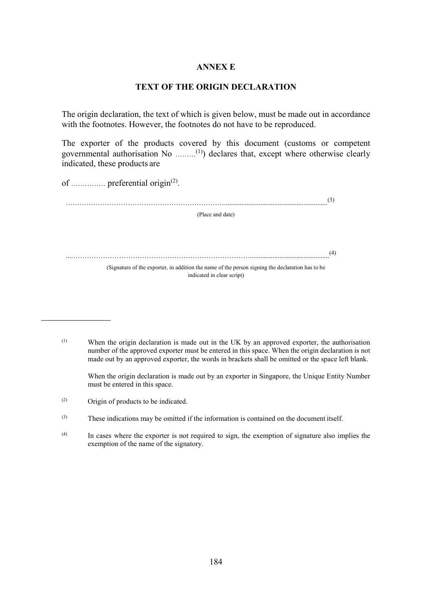## **ANNEX E**

## **TEXT OF THE ORIGIN DECLARATION**

The origin declaration, the text of which is given below, must be made out in accordance with the footnotes. However, the footnotes do not have to be reproduced.

The exporter of the products covered by this document (customs or competent governmental authorisation No ………(1)) declares that, except where otherwise clearly indicated, these products are

of ............... preferential origin<sup>(2)</sup>.

……………………………………………………………............................................................(3) (Place and date) ...……………………………………………………………………..............................................(4) (Signature of the exporter, in addition the name of the person signing the declaration has to be indicated in clear script)

(1) When the origin declaration is made out in the UK by an approved exporter, the authorisation number of the approved exporter must be entered in this space. When the origin declaration is not made out by an approved exporter, the words in brackets shall be omitted or the space left blank.

When the origin declaration is made out by an exporter in Singapore, the Unique Entity Number must be entered in this space.

(2) Origin of products to be indicated.

<sup>(3)</sup> These indications may be omitted if the information is contained on the document itself.

<sup>(4)</sup> In cases where the exporter is not required to sign, the exemption of signature also implies the exemption of the name of the signatory.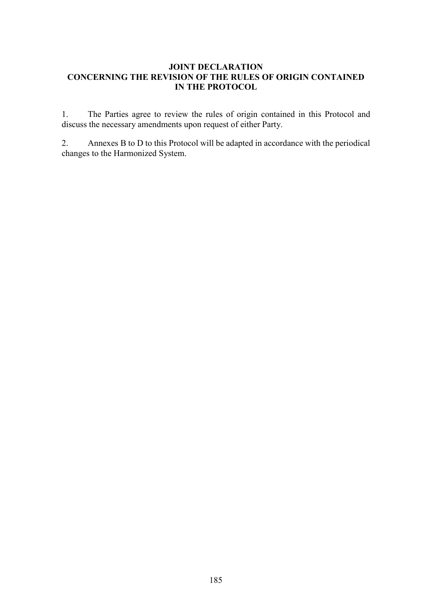## **JOINT DECLARATION CONCERNING THE REVISION OF THE RULES OF ORIGIN CONTAINED IN THE PROTOCOL**

1. The Parties agree to review the rules of origin contained in this Protocol and discuss the necessary amendments upon request of either Party.

2. Annexes B to D to this Protocol will be adapted in accordance with the periodical changes to the Harmonized System.